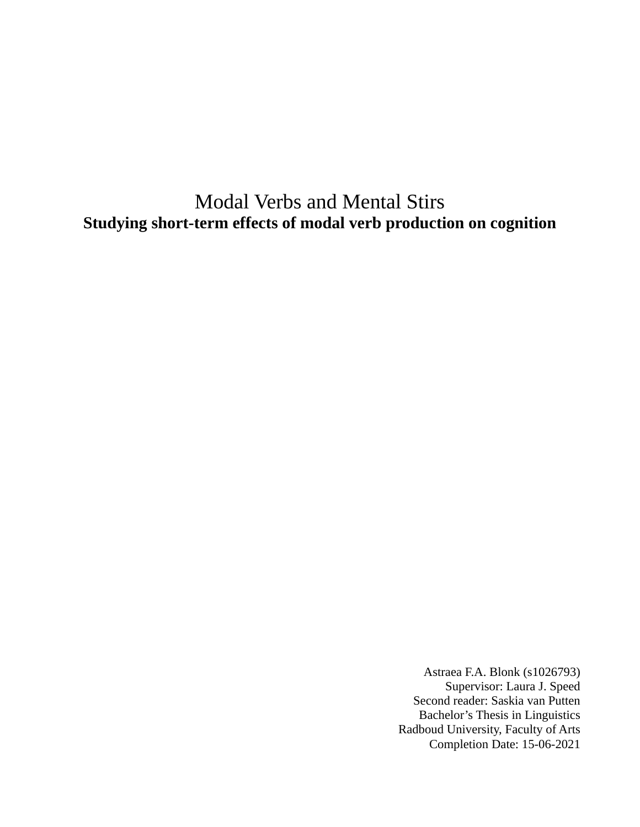# Modal Verbs and Mental Stirs **Studying short-term effects of modal verb production on cognition**

Astraea F.A. Blonk (s1026793) Supervisor: Laura J. Speed Second reader: Saskia van Putten Bachelor's Thesis in Linguistics Radboud University, Faculty of Arts Completion Date: 15-06-2021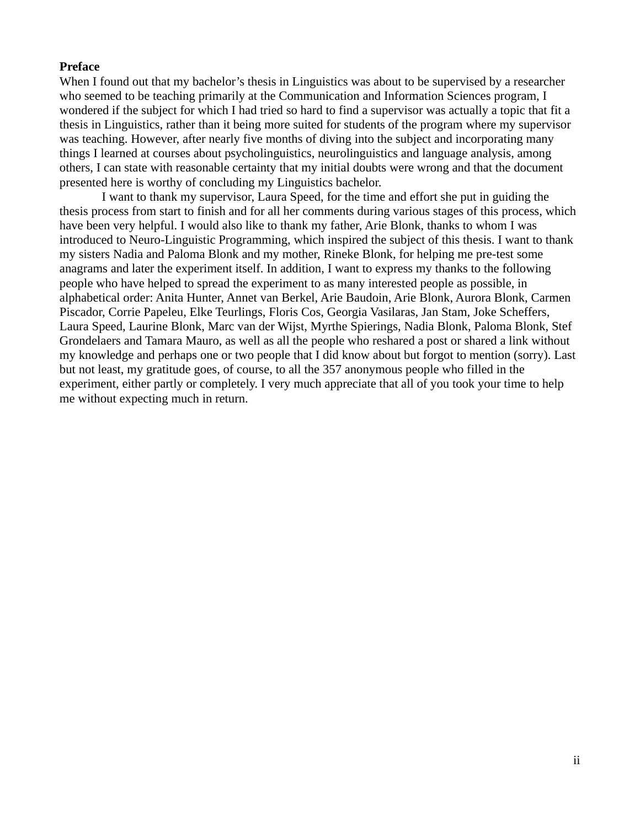#### **Preface**

When I found out that my bachelor's thesis in Linguistics was about to be supervised by a researcher who seemed to be teaching primarily at the Communication and Information Sciences program, I wondered if the subject for which I had tried so hard to find a supervisor was actually a topic that fit a thesis in Linguistics, rather than it being more suited for students of the program where my supervisor was teaching. However, after nearly five months of diving into the subject and incorporating many things I learned at courses about psycholinguistics, neurolinguistics and language analysis, among others, I can state with reasonable certainty that my initial doubts were wrong and that the document presented here is worthy of concluding my Linguistics bachelor.

I want to thank my supervisor, Laura Speed, for the time and effort she put in guiding the thesis process from start to finish and for all her comments during various stages of this process, which have been very helpful. I would also like to thank my father, Arie Blonk, thanks to whom I was introduced to Neuro-Linguistic Programming, which inspired the subject of this thesis. I want to thank my sisters Nadia and Paloma Blonk and my mother, Rineke Blonk, for helping me pre-test some anagrams and later the experiment itself. In addition, I want to express my thanks to the following people who have helped to spread the experiment to as many interested people as possible, in alphabetical order: Anita Hunter, Annet van Berkel, Arie Baudoin, Arie Blonk, Aurora Blonk, Carmen Piscador, Corrie Papeleu, Elke Teurlings, Floris Cos, Georgia Vasilaras, Jan Stam, Joke Scheffers, Laura Speed, Laurine Blonk, Marc van der Wijst, Myrthe Spierings, Nadia Blonk, Paloma Blonk, Stef Grondelaers and Tamara Mauro, as well as all the people who reshared a post or shared a link without my knowledge and perhaps one or two people that I did know about but forgot to mention (sorry). Last but not least, my gratitude goes, of course, to all the 357 anonymous people who filled in the experiment, either partly or completely. I very much appreciate that all of you took your time to help me without expecting much in return.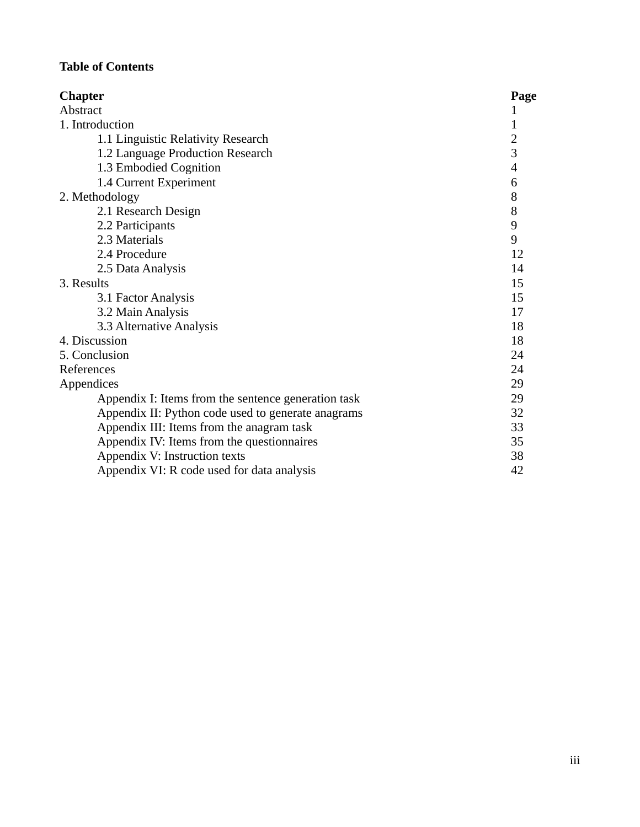# **Table of Contents**

| <b>Chapter</b>                                      | Page           |
|-----------------------------------------------------|----------------|
| Abstract                                            | 1              |
| 1. Introduction                                     | 1              |
| 1.1 Linguistic Relativity Research                  | $\overline{2}$ |
| 1.2 Language Production Research                    | 3              |
| 1.3 Embodied Cognition                              | 4              |
| 1.4 Current Experiment                              | 6              |
| 2. Methodology                                      | 8              |
| 2.1 Research Design                                 | 8              |
| 2.2 Participants                                    | 9              |
| 2.3 Materials                                       | 9              |
| 2.4 Procedure                                       | 12             |
| 2.5 Data Analysis                                   | 14             |
| 3. Results                                          | 15             |
| 3.1 Factor Analysis                                 | 15             |
| 3.2 Main Analysis                                   | 17             |
| 3.3 Alternative Analysis                            | 18             |
| 4. Discussion                                       | 18             |
| 5. Conclusion                                       | 24             |
| References                                          | 24             |
| Appendices                                          | 29             |
| Appendix I: Items from the sentence generation task | 29             |
| Appendix II: Python code used to generate anagrams  | 32             |
| Appendix III: Items from the anagram task           | 33             |
| Appendix IV: Items from the questionnaires          | 35             |
| Appendix V: Instruction texts                       | 38             |
| Appendix VI: R code used for data analysis          | 42             |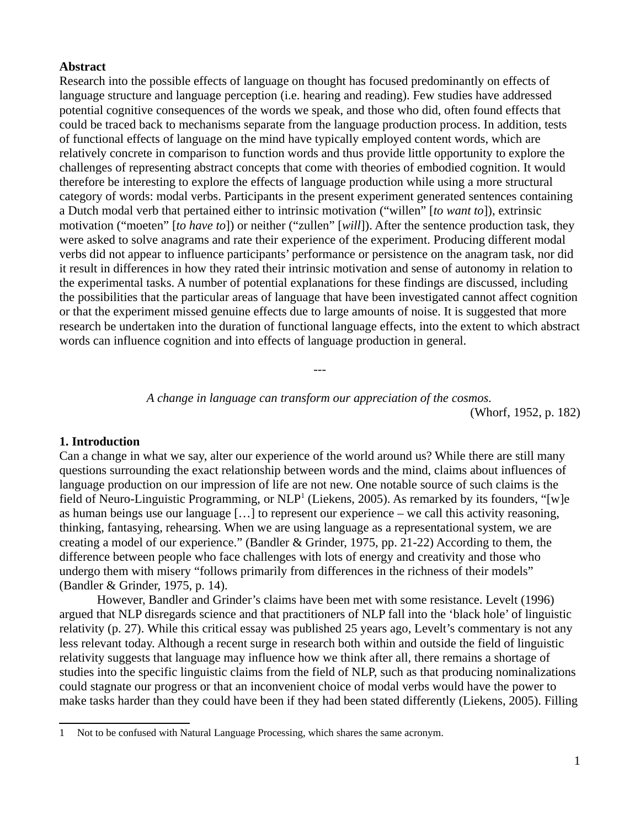#### **Abstract**

Research into the possible effects of language on thought has focused predominantly on effects of language structure and language perception (i.e. hearing and reading). Few studies have addressed potential cognitive consequences of the words we speak, and those who did, often found effects that could be traced back to mechanisms separate from the language production process. In addition, tests of functional effects of language on the mind have typically employed content words, which are relatively concrete in comparison to function words and thus provide little opportunity to explore the challenges of representing abstract concepts that come with theories of embodied cognition. It would therefore be interesting to explore the effects of language production while using a more structural category of words: modal verbs. Participants in the present experiment generated sentences containing a Dutch modal verb that pertained either to intrinsic motivation ("willen" [*to want to*]), extrinsic motivation ("moeten" [*to have to*]) or neither ("zullen" [*will*]). After the sentence production task, they were asked to solve anagrams and rate their experience of the experiment. Producing different modal verbs did not appear to influence participants' performance or persistence on the anagram task, nor did it result in differences in how they rated their intrinsic motivation and sense of autonomy in relation to the experimental tasks. A number of potential explanations for these findings are discussed, including the possibilities that the particular areas of language that have been investigated cannot affect cognition or that the experiment missed genuine effects due to large amounts of noise. It is suggested that more research be undertaken into the duration of functional language effects, into the extent to which abstract words can influence cognition and into effects of language production in general.

---

*A change in language can transform our appreciation of the cosmos.* (Whorf, 1952, p. 182)

#### **1. Introduction**

Can a change in what we say, alter our experience of the world around us? While there are still many questions surrounding the exact relationship between words and the mind, claims about influences of language production on our impression of life are not new. One notable source of such claims is the field of Neuro-Linguistic Programming, or  $NLP<sup>1</sup>$  $NLP<sup>1</sup>$  $NLP<sup>1</sup>$  (Liekens, 2005). As remarked by its founders, "[w]e as human beings use our language […] to represent our experience – we call this activity reasoning, thinking, fantasying, rehearsing. When we are using language as a representational system, we are creating a model of our experience." (Bandler & Grinder, 1975, pp. 21-22) According to them, the difference between people who face challenges with lots of energy and creativity and those who undergo them with misery "follows primarily from differences in the richness of their models" (Bandler & Grinder, 1975, p. 14).

However, Bandler and Grinder's claims have been met with some resistance. Levelt (1996) argued that NLP disregards science and that practitioners of NLP fall into the 'black hole' of linguistic relativity (p. 27). While this critical essay was published 25 years ago, Levelt's commentary is not any less relevant today. Although a recent surge in research both within and outside the field of linguistic relativity suggests that language may influence how we think after all, there remains a shortage of studies into the specific linguistic claims from the field of NLP, such as that producing nominalizations could stagnate our progress or that an inconvenient choice of modal verbs would have the power to make tasks harder than they could have been if they had been stated differently (Liekens, 2005). Filling

<span id="page-3-0"></span><sup>1</sup> Not to be confused with Natural Language Processing, which shares the same acronym.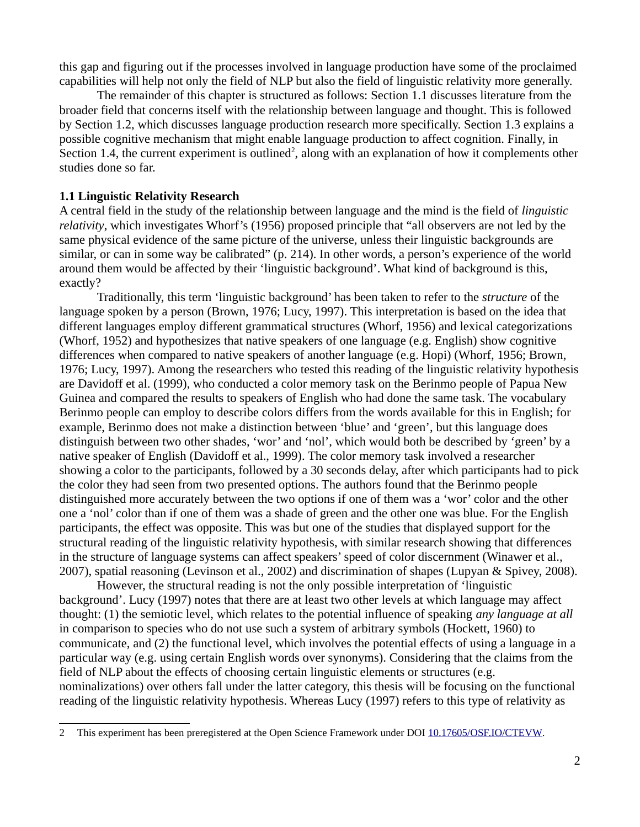this gap and figuring out if the processes involved in language production have some of the proclaimed capabilities will help not only the field of NLP but also the field of linguistic relativity more generally.

The remainder of this chapter is structured as follows: Section 1.1 discusses literature from the broader field that concerns itself with the relationship between language and thought. This is followed by Section 1.2, which discusses language production research more specifically. Section 1.3 explains a possible cognitive mechanism that might enable language production to affect cognition. Finally, in Section 1.4, the current experiment is outlined<sup>[2](#page-4-0)</sup>, along with an explanation of how it complements other studies done so far.

#### **1.1 Linguistic Relativity Research**

A central field in the study of the relationship between language and the mind is the field of *linguistic relativity*, which investigates Whorf's (1956) proposed principle that "all observers are not led by the same physical evidence of the same picture of the universe, unless their linguistic backgrounds are similar, or can in some way be calibrated" (p. 214). In other words, a person's experience of the world around them would be affected by their 'linguistic background'. What kind of background is this, exactly?

Traditionally, this term 'linguistic background' has been taken to refer to the *structure* of the language spoken by a person (Brown, 1976; Lucy, 1997). This interpretation is based on the idea that different languages employ different grammatical structures (Whorf, 1956) and lexical categorizations (Whorf, 1952) and hypothesizes that native speakers of one language (e.g. English) show cognitive differences when compared to native speakers of another language (e.g. Hopi) (Whorf, 1956; Brown, 1976; Lucy, 1997). Among the researchers who tested this reading of the linguistic relativity hypothesis are Davidoff et al. (1999), who conducted a color memory task on the Berinmo people of Papua New Guinea and compared the results to speakers of English who had done the same task. The vocabulary Berinmo people can employ to describe colors differs from the words available for this in English; for example, Berinmo does not make a distinction between 'blue' and 'green', but this language does distinguish between two other shades, 'wor' and 'nol', which would both be described by 'green' by a native speaker of English (Davidoff et al., 1999). The color memory task involved a researcher showing a color to the participants, followed by a 30 seconds delay, after which participants had to pick the color they had seen from two presented options. The authors found that the Berinmo people distinguished more accurately between the two options if one of them was a 'wor' color and the other one a 'nol' color than if one of them was a shade of green and the other one was blue. For the English participants, the effect was opposite. This was but one of the studies that displayed support for the structural reading of the linguistic relativity hypothesis, with similar research showing that differences in the structure of language systems can affect speakers' speed of color discernment (Winawer et al., 2007), spatial reasoning (Levinson et al., 2002) and discrimination of shapes (Lupyan & Spivey, 2008).

However, the structural reading is not the only possible interpretation of 'linguistic background'. Lucy (1997) notes that there are at least two other levels at which language may affect thought: (1) the semiotic level, which relates to the potential influence of speaking *any language at all* in comparison to species who do not use such a system of arbitrary symbols (Hockett, 1960) to communicate, and (2) the functional level, which involves the potential effects of using a language in a particular way (e.g. using certain English words over synonyms). Considering that the claims from the field of NLP about the effects of choosing certain linguistic elements or structures (e.g. nominalizations) over others fall under the latter category, this thesis will be focusing on the functional reading of the linguistic relativity hypothesis. Whereas Lucy (1997) refers to this type of relativity as

<span id="page-4-0"></span><sup>2</sup> This experiment has been preregistered at the Open Science Framework under DOI [10.17605/OSF.IO/CTEVW](https://doi.org/10.17605/OSF.IO/CTEVW).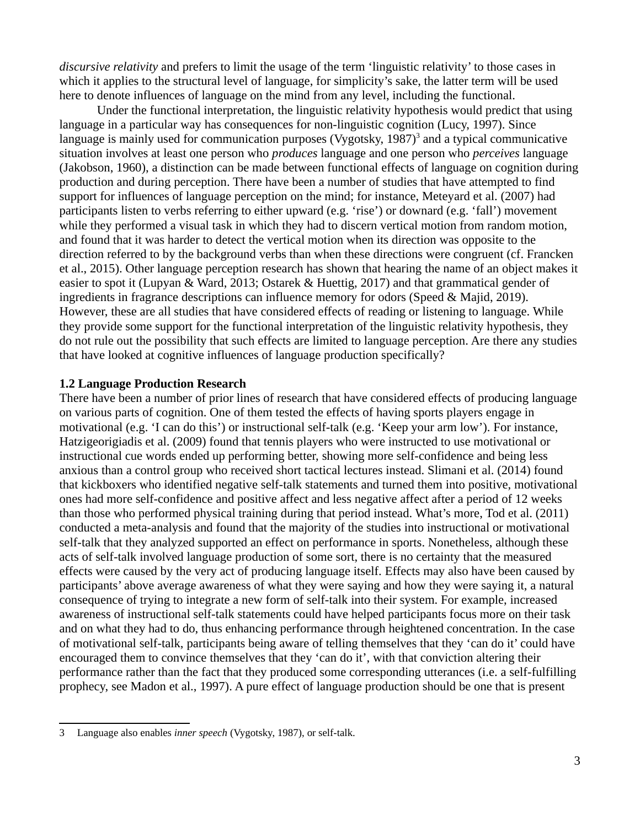*discursive relativity* and prefers to limit the usage of the term 'linguistic relativity' to those cases in which it applies to the structural level of language, for simplicity's sake, the latter term will be used here to denote influences of language on the mind from any level, including the functional.

Under the functional interpretation, the linguistic relativity hypothesis would predict that using language in a particular way has consequences for non-linguistic cognition (Lucy, 1997). Since language is mainly used for communication purposes (Vygotsky,  $1987$ )<sup>[3](#page-5-0)</sup> and a typical communicative situation involves at least one person who *produces* language and one person who *perceives* language (Jakobson, 1960), a distinction can be made between functional effects of language on cognition during production and during perception. There have been a number of studies that have attempted to find support for influences of language perception on the mind; for instance, Meteyard et al. (2007) had participants listen to verbs referring to either upward (e.g. 'rise') or downard (e.g. 'fall') movement while they performed a visual task in which they had to discern vertical motion from random motion, and found that it was harder to detect the vertical motion when its direction was opposite to the direction referred to by the background verbs than when these directions were congruent (cf. Francken et al., 2015). Other language perception research has shown that hearing the name of an object makes it easier to spot it (Lupyan & Ward, 2013; Ostarek & Huettig, 2017) and that grammatical gender of ingredients in fragrance descriptions can influence memory for odors (Speed & Majid, 2019). However, these are all studies that have considered effects of reading or listening to language. While they provide some support for the functional interpretation of the linguistic relativity hypothesis, they do not rule out the possibility that such effects are limited to language perception. Are there any studies that have looked at cognitive influences of language production specifically?

#### **1.2 Language Production Research**

There have been a number of prior lines of research that have considered effects of producing language on various parts of cognition. One of them tested the effects of having sports players engage in motivational (e.g. 'I can do this') or instructional self-talk (e.g. 'Keep your arm low'). For instance, Hatzigeorigiadis et al. (2009) found that tennis players who were instructed to use motivational or instructional cue words ended up performing better, showing more self-confidence and being less anxious than a control group who received short tactical lectures instead. Slimani et al. (2014) found that kickboxers who identified negative self-talk statements and turned them into positive, motivational ones had more self-confidence and positive affect and less negative affect after a period of 12 weeks than those who performed physical training during that period instead. What's more, Tod et al. (2011) conducted a meta-analysis and found that the majority of the studies into instructional or motivational self-talk that they analyzed supported an effect on performance in sports. Nonetheless, although these acts of self-talk involved language production of some sort, there is no certainty that the measured effects were caused by the very act of producing language itself. Effects may also have been caused by participants' above average awareness of what they were saying and how they were saying it, a natural consequence of trying to integrate a new form of self-talk into their system. For example, increased awareness of instructional self-talk statements could have helped participants focus more on their task and on what they had to do, thus enhancing performance through heightened concentration. In the case of motivational self-talk, participants being aware of telling themselves that they 'can do it' could have encouraged them to convince themselves that they 'can do it', with that conviction altering their performance rather than the fact that they produced some corresponding utterances (i.e. a self-fulfilling prophecy, see Madon et al., 1997). A pure effect of language production should be one that is present

<span id="page-5-0"></span><sup>3</sup> Language also enables *inner speech* (Vygotsky, 1987), or self-talk.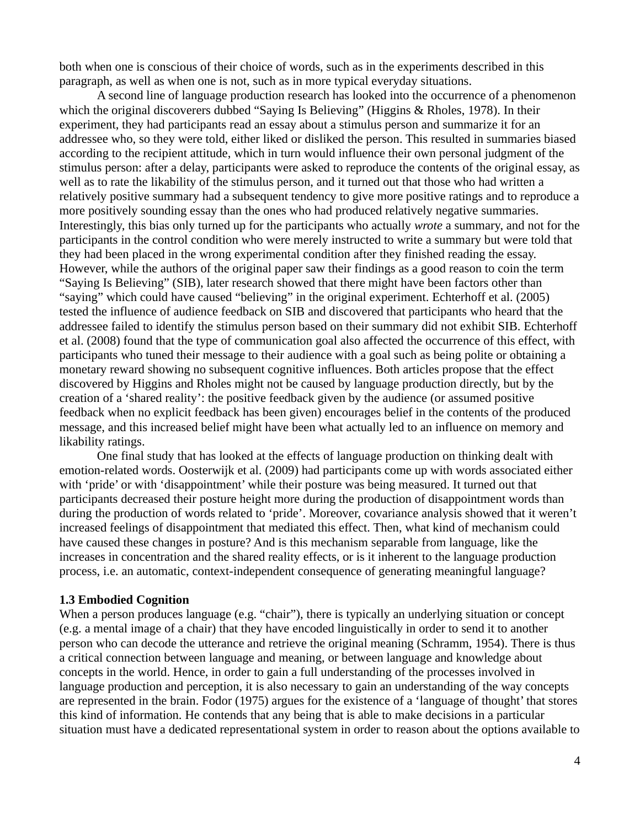both when one is conscious of their choice of words, such as in the experiments described in this paragraph, as well as when one is not, such as in more typical everyday situations.

A second line of language production research has looked into the occurrence of a phenomenon which the original discoverers dubbed "Saying Is Believing" (Higgins & Rholes, 1978). In their experiment, they had participants read an essay about a stimulus person and summarize it for an addressee who, so they were told, either liked or disliked the person. This resulted in summaries biased according to the recipient attitude, which in turn would influence their own personal judgment of the stimulus person: after a delay, participants were asked to reproduce the contents of the original essay, as well as to rate the likability of the stimulus person, and it turned out that those who had written a relatively positive summary had a subsequent tendency to give more positive ratings and to reproduce a more positively sounding essay than the ones who had produced relatively negative summaries. Interestingly, this bias only turned up for the participants who actually *wrote* a summary, and not for the participants in the control condition who were merely instructed to write a summary but were told that they had been placed in the wrong experimental condition after they finished reading the essay. However, while the authors of the original paper saw their findings as a good reason to coin the term "Saying Is Believing" (SIB), later research showed that there might have been factors other than "saying" which could have caused "believing" in the original experiment. Echterhoff et al. (2005) tested the influence of audience feedback on SIB and discovered that participants who heard that the addressee failed to identify the stimulus person based on their summary did not exhibit SIB. Echterhoff et al. (2008) found that the type of communication goal also affected the occurrence of this effect, with participants who tuned their message to their audience with a goal such as being polite or obtaining a monetary reward showing no subsequent cognitive influences. Both articles propose that the effect discovered by Higgins and Rholes might not be caused by language production directly, but by the creation of a 'shared reality': the positive feedback given by the audience (or assumed positive feedback when no explicit feedback has been given) encourages belief in the contents of the produced message, and this increased belief might have been what actually led to an influence on memory and likability ratings.

One final study that has looked at the effects of language production on thinking dealt with emotion-related words. Oosterwijk et al. (2009) had participants come up with words associated either with 'pride' or with 'disappointment' while their posture was being measured. It turned out that participants decreased their posture height more during the production of disappointment words than during the production of words related to 'pride'. Moreover, covariance analysis showed that it weren't increased feelings of disappointment that mediated this effect. Then, what kind of mechanism could have caused these changes in posture? And is this mechanism separable from language, like the increases in concentration and the shared reality effects, or is it inherent to the language production process, i.e. an automatic, context-independent consequence of generating meaningful language?

#### **1.3 Embodied Cognition**

When a person produces language (e.g. "chair"), there is typically an underlying situation or concept (e.g. a mental image of a chair) that they have encoded linguistically in order to send it to another person who can decode the utterance and retrieve the original meaning (Schramm, 1954). There is thus a critical connection between language and meaning, or between language and knowledge about concepts in the world. Hence, in order to gain a full understanding of the processes involved in language production and perception, it is also necessary to gain an understanding of the way concepts are represented in the brain. Fodor (1975) argues for the existence of a 'language of thought' that stores this kind of information. He contends that any being that is able to make decisions in a particular situation must have a dedicated representational system in order to reason about the options available to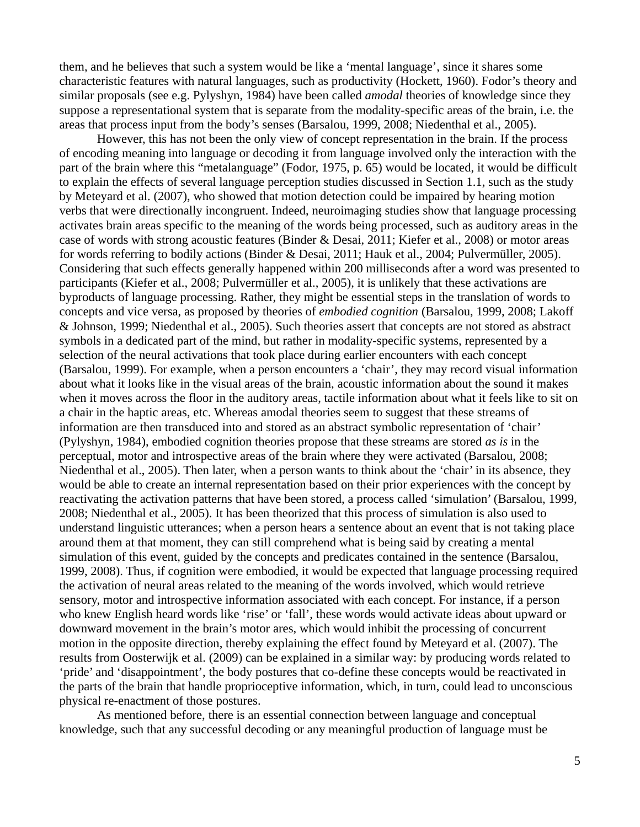them, and he believes that such a system would be like a 'mental language', since it shares some characteristic features with natural languages, such as productivity (Hockett, 1960). Fodor's theory and similar proposals (see e.g. Pylyshyn, 1984) have been called *amodal* theories of knowledge since they suppose a representational system that is separate from the modality-specific areas of the brain, i.e. the areas that process input from the body's senses (Barsalou, 1999, 2008; Niedenthal et al., 2005).

However, this has not been the only view of concept representation in the brain. If the process of encoding meaning into language or decoding it from language involved only the interaction with the part of the brain where this "metalanguage" (Fodor, 1975, p. 65) would be located, it would be difficult to explain the effects of several language perception studies discussed in Section 1.1, such as the study by Meteyard et al. (2007), who showed that motion detection could be impaired by hearing motion verbs that were directionally incongruent. Indeed, neuroimaging studies show that language processing activates brain areas specific to the meaning of the words being processed, such as auditory areas in the case of words with strong acoustic features (Binder & Desai, 2011; Kiefer et al., 2008) or motor areas for words referring to bodily actions (Binder & Desai, 2011; Hauk et al., 2004; Pulvermüller, 2005). Considering that such effects generally happened within 200 milliseconds after a word was presented to participants (Kiefer et al., 2008; Pulvermüller et al., 2005), it is unlikely that these activations are byproducts of language processing. Rather, they might be essential steps in the translation of words to concepts and vice versa, as proposed by theories of *embodied cognition* (Barsalou, 1999, 2008; Lakoff & Johnson, 1999; Niedenthal et al., 2005). Such theories assert that concepts are not stored as abstract symbols in a dedicated part of the mind, but rather in modality-specific systems, represented by a selection of the neural activations that took place during earlier encounters with each concept (Barsalou, 1999). For example, when a person encounters a 'chair', they may record visual information about what it looks like in the visual areas of the brain, acoustic information about the sound it makes when it moves across the floor in the auditory areas, tactile information about what it feels like to sit on a chair in the haptic areas, etc. Whereas amodal theories seem to suggest that these streams of information are then transduced into and stored as an abstract symbolic representation of 'chair' (Pylyshyn, 1984), embodied cognition theories propose that these streams are stored *as is* in the perceptual, motor and introspective areas of the brain where they were activated (Barsalou, 2008; Niedenthal et al., 2005). Then later, when a person wants to think about the 'chair' in its absence, they would be able to create an internal representation based on their prior experiences with the concept by reactivating the activation patterns that have been stored, a process called 'simulation' (Barsalou, 1999, 2008; Niedenthal et al., 2005). It has been theorized that this process of simulation is also used to understand linguistic utterances; when a person hears a sentence about an event that is not taking place around them at that moment, they can still comprehend what is being said by creating a mental simulation of this event, guided by the concepts and predicates contained in the sentence (Barsalou, 1999, 2008). Thus, if cognition were embodied, it would be expected that language processing required the activation of neural areas related to the meaning of the words involved, which would retrieve sensory, motor and introspective information associated with each concept. For instance, if a person who knew English heard words like 'rise' or 'fall', these words would activate ideas about upward or downward movement in the brain's motor ares, which would inhibit the processing of concurrent motion in the opposite direction, thereby explaining the effect found by Meteyard et al. (2007). The results from Oosterwijk et al. (2009) can be explained in a similar way: by producing words related to 'pride' and 'disappointment', the body postures that co-define these concepts would be reactivated in the parts of the brain that handle proprioceptive information, which, in turn, could lead to unconscious physical re-enactment of those postures.

As mentioned before, there is an essential connection between language and conceptual knowledge, such that any successful decoding or any meaningful production of language must be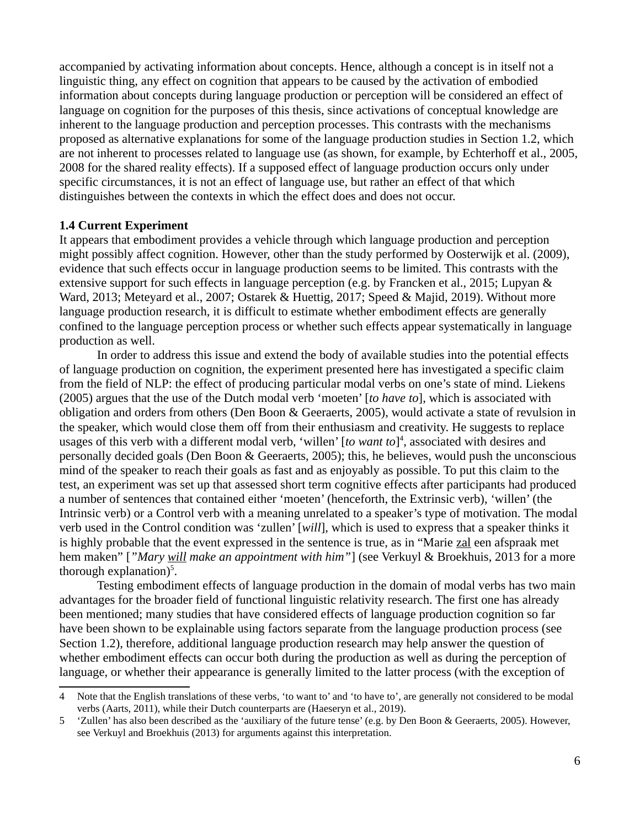accompanied by activating information about concepts. Hence, although a concept is in itself not a linguistic thing, any effect on cognition that appears to be caused by the activation of embodied information about concepts during language production or perception will be considered an effect of language on cognition for the purposes of this thesis, since activations of conceptual knowledge are inherent to the language production and perception processes. This contrasts with the mechanisms proposed as alternative explanations for some of the language production studies in Section 1.2, which are not inherent to processes related to language use (as shown, for example, by Echterhoff et al., 2005, 2008 for the shared reality effects). If a supposed effect of language production occurs only under specific circumstances, it is not an effect of language use, but rather an effect of that which distinguishes between the contexts in which the effect does and does not occur.

#### **1.4 Current Experiment**

It appears that embodiment provides a vehicle through which language production and perception might possibly affect cognition. However, other than the study performed by Oosterwijk et al. (2009), evidence that such effects occur in language production seems to be limited. This contrasts with the extensive support for such effects in language perception (e.g. by Francken et al., 2015; Lupyan & Ward, 2013; Meteyard et al., 2007; Ostarek & Huettig, 2017; Speed & Majid, 2019). Without more language production research, it is difficult to estimate whether embodiment effects are generally confined to the language perception process or whether such effects appear systematically in language production as well.

In order to address this issue and extend the body of available studies into the potential effects of language production on cognition, the experiment presented here has investigated a specific claim from the field of NLP: the effect of producing particular modal verbs on one's state of mind. Liekens (2005) argues that the use of the Dutch modal verb 'moeten' [*to have to*], which is associated with obligation and orders from others (Den Boon & Geeraerts, 2005), would activate a state of revulsion in the speaker, which would close them off from their enthusiasm and creativity. He suggests to replace usages of this verb with a different modal verb, 'willen' [*to want to*] [4](#page-8-0) , associated with desires and personally decided goals (Den Boon & Geeraerts, 2005); this, he believes, would push the unconscious mind of the speaker to reach their goals as fast and as enjoyably as possible. To put this claim to the test, an experiment was set up that assessed short term cognitive effects after participants had produced a number of sentences that contained either 'moeten' (henceforth, the Extrinsic verb), 'willen' (the Intrinsic verb) or a Control verb with a meaning unrelated to a speaker's type of motivation. The modal verb used in the Control condition was 'zullen' [*will*], which is used to express that a speaker thinks it is highly probable that the event expressed in the sentence is true, as in "Marie zal een afspraak met hem maken" [*"Mary will make an appointment with him"*] (see Verkuyl & Broekhuis, 2013 for a more thorough explanation $)^5$  $)^5$ .

Testing embodiment effects of language production in the domain of modal verbs has two main advantages for the broader field of functional linguistic relativity research. The first one has already been mentioned; many studies that have considered effects of language production cognition so far have been shown to be explainable using factors separate from the language production process (see Section 1.2), therefore, additional language production research may help answer the question of whether embodiment effects can occur both during the production as well as during the perception of language, or whether their appearance is generally limited to the latter process (with the exception of

<span id="page-8-0"></span><sup>4</sup> Note that the English translations of these verbs, 'to want to' and 'to have to', are generally not considered to be modal verbs (Aarts, 2011), while their Dutch counterparts are (Haeseryn et al., 2019).

<span id="page-8-1"></span><sup>5</sup> 'Zullen' has also been described as the 'auxiliary of the future tense' (e.g. by Den Boon & Geeraerts, 2005). However, see Verkuyl and Broekhuis (2013) for arguments against this interpretation.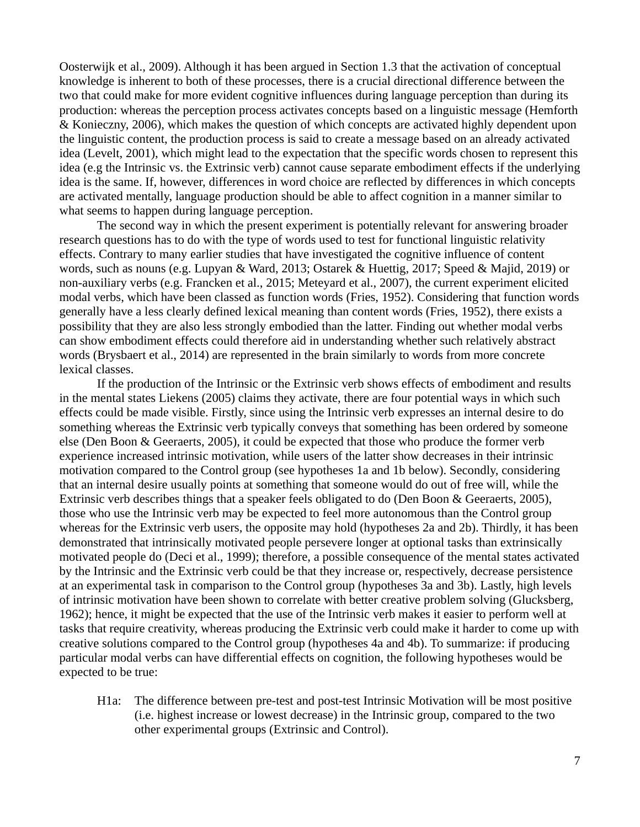Oosterwijk et al., 2009). Although it has been argued in Section 1.3 that the activation of conceptual knowledge is inherent to both of these processes, there is a crucial directional difference between the two that could make for more evident cognitive influences during language perception than during its production: whereas the perception process activates concepts based on a linguistic message (Hemforth & Konieczny, 2006), which makes the question of which concepts are activated highly dependent upon the linguistic content, the production process is said to create a message based on an already activated idea (Levelt, 2001), which might lead to the expectation that the specific words chosen to represent this idea (e.g the Intrinsic vs. the Extrinsic verb) cannot cause separate embodiment effects if the underlying idea is the same. If, however, differences in word choice are reflected by differences in which concepts are activated mentally, language production should be able to affect cognition in a manner similar to what seems to happen during language perception.

The second way in which the present experiment is potentially relevant for answering broader research questions has to do with the type of words used to test for functional linguistic relativity effects. Contrary to many earlier studies that have investigated the cognitive influence of content words, such as nouns (e.g. Lupyan & Ward, 2013; Ostarek & Huettig, 2017; Speed & Majid, 2019) or non-auxiliary verbs (e.g. Francken et al., 2015; Meteyard et al., 2007), the current experiment elicited modal verbs, which have been classed as function words (Fries, 1952). Considering that function words generally have a less clearly defined lexical meaning than content words (Fries, 1952), there exists a possibility that they are also less strongly embodied than the latter. Finding out whether modal verbs can show embodiment effects could therefore aid in understanding whether such relatively abstract words (Brysbaert et al., 2014) are represented in the brain similarly to words from more concrete lexical classes.

If the production of the Intrinsic or the Extrinsic verb shows effects of embodiment and results in the mental states Liekens (2005) claims they activate, there are four potential ways in which such effects could be made visible. Firstly, since using the Intrinsic verb expresses an internal desire to do something whereas the Extrinsic verb typically conveys that something has been ordered by someone else (Den Boon & Geeraerts, 2005), it could be expected that those who produce the former verb experience increased intrinsic motivation, while users of the latter show decreases in their intrinsic motivation compared to the Control group (see hypotheses 1a and 1b below). Secondly, considering that an internal desire usually points at something that someone would do out of free will, while the Extrinsic verb describes things that a speaker feels obligated to do (Den Boon & Geeraerts, 2005), those who use the Intrinsic verb may be expected to feel more autonomous than the Control group whereas for the Extrinsic verb users, the opposite may hold (hypotheses 2a and 2b). Thirdly, it has been demonstrated that intrinsically motivated people persevere longer at optional tasks than extrinsically motivated people do (Deci et al., 1999); therefore, a possible consequence of the mental states activated by the Intrinsic and the Extrinsic verb could be that they increase or, respectively, decrease persistence at an experimental task in comparison to the Control group (hypotheses 3a and 3b). Lastly, high levels of intrinsic motivation have been shown to correlate with better creative problem solving (Glucksberg, 1962); hence, it might be expected that the use of the Intrinsic verb makes it easier to perform well at tasks that require creativity, whereas producing the Extrinsic verb could make it harder to come up with creative solutions compared to the Control group (hypotheses 4a and 4b). To summarize: if producing particular modal verbs can have differential effects on cognition, the following hypotheses would be expected to be true:

H1a: The difference between pre-test and post-test Intrinsic Motivation will be most positive (i.e. highest increase or lowest decrease) in the Intrinsic group, compared to the two other experimental groups (Extrinsic and Control).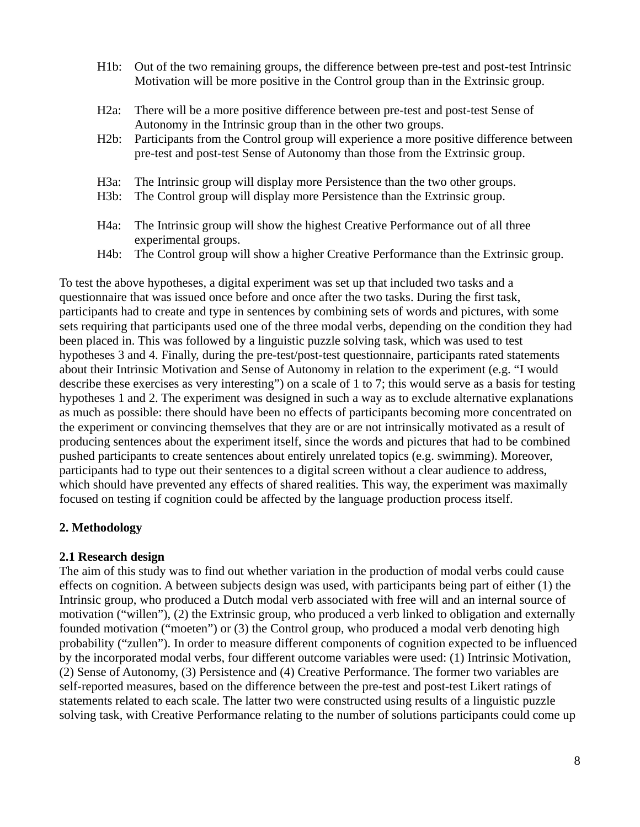- H1b: Out of the two remaining groups, the difference between pre-test and post-test Intrinsic Motivation will be more positive in the Control group than in the Extrinsic group.
- H2a: There will be a more positive difference between pre-test and post-test Sense of Autonomy in the Intrinsic group than in the other two groups.
- H2b: Participants from the Control group will experience a more positive difference between pre-test and post-test Sense of Autonomy than those from the Extrinsic group.
- H3a: The Intrinsic group will display more Persistence than the two other groups.
- H3b: The Control group will display more Persistence than the Extrinsic group.
- H4a: The Intrinsic group will show the highest Creative Performance out of all three experimental groups.
- H4b: The Control group will show a higher Creative Performance than the Extrinsic group.

To test the above hypotheses, a digital experiment was set up that included two tasks and a questionnaire that was issued once before and once after the two tasks. During the first task, participants had to create and type in sentences by combining sets of words and pictures, with some sets requiring that participants used one of the three modal verbs, depending on the condition they had been placed in. This was followed by a linguistic puzzle solving task, which was used to test hypotheses 3 and 4. Finally, during the pre-test/post-test questionnaire, participants rated statements about their Intrinsic Motivation and Sense of Autonomy in relation to the experiment (e.g. "I would describe these exercises as very interesting") on a scale of 1 to 7; this would serve as a basis for testing hypotheses 1 and 2. The experiment was designed in such a way as to exclude alternative explanations as much as possible: there should have been no effects of participants becoming more concentrated on the experiment or convincing themselves that they are or are not intrinsically motivated as a result of producing sentences about the experiment itself, since the words and pictures that had to be combined pushed participants to create sentences about entirely unrelated topics (e.g. swimming). Moreover, participants had to type out their sentences to a digital screen without a clear audience to address, which should have prevented any effects of shared realities. This way, the experiment was maximally focused on testing if cognition could be affected by the language production process itself.

#### **2. Methodology**

#### **2.1 Research design**

The aim of this study was to find out whether variation in the production of modal verbs could cause effects on cognition. A between subjects design was used, with participants being part of either (1) the Intrinsic group, who produced a Dutch modal verb associated with free will and an internal source of motivation ("willen"), (2) the Extrinsic group, who produced a verb linked to obligation and externally founded motivation ("moeten") or (3) the Control group, who produced a modal verb denoting high probability ("zullen"). In order to measure different components of cognition expected to be influenced by the incorporated modal verbs, four different outcome variables were used: (1) Intrinsic Motivation, (2) Sense of Autonomy, (3) Persistence and (4) Creative Performance. The former two variables are self-reported measures, based on the difference between the pre-test and post-test Likert ratings of statements related to each scale. The latter two were constructed using results of a linguistic puzzle solving task, with Creative Performance relating to the number of solutions participants could come up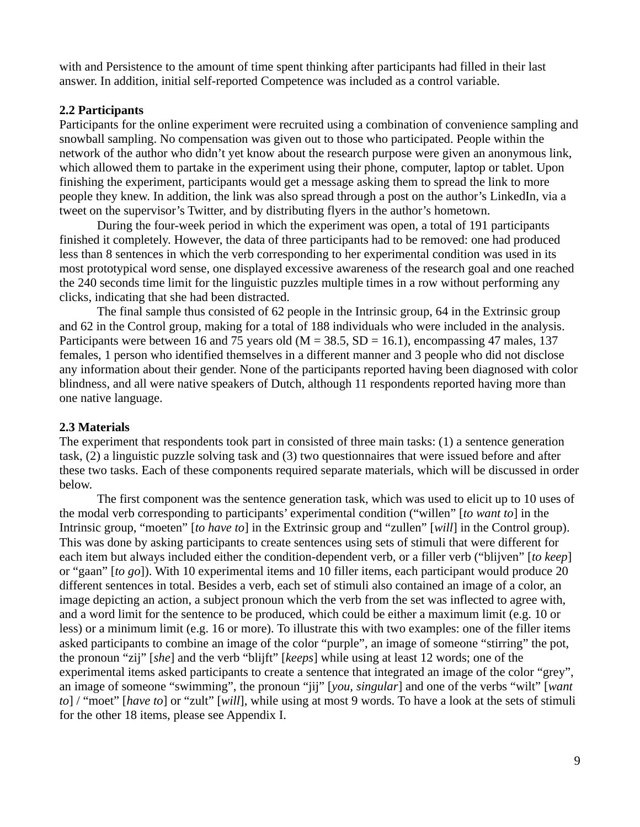with and Persistence to the amount of time spent thinking after participants had filled in their last answer. In addition, initial self-reported Competence was included as a control variable.

#### **2.2 Participants**

Participants for the online experiment were recruited using a combination of convenience sampling and snowball sampling. No compensation was given out to those who participated. People within the network of the author who didn't yet know about the research purpose were given an anonymous link, which allowed them to partake in the experiment using their phone, computer, laptop or tablet. Upon finishing the experiment, participants would get a message asking them to spread the link to more people they knew. In addition, the link was also spread through a post on the author's LinkedIn, via a tweet on the supervisor's Twitter, and by distributing flyers in the author's hometown.

During the four-week period in which the experiment was open, a total of 191 participants finished it completely. However, the data of three participants had to be removed: one had produced less than 8 sentences in which the verb corresponding to her experimental condition was used in its most prototypical word sense, one displayed excessive awareness of the research goal and one reached the 240 seconds time limit for the linguistic puzzles multiple times in a row without performing any clicks, indicating that she had been distracted.

The final sample thus consisted of 62 people in the Intrinsic group, 64 in the Extrinsic group and 62 in the Control group, making for a total of 188 individuals who were included in the analysis. Participants were between 16 and 75 years old ( $M = 38.5$ , SD = 16.1), encompassing 47 males, 137 females, 1 person who identified themselves in a different manner and 3 people who did not disclose any information about their gender. None of the participants reported having been diagnosed with color blindness, and all were native speakers of Dutch, although 11 respondents reported having more than one native language.

# **2.3 Materials**

The experiment that respondents took part in consisted of three main tasks: (1) a sentence generation task, (2) a linguistic puzzle solving task and (3) two questionnaires that were issued before and after these two tasks. Each of these components required separate materials, which will be discussed in order below.

The first component was the sentence generation task, which was used to elicit up to 10 uses of the modal verb corresponding to participants' experimental condition ("willen" [*to want to*] in the Intrinsic group, "moeten" [*to have to*] in the Extrinsic group and "zullen" [*will*] in the Control group). This was done by asking participants to create sentences using sets of stimuli that were different for each item but always included either the condition-dependent verb, or a filler verb ("blijven" [*to keep*] or "gaan" [*to go*]). With 10 experimental items and 10 filler items, each participant would produce 20 different sentences in total. Besides a verb, each set of stimuli also contained an image of a color, an image depicting an action, a subject pronoun which the verb from the set was inflected to agree with, and a word limit for the sentence to be produced, which could be either a maximum limit (e.g. 10 or less) or a minimum limit (e.g. 16 or more). To illustrate this with two examples: one of the filler items asked participants to combine an image of the color "purple", an image of someone "stirring" the pot, the pronoun "zij" [*she*] and the verb "blijft" [*keeps*] while using at least 12 words; one of the experimental items asked participants to create a sentence that integrated an image of the color "grey", an image of someone "swimming", the pronoun "jij" [*you, singular*] and one of the verbs "wilt" [*want to*] / "moet" [*have to*] or "zult" [*will*], while using at most 9 words. To have a look at the sets of stimuli for the other 18 items, please see Appendix I.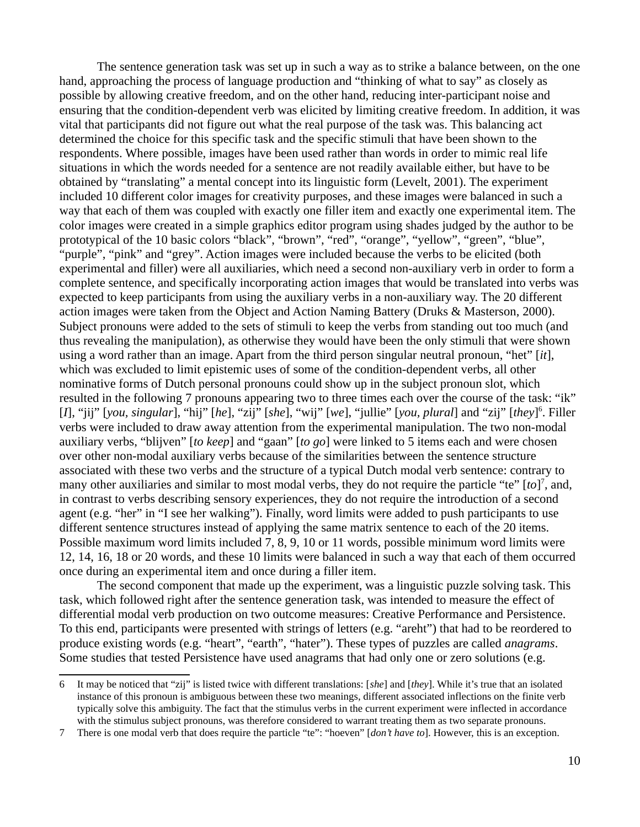The sentence generation task was set up in such a way as to strike a balance between, on the one hand, approaching the process of language production and "thinking of what to say" as closely as possible by allowing creative freedom, and on the other hand, reducing inter-participant noise and ensuring that the condition-dependent verb was elicited by limiting creative freedom. In addition, it was vital that participants did not figure out what the real purpose of the task was. This balancing act determined the choice for this specific task and the specific stimuli that have been shown to the respondents. Where possible, images have been used rather than words in order to mimic real life situations in which the words needed for a sentence are not readily available either, but have to be obtained by "translating" a mental concept into its linguistic form (Levelt, 2001). The experiment included 10 different color images for creativity purposes, and these images were balanced in such a way that each of them was coupled with exactly one filler item and exactly one experimental item. The color images were created in a simple graphics editor program using shades judged by the author to be prototypical of the 10 basic colors "black", "brown", "red", "orange", "yellow", "green", "blue", "purple", "pink" and "grey". Action images were included because the verbs to be elicited (both experimental and filler) were all auxiliaries, which need a second non-auxiliary verb in order to form a complete sentence, and specifically incorporating action images that would be translated into verbs was expected to keep participants from using the auxiliary verbs in a non-auxiliary way. The 20 different action images were taken from the Object and Action Naming Battery (Druks & Masterson, 2000). Subject pronouns were added to the sets of stimuli to keep the verbs from standing out too much (and thus revealing the manipulation), as otherwise they would have been the only stimuli that were shown using a word rather than an image. Apart from the third person singular neutral pronoun, "het" [*it*], which was excluded to limit epistemic uses of some of the condition-dependent verbs, all other nominative forms of Dutch personal pronouns could show up in the subject pronoun slot, which resulted in the following 7 pronouns appearing two to three times each over the course of the task: "ik" [*I*], "jij" [*you, singular*], "hij" [*he*], "zij" [*she*], "wij" [*we*], "jullie" [*you, plural*] and "zij" [*they*] [6](#page-12-0) . Filler verbs were included to draw away attention from the experimental manipulation. The two non-modal auxiliary verbs, "blijven" [*to keep*] and "gaan" [*to go*] were linked to 5 items each and were chosen over other non-modal auxiliary verbs because of the similarities between the sentence structure associated with these two verbs and the structure of a typical Dutch modal verb sentence: contrary to many other auxiliaries and similar to most modal verbs, they do not require the particle "te" [to]<sup>[7](#page-12-1)</sup>, and, in contrast to verbs describing sensory experiences, they do not require the introduction of a second agent (e.g. "her" in "I see her walking"). Finally, word limits were added to push participants to use different sentence structures instead of applying the same matrix sentence to each of the 20 items. Possible maximum word limits included 7, 8, 9, 10 or 11 words, possible minimum word limits were 12, 14, 16, 18 or 20 words, and these 10 limits were balanced in such a way that each of them occurred once during an experimental item and once during a filler item.

The second component that made up the experiment, was a linguistic puzzle solving task. This task, which followed right after the sentence generation task, was intended to measure the effect of differential modal verb production on two outcome measures: Creative Performance and Persistence. To this end, participants were presented with strings of letters (e.g. "areht") that had to be reordered to produce existing words (e.g. "heart", "earth", "hater"). These types of puzzles are called *anagrams*. Some studies that tested Persistence have used anagrams that had only one or zero solutions (e.g.

<span id="page-12-0"></span><sup>6</sup> It may be noticed that "zij" is listed twice with different translations: [*she*] and [*they*]. While it's true that an isolated instance of this pronoun is ambiguous between these two meanings, different associated inflections on the finite verb typically solve this ambiguity. The fact that the stimulus verbs in the current experiment were inflected in accordance with the stimulus subject pronouns, was therefore considered to warrant treating them as two separate pronouns.

<span id="page-12-1"></span><sup>7</sup> There is one modal verb that does require the particle "te": "hoeven" [*don't have to*]. However, this is an exception.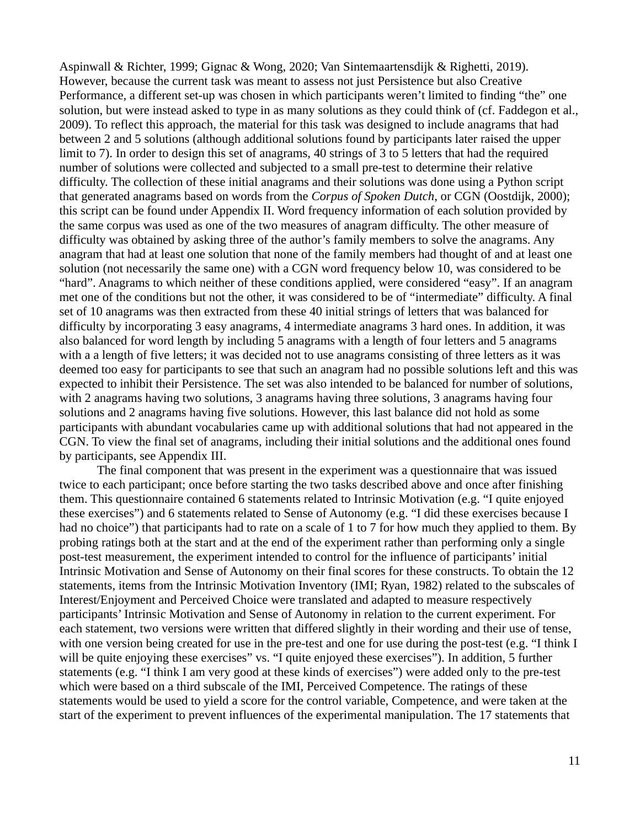Aspinwall & Richter, 1999; Gignac & Wong, 2020; Van Sintemaartensdijk & Righetti, 2019). However, because the current task was meant to assess not just Persistence but also Creative Performance, a different set-up was chosen in which participants weren't limited to finding "the" one solution, but were instead asked to type in as many solutions as they could think of (cf. Faddegon et al., 2009). To reflect this approach, the material for this task was designed to include anagrams that had between 2 and 5 solutions (although additional solutions found by participants later raised the upper limit to 7). In order to design this set of anagrams, 40 strings of 3 to 5 letters that had the required number of solutions were collected and subjected to a small pre-test to determine their relative difficulty. The collection of these initial anagrams and their solutions was done using a Python script that generated anagrams based on words from the *Corpus of Spoken Dutch*, or CGN (Oostdijk, 2000); this script can be found under Appendix II. Word frequency information of each solution provided by the same corpus was used as one of the two measures of anagram difficulty. The other measure of difficulty was obtained by asking three of the author's family members to solve the anagrams. Any anagram that had at least one solution that none of the family members had thought of and at least one solution (not necessarily the same one) with a CGN word frequency below 10, was considered to be "hard". Anagrams to which neither of these conditions applied, were considered "easy". If an anagram met one of the conditions but not the other, it was considered to be of "intermediate" difficulty. A final set of 10 anagrams was then extracted from these 40 initial strings of letters that was balanced for difficulty by incorporating 3 easy anagrams, 4 intermediate anagrams 3 hard ones. In addition, it was also balanced for word length by including 5 anagrams with a length of four letters and 5 anagrams with a a length of five letters; it was decided not to use anagrams consisting of three letters as it was deemed too easy for participants to see that such an anagram had no possible solutions left and this was expected to inhibit their Persistence. The set was also intended to be balanced for number of solutions, with 2 anagrams having two solutions, 3 anagrams having three solutions, 3 anagrams having four solutions and 2 anagrams having five solutions. However, this last balance did not hold as some participants with abundant vocabularies came up with additional solutions that had not appeared in the CGN. To view the final set of anagrams, including their initial solutions and the additional ones found by participants, see Appendix III.

The final component that was present in the experiment was a questionnaire that was issued twice to each participant; once before starting the two tasks described above and once after finishing them. This questionnaire contained 6 statements related to Intrinsic Motivation (e.g. "I quite enjoyed these exercises") and 6 statements related to Sense of Autonomy (e.g. "I did these exercises because I had no choice") that participants had to rate on a scale of 1 to 7 for how much they applied to them. By probing ratings both at the start and at the end of the experiment rather than performing only a single post-test measurement, the experiment intended to control for the influence of participants' initial Intrinsic Motivation and Sense of Autonomy on their final scores for these constructs. To obtain the 12 statements, items from the Intrinsic Motivation Inventory (IMI; Ryan, 1982) related to the subscales of Interest/Enjoyment and Perceived Choice were translated and adapted to measure respectively participants' Intrinsic Motivation and Sense of Autonomy in relation to the current experiment. For each statement, two versions were written that differed slightly in their wording and their use of tense, with one version being created for use in the pre-test and one for use during the post-test (e.g. "I think I will be quite enjoying these exercises" vs. "I quite enjoyed these exercises"). In addition, 5 further statements (e.g. "I think I am very good at these kinds of exercises") were added only to the pre-test which were based on a third subscale of the IMI, Perceived Competence. The ratings of these statements would be used to yield a score for the control variable, Competence, and were taken at the start of the experiment to prevent influences of the experimental manipulation. The 17 statements that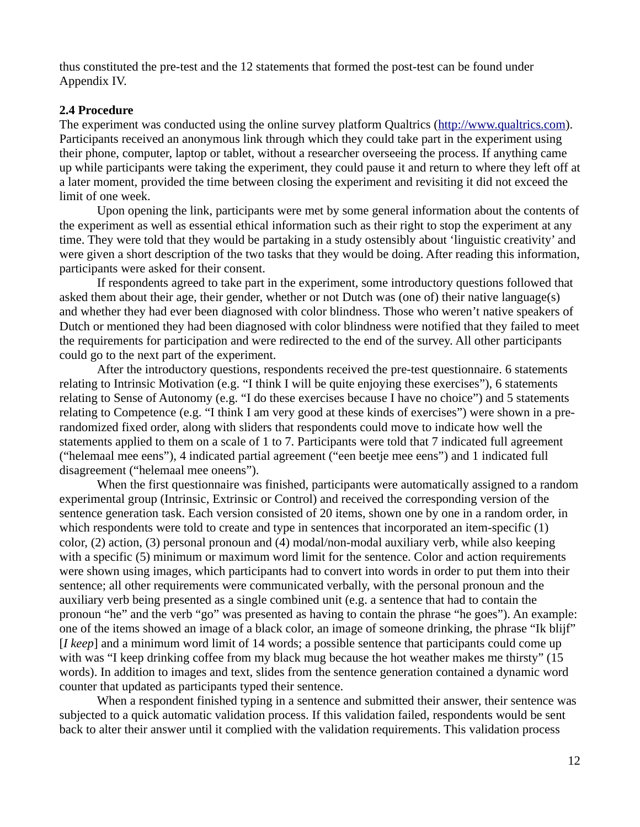thus constituted the pre-test and the 12 statements that formed the post-test can be found under Appendix IV.

#### **2.4 Procedure**

The experiment was conducted using the online survey platform Qualtrics [\(http://www.qualtrics.com](http://www.qualtrics.com/)). Participants received an anonymous link through which they could take part in the experiment using their phone, computer, laptop or tablet, without a researcher overseeing the process. If anything came up while participants were taking the experiment, they could pause it and return to where they left off at a later moment, provided the time between closing the experiment and revisiting it did not exceed the limit of one week.

Upon opening the link, participants were met by some general information about the contents of the experiment as well as essential ethical information such as their right to stop the experiment at any time. They were told that they would be partaking in a study ostensibly about 'linguistic creativity' and were given a short description of the two tasks that they would be doing. After reading this information, participants were asked for their consent.

If respondents agreed to take part in the experiment, some introductory questions followed that asked them about their age, their gender, whether or not Dutch was (one of) their native language(s) and whether they had ever been diagnosed with color blindness. Those who weren't native speakers of Dutch or mentioned they had been diagnosed with color blindness were notified that they failed to meet the requirements for participation and were redirected to the end of the survey. All other participants could go to the next part of the experiment.

After the introductory questions, respondents received the pre-test questionnaire. 6 statements relating to Intrinsic Motivation (e.g. "I think I will be quite enjoying these exercises"), 6 statements relating to Sense of Autonomy (e.g. "I do these exercises because I have no choice") and 5 statements relating to Competence (e.g. "I think I am very good at these kinds of exercises") were shown in a prerandomized fixed order, along with sliders that respondents could move to indicate how well the statements applied to them on a scale of 1 to 7. Participants were told that 7 indicated full agreement ("helemaal mee eens"), 4 indicated partial agreement ("een beetje mee eens") and 1 indicated full disagreement ("helemaal mee oneens").

When the first questionnaire was finished, participants were automatically assigned to a random experimental group (Intrinsic, Extrinsic or Control) and received the corresponding version of the sentence generation task. Each version consisted of 20 items, shown one by one in a random order, in which respondents were told to create and type in sentences that incorporated an item-specific (1) color, (2) action, (3) personal pronoun and (4) modal/non-modal auxiliary verb, while also keeping with a specific (5) minimum or maximum word limit for the sentence. Color and action requirements were shown using images, which participants had to convert into words in order to put them into their sentence; all other requirements were communicated verbally, with the personal pronoun and the auxiliary verb being presented as a single combined unit (e.g. a sentence that had to contain the pronoun "he" and the verb "go" was presented as having to contain the phrase "he goes"). An example: one of the items showed an image of a black color, an image of someone drinking, the phrase "Ik blijf" [*I keep*] and a minimum word limit of 14 words; a possible sentence that participants could come up with was "I keep drinking coffee from my black mug because the hot weather makes me thirsty" (15 words). In addition to images and text, slides from the sentence generation contained a dynamic word counter that updated as participants typed their sentence.

When a respondent finished typing in a sentence and submitted their answer, their sentence was subjected to a quick automatic validation process. If this validation failed, respondents would be sent back to alter their answer until it complied with the validation requirements. This validation process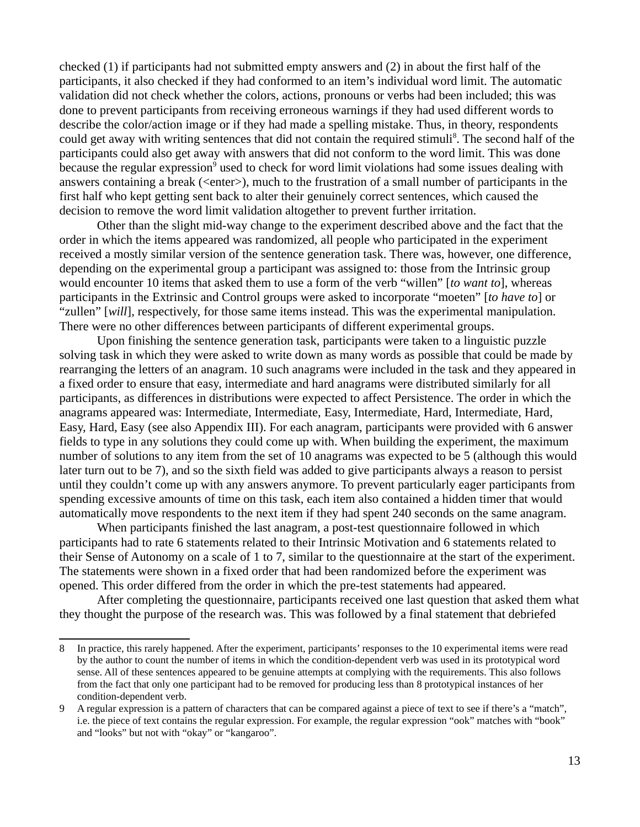checked (1) if participants had not submitted empty answers and (2) in about the first half of the participants, it also checked if they had conformed to an item's individual word limit. The automatic validation did not check whether the colors, actions, pronouns or verbs had been included; this was done to prevent participants from receiving erroneous warnings if they had used different words to describe the color/action image or if they had made a spelling mistake. Thus, in theory, respondents could get away with writing sentences that did not contain the required stimuli<sup>[8](#page-15-0)</sup>. The second half of the participants could also get away with answers that did not conform to the word limit. This was done because the regular expression<sup>[9](#page-15-1)</sup> used to check for word limit violations had some issues dealing with answers containing a break ( $\leq$ enter $\geq$ ), much to the frustration of a small number of participants in the first half who kept getting sent back to alter their genuinely correct sentences, which caused the decision to remove the word limit validation altogether to prevent further irritation.

Other than the slight mid-way change to the experiment described above and the fact that the order in which the items appeared was randomized, all people who participated in the experiment received a mostly similar version of the sentence generation task. There was, however, one difference, depending on the experimental group a participant was assigned to: those from the Intrinsic group would encounter 10 items that asked them to use a form of the verb "willen" [*to want to*], whereas participants in the Extrinsic and Control groups were asked to incorporate "moeten" [*to have to*] or "zullen" [*will*], respectively, for those same items instead. This was the experimental manipulation. There were no other differences between participants of different experimental groups.

Upon finishing the sentence generation task, participants were taken to a linguistic puzzle solving task in which they were asked to write down as many words as possible that could be made by rearranging the letters of an anagram. 10 such anagrams were included in the task and they appeared in a fixed order to ensure that easy, intermediate and hard anagrams were distributed similarly for all participants, as differences in distributions were expected to affect Persistence. The order in which the anagrams appeared was: Intermediate, Intermediate, Easy, Intermediate, Hard, Intermediate, Hard, Easy, Hard, Easy (see also Appendix III). For each anagram, participants were provided with 6 answer fields to type in any solutions they could come up with. When building the experiment, the maximum number of solutions to any item from the set of 10 anagrams was expected to be 5 (although this would later turn out to be 7), and so the sixth field was added to give participants always a reason to persist until they couldn't come up with any answers anymore. To prevent particularly eager participants from spending excessive amounts of time on this task, each item also contained a hidden timer that would automatically move respondents to the next item if they had spent 240 seconds on the same anagram.

When participants finished the last anagram, a post-test questionnaire followed in which participants had to rate 6 statements related to their Intrinsic Motivation and 6 statements related to their Sense of Autonomy on a scale of 1 to 7, similar to the questionnaire at the start of the experiment. The statements were shown in a fixed order that had been randomized before the experiment was opened. This order differed from the order in which the pre-test statements had appeared.

After completing the questionnaire, participants received one last question that asked them what they thought the purpose of the research was. This was followed by a final statement that debriefed

<span id="page-15-0"></span><sup>8</sup> In practice, this rarely happened. After the experiment, participants' responses to the 10 experimental items were read by the author to count the number of items in which the condition-dependent verb was used in its prototypical word sense. All of these sentences appeared to be genuine attempts at complying with the requirements. This also follows from the fact that only one participant had to be removed for producing less than 8 prototypical instances of her condition-dependent verb.

<span id="page-15-1"></span><sup>9</sup> A regular expression is a pattern of characters that can be compared against a piece of text to see if there's a "match", i.e. the piece of text contains the regular expression. For example, the regular expression "ook" matches with "book" and "looks" but not with "okay" or "kangaroo".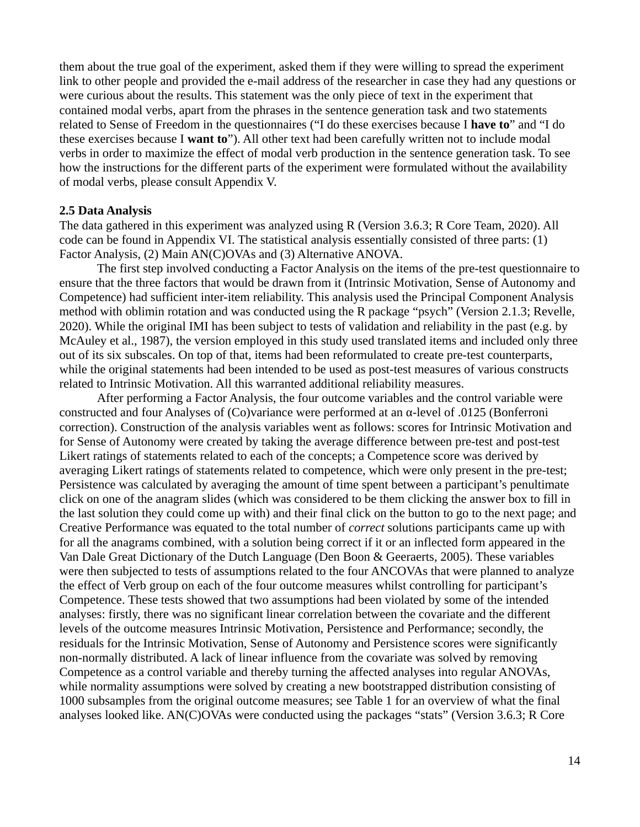them about the true goal of the experiment, asked them if they were willing to spread the experiment link to other people and provided the e-mail address of the researcher in case they had any questions or were curious about the results. This statement was the only piece of text in the experiment that contained modal verbs, apart from the phrases in the sentence generation task and two statements related to Sense of Freedom in the questionnaires ("I do these exercises because I **have to**" and "I do these exercises because I **want to**"). All other text had been carefully written not to include modal verbs in order to maximize the effect of modal verb production in the sentence generation task. To see how the instructions for the different parts of the experiment were formulated without the availability of modal verbs, please consult Appendix V.

#### **2.5 Data Analysis**

The data gathered in this experiment was analyzed using R (Version 3.6.3; R Core Team, 2020). All code can be found in Appendix VI. The statistical analysis essentially consisted of three parts: (1) Factor Analysis, (2) Main AN(C)OVAs and (3) Alternative ANOVA.

The first step involved conducting a Factor Analysis on the items of the pre-test questionnaire to ensure that the three factors that would be drawn from it (Intrinsic Motivation, Sense of Autonomy and Competence) had sufficient inter-item reliability. This analysis used the Principal Component Analysis method with oblimin rotation and was conducted using the R package "psych" (Version 2.1.3; Revelle, 2020). While the original IMI has been subject to tests of validation and reliability in the past (e.g. by McAuley et al., 1987), the version employed in this study used translated items and included only three out of its six subscales. On top of that, items had been reformulated to create pre-test counterparts, while the original statements had been intended to be used as post-test measures of various constructs related to Intrinsic Motivation. All this warranted additional reliability measures.

After performing a Factor Analysis, the four outcome variables and the control variable were constructed and four Analyses of (Co)variance were performed at an α-level of .0125 (Bonferroni correction). Construction of the analysis variables went as follows: scores for Intrinsic Motivation and for Sense of Autonomy were created by taking the average difference between pre-test and post-test Likert ratings of statements related to each of the concepts; a Competence score was derived by averaging Likert ratings of statements related to competence, which were only present in the pre-test; Persistence was calculated by averaging the amount of time spent between a participant's penultimate click on one of the anagram slides (which was considered to be them clicking the answer box to fill in the last solution they could come up with) and their final click on the button to go to the next page; and Creative Performance was equated to the total number of *correct* solutions participants came up with for all the anagrams combined, with a solution being correct if it or an inflected form appeared in the Van Dale Great Dictionary of the Dutch Language (Den Boon & Geeraerts, 2005). These variables were then subjected to tests of assumptions related to the four ANCOVAs that were planned to analyze the effect of Verb group on each of the four outcome measures whilst controlling for participant's Competence. These tests showed that two assumptions had been violated by some of the intended analyses: firstly, there was no significant linear correlation between the covariate and the different levels of the outcome measures Intrinsic Motivation, Persistence and Performance; secondly, the residuals for the Intrinsic Motivation, Sense of Autonomy and Persistence scores were significantly non-normally distributed. A lack of linear influence from the covariate was solved by removing Competence as a control variable and thereby turning the affected analyses into regular ANOVAs, while normality assumptions were solved by creating a new bootstrapped distribution consisting of 1000 subsamples from the original outcome measures; see Table 1 for an overview of what the final analyses looked like. AN(C)OVAs were conducted using the packages "stats" (Version 3.6.3; R Core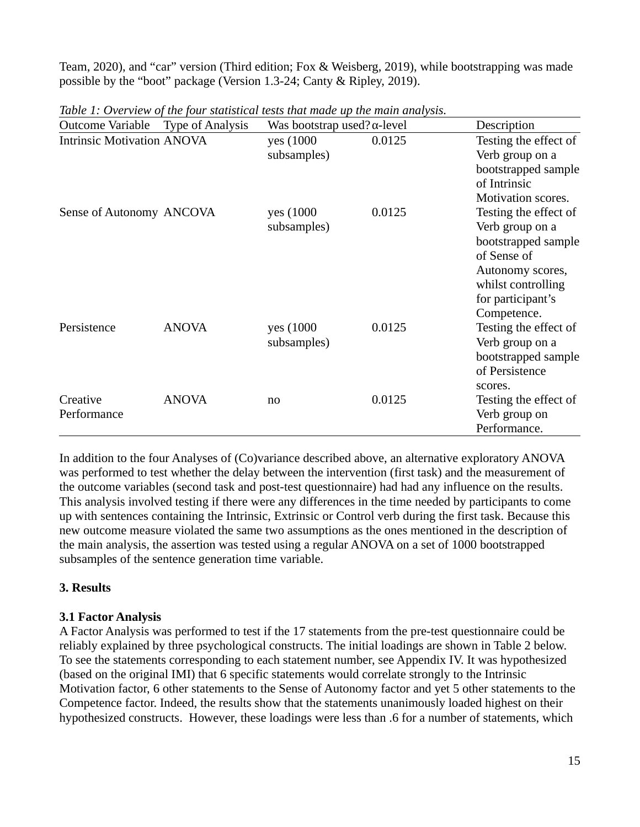Team, 2020), and "car" version (Third edition; Fox & Weisberg, 2019), while bootstrapping was made possible by the "boot" package (Version 1.3-24; Canty & Ripley, 2019).

| Outcome Variable                  | <b>Type of Analysis</b> | Was bootstrap used? $\alpha$ -level |        | Description                                                                                                                                                  |
|-----------------------------------|-------------------------|-------------------------------------|--------|--------------------------------------------------------------------------------------------------------------------------------------------------------------|
| <b>Intrinsic Motivation ANOVA</b> |                         | yes (1000)<br>subsamples)           | 0.0125 | Testing the effect of<br>Verb group on a<br>bootstrapped sample<br>of Intrinsic<br>Motivation scores.                                                        |
| Sense of Autonomy ANCOVA          |                         | yes (1000<br>subsamples)            | 0.0125 | Testing the effect of<br>Verb group on a<br>bootstrapped sample<br>of Sense of<br>Autonomy scores,<br>whilst controlling<br>for participant's<br>Competence. |
| Persistence                       | <b>ANOVA</b>            | yes (1000<br>subsamples)            | 0.0125 | Testing the effect of<br>Verb group on a<br>bootstrapped sample<br>of Persistence<br>scores.                                                                 |
| Creative<br>Performance           | <b>ANOVA</b>            | no                                  | 0.0125 | Testing the effect of<br>Verb group on<br>Performance.                                                                                                       |

*Table 1: Overview of the four statistical tests that made up the main analysis.*

In addition to the four Analyses of (Co)variance described above, an alternative exploratory ANOVA was performed to test whether the delay between the intervention (first task) and the measurement of the outcome variables (second task and post-test questionnaire) had had any influence on the results. This analysis involved testing if there were any differences in the time needed by participants to come up with sentences containing the Intrinsic, Extrinsic or Control verb during the first task. Because this new outcome measure violated the same two assumptions as the ones mentioned in the description of the main analysis, the assertion was tested using a regular ANOVA on a set of 1000 bootstrapped subsamples of the sentence generation time variable.

# **3. Results**

# **3.1 Factor Analysis**

A Factor Analysis was performed to test if the 17 statements from the pre-test questionnaire could be reliably explained by three psychological constructs. The initial loadings are shown in Table 2 below. To see the statements corresponding to each statement number, see Appendix IV. It was hypothesized (based on the original IMI) that 6 specific statements would correlate strongly to the Intrinsic Motivation factor, 6 other statements to the Sense of Autonomy factor and yet 5 other statements to the Competence factor. Indeed, the results show that the statements unanimously loaded highest on their hypothesized constructs. However, these loadings were less than .6 for a number of statements, which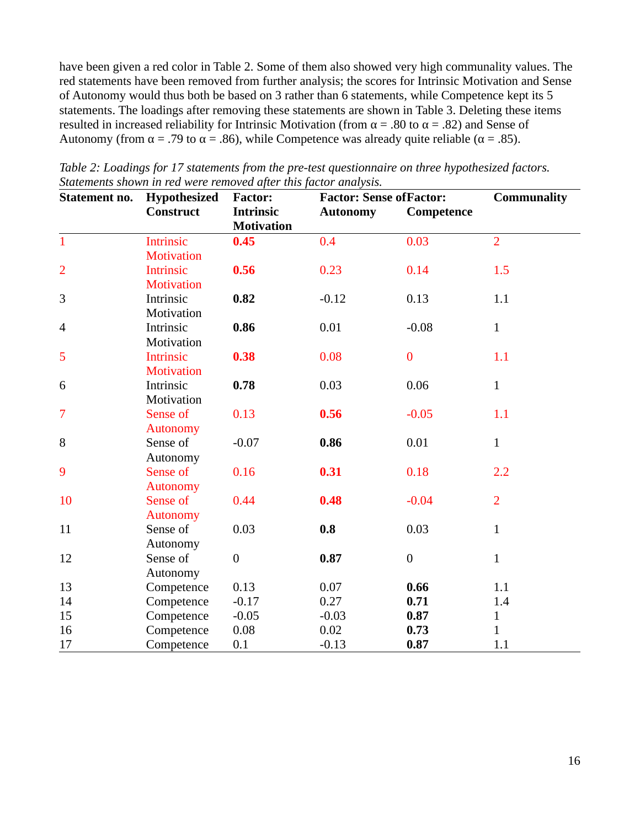have been given a red color in Table 2. Some of them also showed very high communality values. The red statements have been removed from further analysis; the scores for Intrinsic Motivation and Sense of Autonomy would thus both be based on 3 rather than 6 statements, while Competence kept its 5 statements. The loadings after removing these statements are shown in Table 3. Deleting these items resulted in increased reliability for Intrinsic Motivation (from  $\alpha$  = .80 to  $\alpha$  = .82) and Sense of Autonomy (from  $\alpha$  = .79 to  $\alpha$  = .86), while Competence was already quite reliable ( $\alpha$  = .85).

| Statement no.  | Hypothesized<br><b>Construct</b> | <b>Factor:</b><br><b>Intrinsic</b><br><b>Motivation</b> | <b>Factor: Sense of Factor:</b><br><b>Autonomy</b><br>Competence |                  | <b>Communality</b> |
|----------------|----------------------------------|---------------------------------------------------------|------------------------------------------------------------------|------------------|--------------------|
| $\mathbf{1}$   | <b>Intrinsic</b>                 | 0.45                                                    | 0.4                                                              | 0.03             | $\overline{2}$     |
|                | <b>Motivation</b>                |                                                         |                                                                  |                  |                    |
| $\overline{2}$ | <b>Intrinsic</b>                 | 0.56                                                    | 0.23                                                             | 0.14             | 1.5                |
|                | <b>Motivation</b>                |                                                         |                                                                  |                  |                    |
| 3              | Intrinsic                        | 0.82                                                    | $-0.12$                                                          | 0.13             | 1.1                |
|                | Motivation                       |                                                         |                                                                  |                  |                    |
| $\overline{4}$ | Intrinsic                        | 0.86                                                    | 0.01                                                             | $-0.08$          | $\mathbf{1}$       |
|                | Motivation                       |                                                         |                                                                  |                  |                    |
| 5              | <b>Intrinsic</b>                 | 0.38                                                    | 0.08                                                             | $\boldsymbol{0}$ | 1.1                |
|                | <b>Motivation</b>                |                                                         |                                                                  |                  |                    |
| 6              | Intrinsic                        | 0.78                                                    | 0.03                                                             | 0.06             | $\mathbf{1}$       |
|                | Motivation                       |                                                         |                                                                  |                  |                    |
| $\overline{7}$ | Sense of                         | 0.13                                                    | 0.56                                                             | $-0.05$          | 1.1                |
|                | <b>Autonomy</b>                  |                                                         |                                                                  |                  |                    |
| 8              | Sense of                         | $-0.07$                                                 | 0.86                                                             | 0.01             | $\mathbf{1}$       |
|                | Autonomy                         |                                                         |                                                                  |                  |                    |
| 9              | Sense of                         | 0.16                                                    | 0.31                                                             | 0.18             | 2.2                |
| 10             | <b>Autonomy</b><br>Sense of      | 0.44                                                    | 0.48                                                             | $-0.04$          | $\overline{2}$     |
|                | <b>Autonomy</b>                  |                                                         |                                                                  |                  |                    |
| 11             | Sense of                         | 0.03                                                    | 0.8                                                              | 0.03             | $\mathbf{1}$       |
|                | Autonomy                         |                                                         |                                                                  |                  |                    |
| 12             | Sense of                         | $\boldsymbol{0}$                                        | 0.87                                                             | $\boldsymbol{0}$ | $\mathbf{1}$       |
|                | Autonomy                         |                                                         |                                                                  |                  |                    |
| 13             | Competence                       | 0.13                                                    | 0.07                                                             | 0.66             | 1.1                |
| 14             | Competence                       | $-0.17$                                                 | 0.27                                                             | 0.71             | 1.4                |
| 15             | Competence                       | $-0.05$                                                 | $-0.03$                                                          | 0.87             | $\mathbf{1}$       |
| 16             | Competence                       | 0.08                                                    | 0.02                                                             | 0.73             | $\mathbf{1}$       |
| 17             | Competence                       | 0.1                                                     | $-0.13$                                                          | 0.87             | 1.1                |

*Table 2: Loadings for 17 statements from the pre-test questionnaire on three hypothesized factors. Statements shown in red were removed after this factor analysis.*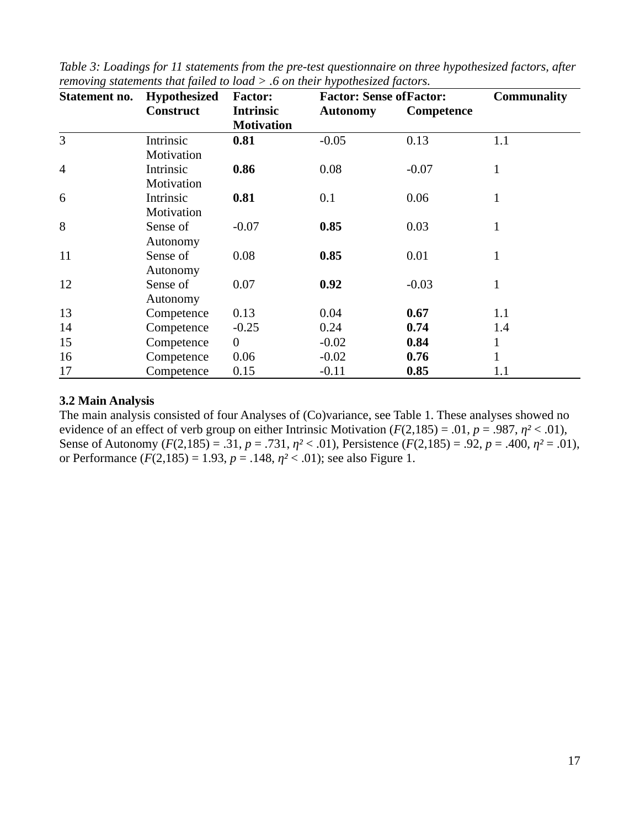| Statement no.  | Hypothesized     | <b>Factor:</b>    | <b>Factor: Sense of Factor:</b> |            |              |  |
|----------------|------------------|-------------------|---------------------------------|------------|--------------|--|
|                | <b>Construct</b> | <b>Intrinsic</b>  | <b>Autonomy</b>                 | Competence |              |  |
|                |                  | <b>Motivation</b> |                                 |            |              |  |
| 3              | Intrinsic        | 0.81              | $-0.05$                         | 0.13       | 1.1          |  |
|                | Motivation       |                   |                                 |            |              |  |
| $\overline{4}$ | Intrinsic        | 0.86              | 0.08                            | $-0.07$    | $\mathbf{1}$ |  |
|                | Motivation       |                   |                                 |            |              |  |
| 6              | Intrinsic        | 0.81              | 0.1                             | 0.06       | 1            |  |
|                | Motivation       |                   |                                 |            |              |  |
| 8              | Sense of         | $-0.07$           | 0.85                            | 0.03       | $\mathbf{1}$ |  |
|                | Autonomy         |                   |                                 |            |              |  |
| 11             | Sense of         | 0.08              | 0.85                            | 0.01       | $\mathbf{1}$ |  |
|                | Autonomy         |                   |                                 |            |              |  |
| 12             | Sense of         | 0.07              | 0.92                            | $-0.03$    | $\mathbf{1}$ |  |
|                | Autonomy         |                   |                                 |            |              |  |
| 13             | Competence       | 0.13              | 0.04                            | 0.67       | 1.1          |  |
| 14             | Competence       | $-0.25$           | 0.24                            | 0.74       | 1.4          |  |
| 15             | Competence       | $\boldsymbol{0}$  | $-0.02$                         | 0.84       | $\mathbf{1}$ |  |
| 16             | Competence       | 0.06              | $-0.02$                         | 0.76       | $\mathbf{1}$ |  |
| 17             | Competence       | 0.15              | $-0.11$                         | 0.85       | 1.1          |  |

*Table 3: Loadings for 11 statements from the pre-test questionnaire on three hypothesized factors, after removing statements that failed to load > .6 on their hypothesized factors.*

#### **3.2 Main Analysis**

The main analysis consisted of four Analyses of (Co)variance, see Table 1. These analyses showed no evidence of an effect of verb group on either Intrinsic Motivation (*F*(2,185) = .01, *p* = .987, *η²* < .01), Sense of Autonomy (*F*(2,185) = .31, *p* = .731, *η²* < .01), Persistence (*F*(2,185) = .92, *p* = .400, *η²* = .01), or Performance  $(F(2, 185) = 1.93, p = .148, \eta^2 < .01)$ ; see also Figure 1.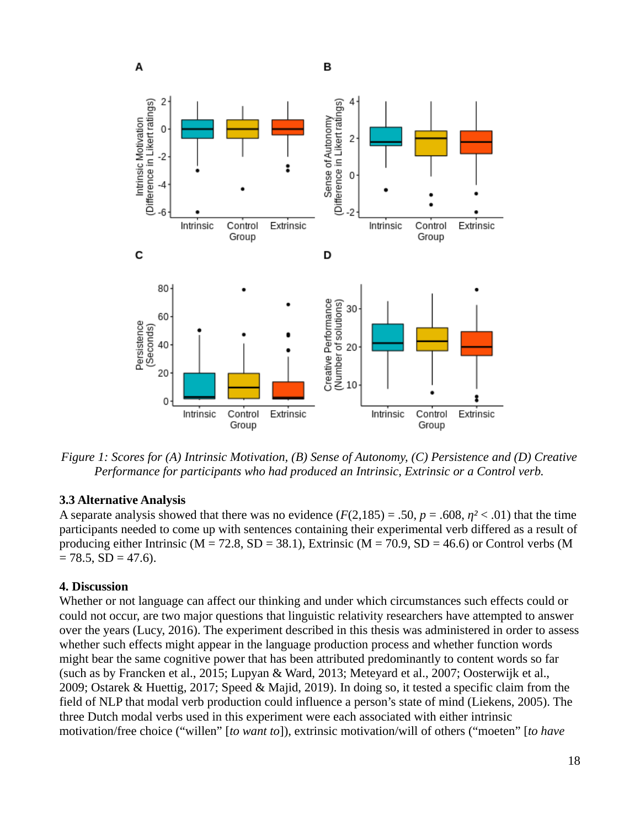

*Figure 1: Scores for (A) Intrinsic Motivation, (B) Sense of Autonomy, (C) Persistence and (D) Creative Performance for participants who had produced an Intrinsic, Extrinsic or a Control verb.*

#### **3.3 Alternative Analysis**

A separate analysis showed that there was no evidence  $(F(2,185) = .50, p = .608, \eta^2 < .01)$  that the time participants needed to come up with sentences containing their experimental verb differed as a result of producing either Intrinsic ( $M = 72.8$ ,  $SD = 38.1$ ), Extrinsic ( $M = 70.9$ ,  $SD = 46.6$ ) or Control verbs (M  $= 78.5, SD = 47.6$ .

#### **4. Discussion**

Whether or not language can affect our thinking and under which circumstances such effects could or could not occur, are two major questions that linguistic relativity researchers have attempted to answer over the years (Lucy, 2016). The experiment described in this thesis was administered in order to assess whether such effects might appear in the language production process and whether function words might bear the same cognitive power that has been attributed predominantly to content words so far (such as by Francken et al., 2015; Lupyan & Ward, 2013; Meteyard et al., 2007; Oosterwijk et al., 2009; Ostarek & Huettig, 2017; Speed & Majid, 2019). In doing so, it tested a specific claim from the field of NLP that modal verb production could influence a person's state of mind (Liekens, 2005). The three Dutch modal verbs used in this experiment were each associated with either intrinsic motivation/free choice ("willen" [*to want to*]), extrinsic motivation/will of others ("moeten" [*to have*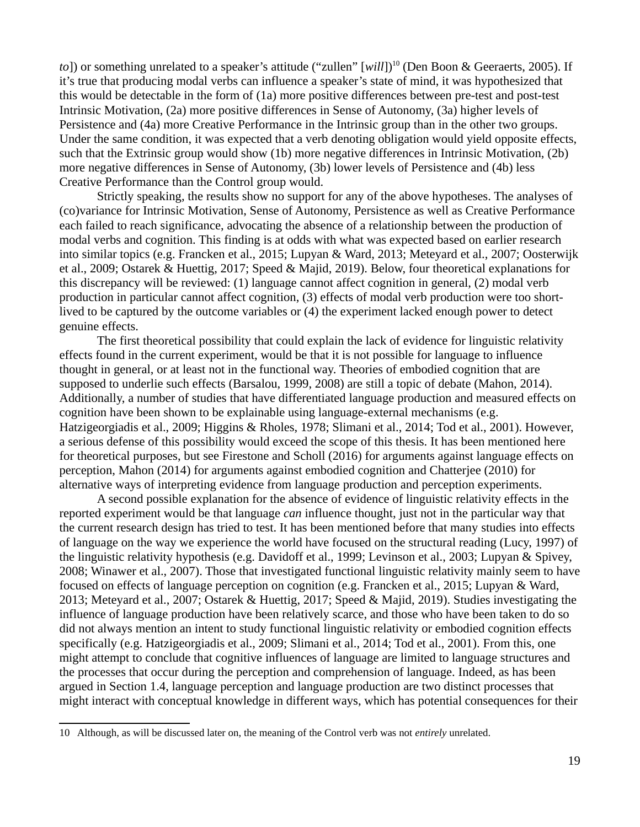*to*]) or something unrelated to a speaker's attitude ("zullen" [will])<sup>[10](#page-21-0)</sup> (Den Boon & Geeraerts, 2005). If it's true that producing modal verbs can influence a speaker's state of mind, it was hypothesized that this would be detectable in the form of (1a) more positive differences between pre-test and post-test Intrinsic Motivation, (2a) more positive differences in Sense of Autonomy, (3a) higher levels of Persistence and (4a) more Creative Performance in the Intrinsic group than in the other two groups. Under the same condition, it was expected that a verb denoting obligation would yield opposite effects, such that the Extrinsic group would show (1b) more negative differences in Intrinsic Motivation, (2b) more negative differences in Sense of Autonomy, (3b) lower levels of Persistence and (4b) less Creative Performance than the Control group would.

Strictly speaking, the results show no support for any of the above hypotheses. The analyses of (co)variance for Intrinsic Motivation, Sense of Autonomy, Persistence as well as Creative Performance each failed to reach significance, advocating the absence of a relationship between the production of modal verbs and cognition. This finding is at odds with what was expected based on earlier research into similar topics (e.g. Francken et al., 2015; Lupyan & Ward, 2013; Meteyard et al., 2007; Oosterwijk et al., 2009; Ostarek & Huettig, 2017; Speed & Majid, 2019). Below, four theoretical explanations for this discrepancy will be reviewed: (1) language cannot affect cognition in general, (2) modal verb production in particular cannot affect cognition, (3) effects of modal verb production were too shortlived to be captured by the outcome variables or (4) the experiment lacked enough power to detect genuine effects.

The first theoretical possibility that could explain the lack of evidence for linguistic relativity effects found in the current experiment, would be that it is not possible for language to influence thought in general, or at least not in the functional way. Theories of embodied cognition that are supposed to underlie such effects (Barsalou, 1999, 2008) are still a topic of debate (Mahon, 2014). Additionally, a number of studies that have differentiated language production and measured effects on cognition have been shown to be explainable using language-external mechanisms (e.g. Hatzigeorgiadis et al., 2009; Higgins & Rholes, 1978; Slimani et al., 2014; Tod et al., 2001). However, a serious defense of this possibility would exceed the scope of this thesis. It has been mentioned here for theoretical purposes, but see Firestone and Scholl (2016) for arguments against language effects on perception, Mahon (2014) for arguments against embodied cognition and Chatterjee (2010) for alternative ways of interpreting evidence from language production and perception experiments.

A second possible explanation for the absence of evidence of linguistic relativity effects in the reported experiment would be that language *can* influence thought, just not in the particular way that the current research design has tried to test. It has been mentioned before that many studies into effects of language on the way we experience the world have focused on the structural reading (Lucy, 1997) of the linguistic relativity hypothesis (e.g. Davidoff et al., 1999; Levinson et al., 2003; Lupyan & Spivey, 2008; Winawer et al., 2007). Those that investigated functional linguistic relativity mainly seem to have focused on effects of language perception on cognition (e.g. Francken et al., 2015; Lupyan & Ward, 2013; Meteyard et al., 2007; Ostarek & Huettig, 2017; Speed & Majid, 2019). Studies investigating the influence of language production have been relatively scarce, and those who have been taken to do so did not always mention an intent to study functional linguistic relativity or embodied cognition effects specifically (e.g. Hatzigeorgiadis et al., 2009; Slimani et al., 2014; Tod et al., 2001). From this, one might attempt to conclude that cognitive influences of language are limited to language structures and the processes that occur during the perception and comprehension of language. Indeed, as has been argued in Section 1.4, language perception and language production are two distinct processes that might interact with conceptual knowledge in different ways, which has potential consequences for their

<span id="page-21-0"></span><sup>10</sup> Although, as will be discussed later on, the meaning of the Control verb was not *entirely* unrelated.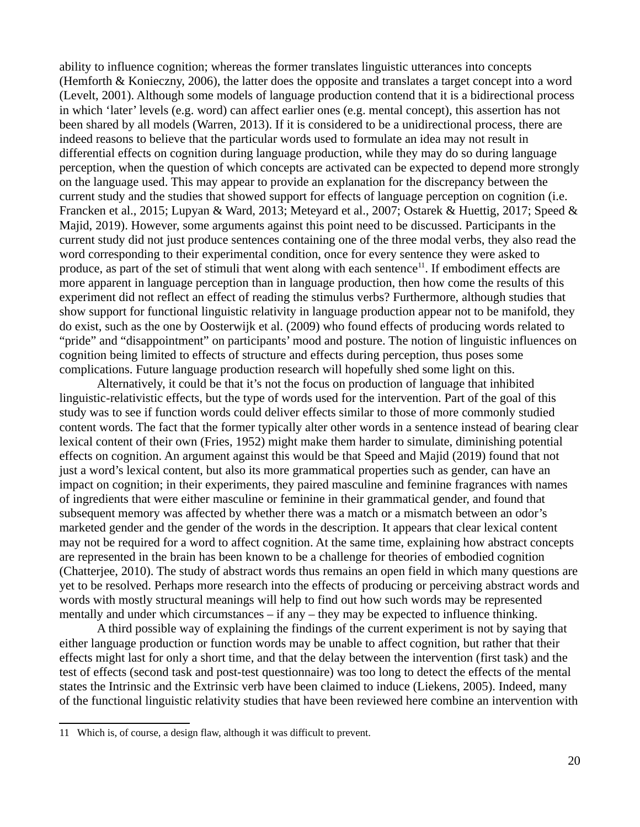ability to influence cognition; whereas the former translates linguistic utterances into concepts (Hemforth & Konieczny, 2006), the latter does the opposite and translates a target concept into a word (Levelt, 2001). Although some models of language production contend that it is a bidirectional process in which 'later' levels (e.g. word) can affect earlier ones (e.g. mental concept), this assertion has not been shared by all models (Warren, 2013). If it is considered to be a unidirectional process, there are indeed reasons to believe that the particular words used to formulate an idea may not result in differential effects on cognition during language production, while they may do so during language perception, when the question of which concepts are activated can be expected to depend more strongly on the language used. This may appear to provide an explanation for the discrepancy between the current study and the studies that showed support for effects of language perception on cognition (i.e. Francken et al., 2015; Lupyan & Ward, 2013; Meteyard et al., 2007; Ostarek & Huettig, 2017; Speed & Majid, 2019). However, some arguments against this point need to be discussed. Participants in the current study did not just produce sentences containing one of the three modal verbs, they also read the word corresponding to their experimental condition, once for every sentence they were asked to produce, as part of the set of stimuli that went along with each sentence<sup>[11](#page-22-0)</sup>. If embodiment effects are more apparent in language perception than in language production, then how come the results of this experiment did not reflect an effect of reading the stimulus verbs? Furthermore, although studies that show support for functional linguistic relativity in language production appear not to be manifold, they do exist, such as the one by Oosterwijk et al. (2009) who found effects of producing words related to "pride" and "disappointment" on participants' mood and posture. The notion of linguistic influences on cognition being limited to effects of structure and effects during perception, thus poses some complications. Future language production research will hopefully shed some light on this.

Alternatively, it could be that it's not the focus on production of language that inhibited linguistic-relativistic effects, but the type of words used for the intervention. Part of the goal of this study was to see if function words could deliver effects similar to those of more commonly studied content words. The fact that the former typically alter other words in a sentence instead of bearing clear lexical content of their own (Fries, 1952) might make them harder to simulate, diminishing potential effects on cognition. An argument against this would be that Speed and Majid (2019) found that not just a word's lexical content, but also its more grammatical properties such as gender, can have an impact on cognition; in their experiments, they paired masculine and feminine fragrances with names of ingredients that were either masculine or feminine in their grammatical gender, and found that subsequent memory was affected by whether there was a match or a mismatch between an odor's marketed gender and the gender of the words in the description. It appears that clear lexical content may not be required for a word to affect cognition. At the same time, explaining how abstract concepts are represented in the brain has been known to be a challenge for theories of embodied cognition (Chatterjee, 2010). The study of abstract words thus remains an open field in which many questions are yet to be resolved. Perhaps more research into the effects of producing or perceiving abstract words and words with mostly structural meanings will help to find out how such words may be represented mentally and under which circumstances – if any – they may be expected to influence thinking.

A third possible way of explaining the findings of the current experiment is not by saying that either language production or function words may be unable to affect cognition, but rather that their effects might last for only a short time, and that the delay between the intervention (first task) and the test of effects (second task and post-test questionnaire) was too long to detect the effects of the mental states the Intrinsic and the Extrinsic verb have been claimed to induce (Liekens, 2005). Indeed, many of the functional linguistic relativity studies that have been reviewed here combine an intervention with

<span id="page-22-0"></span><sup>11</sup> Which is, of course, a design flaw, although it was difficult to prevent.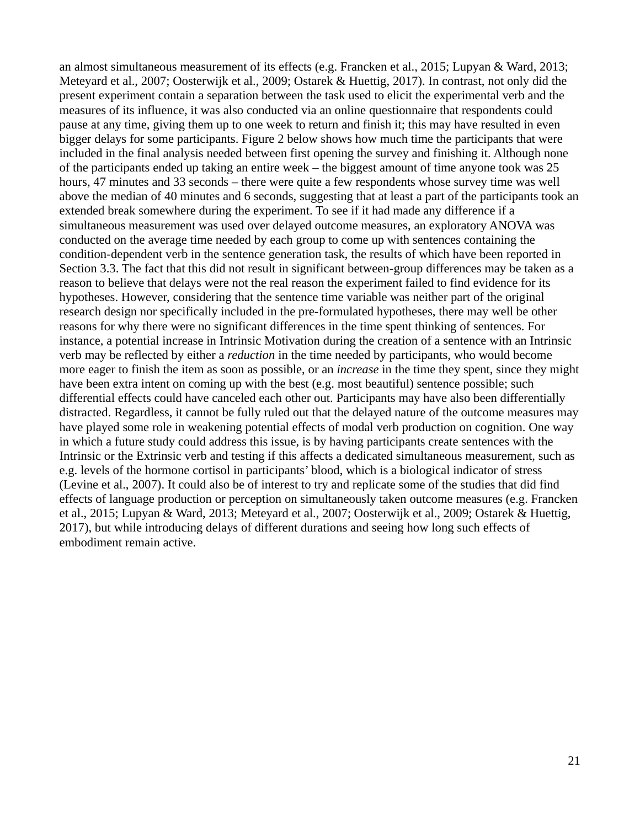an almost simultaneous measurement of its effects (e.g. Francken et al., 2015; Lupyan & Ward, 2013; Meteyard et al., 2007; Oosterwijk et al., 2009; Ostarek & Huettig, 2017). In contrast, not only did the present experiment contain a separation between the task used to elicit the experimental verb and the measures of its influence, it was also conducted via an online questionnaire that respondents could pause at any time, giving them up to one week to return and finish it; this may have resulted in even bigger delays for some participants. Figure 2 below shows how much time the participants that were included in the final analysis needed between first opening the survey and finishing it. Although none of the participants ended up taking an entire week – the biggest amount of time anyone took was 25 hours, 47 minutes and 33 seconds – there were quite a few respondents whose survey time was well above the median of 40 minutes and 6 seconds, suggesting that at least a part of the participants took an extended break somewhere during the experiment. To see if it had made any difference if a simultaneous measurement was used over delayed outcome measures, an exploratory ANOVA was conducted on the average time needed by each group to come up with sentences containing the condition-dependent verb in the sentence generation task, the results of which have been reported in Section 3.3. The fact that this did not result in significant between-group differences may be taken as a reason to believe that delays were not the real reason the experiment failed to find evidence for its hypotheses. However, considering that the sentence time variable was neither part of the original research design nor specifically included in the pre-formulated hypotheses, there may well be other reasons for why there were no significant differences in the time spent thinking of sentences. For instance, a potential increase in Intrinsic Motivation during the creation of a sentence with an Intrinsic verb may be reflected by either a *reduction* in the time needed by participants, who would become more eager to finish the item as soon as possible, or an *increase* in the time they spent, since they might have been extra intent on coming up with the best (e.g. most beautiful) sentence possible; such differential effects could have canceled each other out. Participants may have also been differentially distracted. Regardless, it cannot be fully ruled out that the delayed nature of the outcome measures may have played some role in weakening potential effects of modal verb production on cognition. One way in which a future study could address this issue, is by having participants create sentences with the Intrinsic or the Extrinsic verb and testing if this affects a dedicated simultaneous measurement, such as e.g. levels of the hormone cortisol in participants' blood, which is a biological indicator of stress (Levine et al., 2007). It could also be of interest to try and replicate some of the studies that did find effects of language production or perception on simultaneously taken outcome measures (e.g. Francken et al., 2015; Lupyan & Ward, 2013; Meteyard et al., 2007; Oosterwijk et al., 2009; Ostarek & Huettig, 2017), but while introducing delays of different durations and seeing how long such effects of embodiment remain active.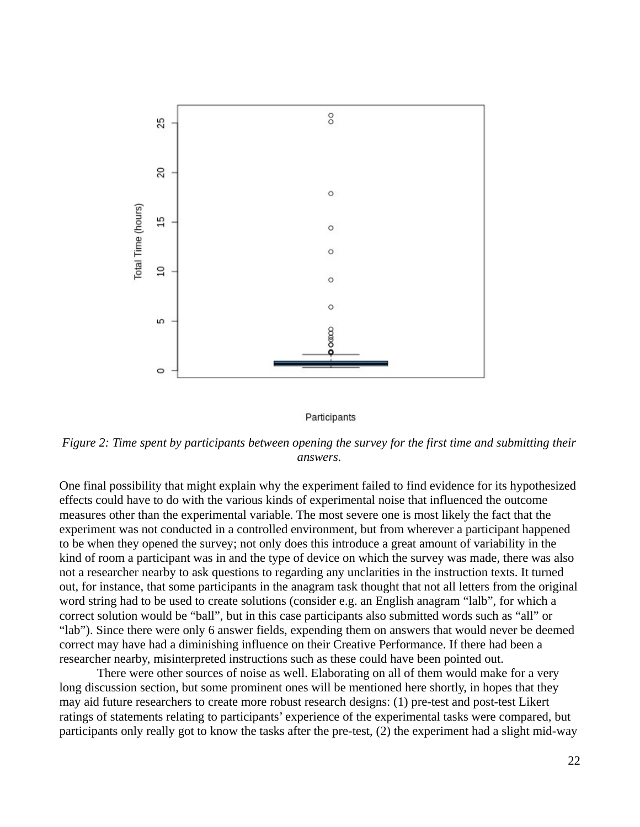

Participants

*Figure 2: Time spent by participants between opening the survey for the first time and submitting their answers.*

One final possibility that might explain why the experiment failed to find evidence for its hypothesized effects could have to do with the various kinds of experimental noise that influenced the outcome measures other than the experimental variable. The most severe one is most likely the fact that the experiment was not conducted in a controlled environment, but from wherever a participant happened to be when they opened the survey; not only does this introduce a great amount of variability in the kind of room a participant was in and the type of device on which the survey was made, there was also not a researcher nearby to ask questions to regarding any unclarities in the instruction texts. It turned out, for instance, that some participants in the anagram task thought that not all letters from the original word string had to be used to create solutions (consider e.g. an English anagram "lalb", for which a correct solution would be "ball", but in this case participants also submitted words such as "all" or "lab"). Since there were only 6 answer fields, expending them on answers that would never be deemed correct may have had a diminishing influence on their Creative Performance. If there had been a researcher nearby, misinterpreted instructions such as these could have been pointed out.

There were other sources of noise as well. Elaborating on all of them would make for a very long discussion section, but some prominent ones will be mentioned here shortly, in hopes that they may aid future researchers to create more robust research designs: (1) pre-test and post-test Likert ratings of statements relating to participants' experience of the experimental tasks were compared, but participants only really got to know the tasks after the pre-test, (2) the experiment had a slight mid-way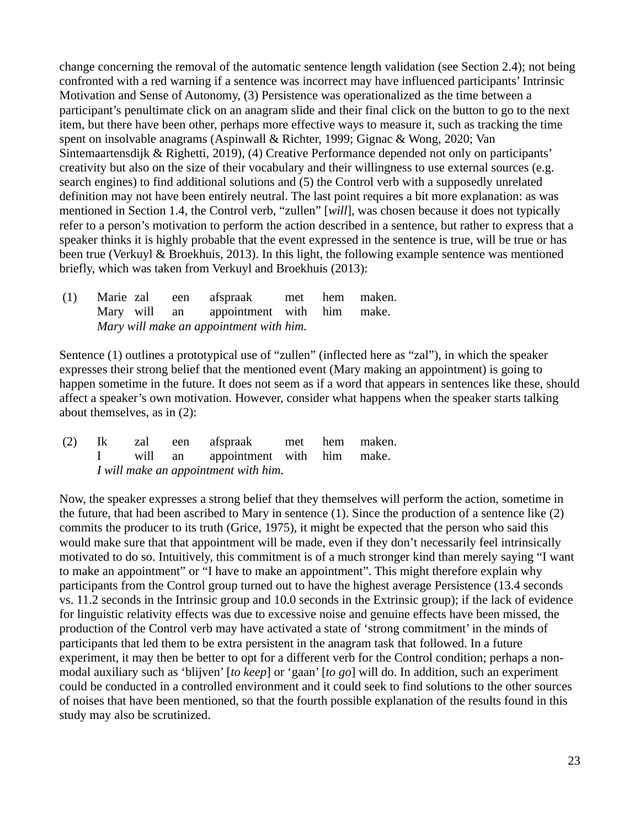change concerning the removal of the automatic sentence length validation (see Section 2.4); not being confronted with a red warning if a sentence was incorrect may have influenced participants' Intrinsic Motivation and Sense of Autonomy, (3) Persistence was operationalized as the time between a participant's penultimate click on an anagram slide and their final click on the button to go to the next item, but there have been other, perhaps more effective ways to measure it, such as tracking the time spent on insolvable anagrams (Aspinwall & Richter, 1999; Gignac & Wong, 2020; Van Sintemaartensdijk & Righetti, 2019), (4) Creative Performance depended not only on participants' creativity but also on the size of their vocabulary and their willingness to use external sources (e.g. search engines) to find additional solutions and (5) the Control verb with a supposedly unrelated definition may not have been entirely neutral. The last point requires a bit more explanation: as was mentioned in Section 1.4, the Control verb, "zullen" [*will*], was chosen because it does not typically refer to a person's motivation to perform the action described in a sentence, but rather to express that a speaker thinks it is highly probable that the event expressed in the sentence is true, will be true or has been true (Verkuyl & Broekhuis, 2013). In this light, the following example sentence was mentioned briefly, which was taken from Verkuyl and Broekhuis (2013):

 (1) Marie zal een afspraak met hem maken. Mary will an appointment with him make. *Mary will make an appointment with him.*

Sentence (1) outlines a prototypical use of "zullen" (inflected here as "zal"), in which the speaker expresses their strong belief that the mentioned event (Mary making an appointment) is going to happen sometime in the future. It does not seem as if a word that appears in sentences like these, should affect a speaker's own motivation. However, consider what happens when the speaker starts talking about themselves, as in (2):

 (2) Ik zal een afspraak met hem maken. I will an appointment with him make. *I will make an appointment with him.*

Now, the speaker expresses a strong belief that they themselves will perform the action, sometime in the future, that had been ascribed to Mary in sentence (1). Since the production of a sentence like (2) commits the producer to its truth (Grice, 1975), it might be expected that the person who said this would make sure that that appointment will be made, even if they don't necessarily feel intrinsically motivated to do so. Intuitively, this commitment is of a much stronger kind than merely saying "I want to make an appointment" or "I have to make an appointment". This might therefore explain why participants from the Control group turned out to have the highest average Persistence (13.4 seconds vs. 11.2 seconds in the Intrinsic group and 10.0 seconds in the Extrinsic group); if the lack of evidence for linguistic relativity effects was due to excessive noise and genuine effects have been missed, the production of the Control verb may have activated a state of 'strong commitment' in the minds of participants that led them to be extra persistent in the anagram task that followed. In a future experiment, it may then be better to opt for a different verb for the Control condition; perhaps a nonmodal auxiliary such as 'blijven' [*to keep*] or 'gaan' [*to go*] will do. In addition, such an experiment could be conducted in a controlled environment and it could seek to find solutions to the other sources of noises that have been mentioned, so that the fourth possible explanation of the results found in this study may also be scrutinized.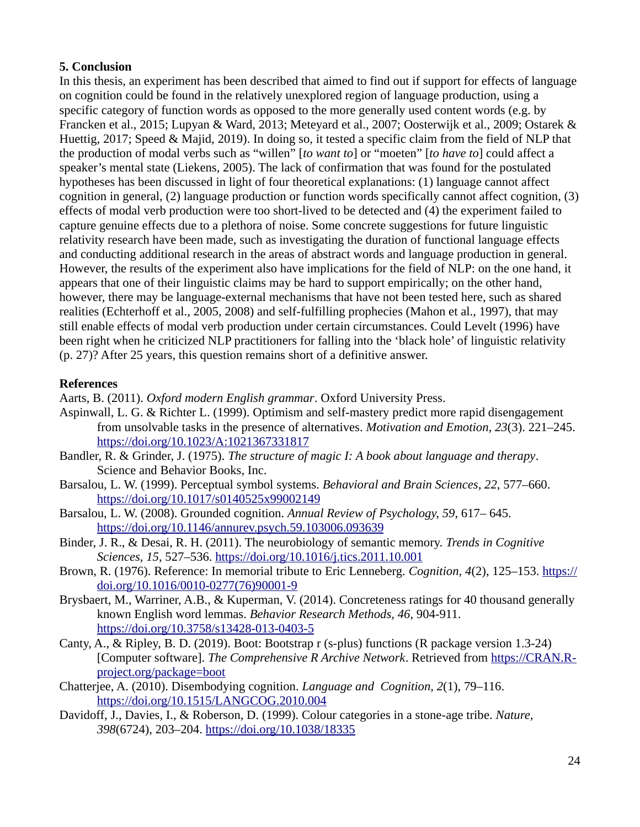# **5. Conclusion**

In this thesis, an experiment has been described that aimed to find out if support for effects of language on cognition could be found in the relatively unexplored region of language production, using a specific category of function words as opposed to the more generally used content words (e.g. by Francken et al., 2015; Lupyan & Ward, 2013; Meteyard et al., 2007; Oosterwijk et al., 2009; Ostarek & Huettig, 2017; Speed & Majid, 2019). In doing so, it tested a specific claim from the field of NLP that the production of modal verbs such as "willen" [*to want to*] or "moeten" [*to have to*] could affect a speaker's mental state (Liekens, 2005). The lack of confirmation that was found for the postulated hypotheses has been discussed in light of four theoretical explanations: (1) language cannot affect cognition in general, (2) language production or function words specifically cannot affect cognition, (3) effects of modal verb production were too short-lived to be detected and (4) the experiment failed to capture genuine effects due to a plethora of noise. Some concrete suggestions for future linguistic relativity research have been made, such as investigating the duration of functional language effects and conducting additional research in the areas of abstract words and language production in general. However, the results of the experiment also have implications for the field of NLP: on the one hand, it appears that one of their linguistic claims may be hard to support empirically; on the other hand, however, there may be language-external mechanisms that have not been tested here, such as shared realities (Echterhoff et al., 2005, 2008) and self-fulfilling prophecies (Mahon et al., 1997), that may still enable effects of modal verb production under certain circumstances. Could Levelt (1996) have been right when he criticized NLP practitioners for falling into the 'black hole' of linguistic relativity (p. 27)? After 25 years, this question remains short of a definitive answer.

# **References**

Aarts, B. (2011). *Oxford modern English grammar*. Oxford University Press.

- Aspinwall, L. G. & Richter L. (1999). Optimism and self-mastery predict more rapid disengagement from unsolvable tasks in the presence of alternatives. *Motivation and Emotion, 23*(3). 221–245. https://doi.org/10.1023/A:1021367331817
- Bandler, R. & Grinder, J. (1975). *The structure of magic I: A book about language and therapy*. Science and Behavior Books, Inc.
- Barsalou, L. W. (1999). Perceptual symbol systems. *Behavioral and Brain Sciences, 22*, 577–660. https://doi.org/10.1017/s0140525x99002149
- Barsalou, L. W. (2008). Grounded cognition. *Annual Review of Psychology, 59*, 617– 645. https://doi.org/10.1146/annurev.psych.59.103006.093639
- Binder, J. R., & Desai, R. H. (2011). The neurobiology of semantic memory. *Trends in Cognitive Sciences, 15, 527–536. https://doi.org/10.1016/j.tics.2011.10.001*
- Brown, R. (1976). Reference: In memorial tribute to Eric Lenneberg. *Cognition, 4*(2), 125–153. [https://](https://doi.org/10.1016/0010-0277(76)90001-9) [doi.org/10.1016/0010-0277\(76\)90001-9](https://doi.org/10.1016/0010-0277(76)90001-9)
- Brysbaert, M., Warriner, A.B., & Kuperman, V. (2014). Concreteness ratings for 40 thousand generally known English word lemmas. *Behavior Research Methods, 46*, 904-911. https://doi.org/10.3758/s13428-013-0403-5
- Canty, A., & Ripley, B. D. (2019). Boot: Bootstrap r (s-plus) functions (R package version 1.3-24) [Computer software]. *The Comprehensive R Archive Network*. Retrieved from [https://CRAN.R](https://CRAN.R-project.org/package=boot)[project.org/package=boot](https://CRAN.R-project.org/package=boot)
- Chatterjee, A. (2010). Disembodying cognition. *Language and Cognition, 2*(1), 79–116. <https://doi.org/10.1515/LANGCOG.2010.004>
- Davidoff, J., Davies, I., & Roberson, D. (1999). Colour categories in a stone-age tribe. *Nature, 398*(6724), 203–204. <https://doi.org/10.1038/18335>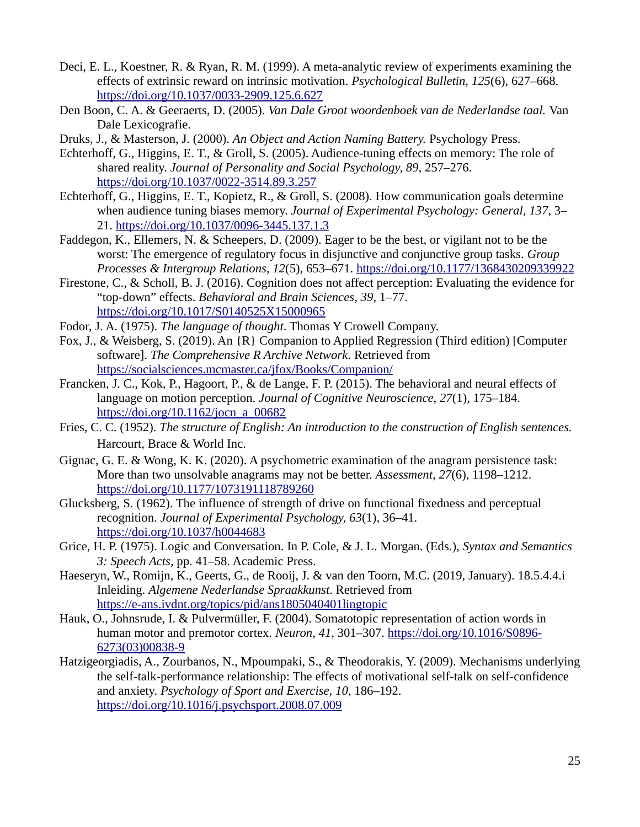- Deci, E. L., Koestner, R. & Ryan, R. M. (1999). A meta-analytic review of experiments examining the effects of extrinsic reward on intrinsic motivation. *Psychological Bulletin, 125*(6), 627–668. https://doi.org/10.1037/0033-2909.125.6.627
- Den Boon, C. A. & Geeraerts, D. (2005). *Van Dale Groot woordenboek van de Nederlandse taal.* Van Dale Lexicografie.
- Druks, J., & Masterson, J. (2000). *An Object and Action Naming Battery.* Psychology Press.
- Echterhoff, G., Higgins, E. T., & Groll, S. (2005). Audience-tuning effects on memory: The role of shared reality. *Journal of Personality and Social Psychology, 89*, 257–276. <https://doi.org/10.1037/0022-3514.89.3.257>
- Echterhoff, G., Higgins, E. T., Kopietz, R., & Groll, S. (2008). How communication goals determine when audience tuning biases memory. *Journal of Experimental Psychology: General, 137*, 3– 21. <https://doi.org/10.1037/0096-3445.137.1.3>
- Faddegon, K., Ellemers, N. & Scheepers, D. (2009). Eager to be the best, or vigilant not to be the worst: The emergence of regulatory focus in disjunctive and conjunctive group tasks. *Group Processes & Intergroup Relations, 12*(5), 653–671.<https://doi.org/10.1177/1368430209339922>
- Firestone, C., & Scholl, B. J. (2016). Cognition does not affect perception: Evaluating the evidence for "top-down" effects. *Behavioral and Brain Sciences, 39*, 1–77. <https://doi.org/10.1017/S0140525X15000965>
- Fodor, J. A. (1975). *The language of thought*. Thomas Y Crowell Company.
- Fox, J., & Weisberg, S. (2019). An {R} Companion to Applied Regression (Third edition) [Computer software]. *The Comprehensive R Archive Network*. Retrieved from <https://socialsciences.mcmaster.ca/jfox/Books/Companion/>
- Francken, J. C., Kok, P., Hagoort, P., & de Lange, F. P. (2015). The behavioral and neural effects of language on motion perception. *Journal of Cognitive Neuroscience, 27*(1), 175–184. [https://doi.org/10.1162/jocn\\_a\\_00682](https://doi.org/10.1162/jocn_a_00682)
- Fries, C. C. (1952). *The structure of English: An introduction to the construction of English sentences.* Harcourt, Brace & World Inc.
- Gignac, G. E. & Wong, K. K. (2020). A psychometric examination of the anagram persistence task: More than two unsolvable anagrams may not be better. *Assessment, 27*(6), 1198–1212. <https://doi.org/10.1177/1073191118789260>
- Glucksberg, S. (1962). The influence of strength of drive on functional fixedness and perceptual recognition. *Journal of Experimental Psychology, 63*(1), 36–41. <https://doi.org/10.1037/h0044683>
- Grice, H. P. (1975). Logic and Conversation. In P. Cole, & J. L. Morgan. (Eds.), *Syntax and Semantics 3: Speech Acts*, pp. 41–58. Academic Press.
- Haeseryn, W., Romijn, K., Geerts, G., de Rooij, J. & van den Toorn, M.C. (2019, January). 18.5.4.4.i Inleiding. *Algemene Nederlandse Spraakkunst*. Retrieved from <https://e-ans.ivdnt.org/topics/pid/ans1805040401lingtopic>
- Hauk, O., Johnsrude, I. & Pulvermüller, F. (2004). Somatotopic representation of action words in human motor and premotor cortex. *Neuron, 41*, 301–307. [https://doi.org/10.1016/S0896-](https://doi.org/10.1016/S0896-6273(03)00838-9) [6273\(03\)00838-9](https://doi.org/10.1016/S0896-6273(03)00838-9)
- Hatzigeorgiadis, A., Zourbanos, N., Mpoumpaki, S., & Theodorakis, Y. (2009). Mechanisms underlying the self-talk-performance relationship: The effects of motivational self-talk on self-confidence and anxiety. *Psychology of Sport and Exercise, 10*, 186–192. <https://doi.org/10.1016/j.psychsport.2008.07.009>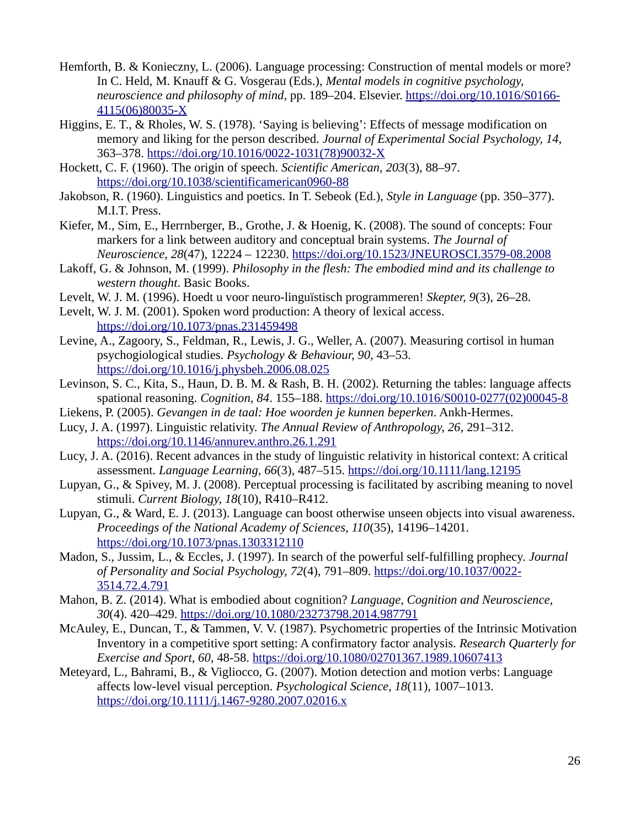- Hemforth, B. & Konieczny, L. (2006). Language processing: Construction of mental models or more? In C. Held, M. Knauff & G. Vosgerau (Eds.), *Mental models in cognitive psychology, neuroscience and philosophy of mind*, pp. 189–204. Elsevier. https://doi.org/10.1016/S0166-[4115\(06\)80035-X](https://doi.org/10.1016/S0166-4115(06)80035-X)
- Higgins, E. T., & Rholes, W. S. (1978). 'Saying is believing': Effects of message modification on memory and liking for the person described. *Journal of Experimental Social Psychology, 14*, 363–378. [https://doi.org/10.1016/0022-1031\(78\)90032-X](https://doi.org/10.1016/0022-1031(78)90032-X)
- Hockett, C. F. (1960). The origin of speech. *Scientific American, 203*(3), 88–97. <https://doi.org/10.1038/scientificamerican0960-88>
- Jakobson, R. (1960). Linguistics and poetics. In T. Sebeok (Ed.), *Style in Language* (pp. 350–377). M.I.T. Press.
- Kiefer, M., Sim, E., Herrnberger, B., Grothe, J. & Hoenig, K. (2008). The sound of concepts: Four markers for a link between auditory and conceptual brain systems. *The Journal of Neuroscience, 28*(47), 12224 – 12230. https://doi.org/10.1523/JNEUROSCI.3579-08.2008
- Lakoff, G. & Johnson, M. (1999). *Philosophy in the flesh: The embodied mind and its challenge to western thought*. Basic Books.
- Levelt, W. J. M. (1996). Hoedt u voor neuro-linguïstisch programmeren! *Skepter, 9*(3), 26–28.
- Levelt, W. J. M. (2001). Spoken word production: A theory of lexical access. <https://doi.org/10.1073/pnas.231459498>
- Levine, A., Zagoory, S., Feldman, R., Lewis, J. G., Weller, A. (2007). Measuring cortisol in human psychogiological studies. *Psychology & Behaviour, 90*, 43–53. https://doi.org/10.1016/j.physbeh.2006.08.025
- Levinson, S. C., Kita, S., Haun, D. B. M. & Rash, B. H. (2002). Returning the tables: language affects spational reasoning. *Cognition, 84*. 155–188. [https://doi.org/10.1016/S0010-0277\(02\)00045-8](https://doi.org/10.1016/S0010-0277(02)00045-8)
- Liekens, P. (2005). *Gevangen in de taal: Hoe woorden je kunnen beperken*. Ankh-Hermes.
- Lucy, J. A. (1997). Linguistic relativity. *The Annual Review of Anthropology, 26*, 291–312. <https://doi.org/10.1146/annurev.anthro.26.1.291>
- Lucy, J. A. (2016). Recent advances in the study of linguistic relativity in historical context: A critical assessment. *Language Learning, 66*(3), 487–515.<https://doi.org/10.1111/lang.12195>
- Lupyan, G., & Spivey, M. J. (2008). Perceptual processing is facilitated by ascribing meaning to novel stimuli. *Current Biology, 18*(10), R410–R412.
- Lupyan, G., & Ward, E. J. (2013). Language can boost otherwise unseen objects into visual awareness. *Proceedings of the National Academy of Sciences, 110*(35), 14196–14201. <https://doi.org/10.1073/pnas.1303312110>
- Madon, S., Jussim, L., & Eccles, J. (1997). In search of the powerful self-fulfilling prophecy. *Journal of Personality and Social Psychology, 72(4), 791–809. https://doi.org/10.1037/0022-*[3514.72.4.791](https://doi.org/10.1037/0022-3514.72.4.791)
- Mahon, B. Z. (2014). What is embodied about cognition? *Language, Cognition and Neuroscience, 30*(4). 420–429. <https://doi.org/10.1080/23273798.2014.987791>
- McAuley, E., Duncan, T., & Tammen, V. V. (1987). Psychometric properties of the Intrinsic Motivation Inventory in a competitive sport setting: A confirmatory factor analysis. *Research Quarterly for Exercise and Sport, 60*, 48-58. <https://doi.org/10.1080/02701367.1989.10607413>
- Meteyard, L., Bahrami, B., & Vigliocco, G. (2007). Motion detection and motion verbs: Language affects low-level visual perception. *Psychological Science, 18*(11), 1007–1013. <https://doi.org/10.1111/j.1467-9280.2007.02016.x>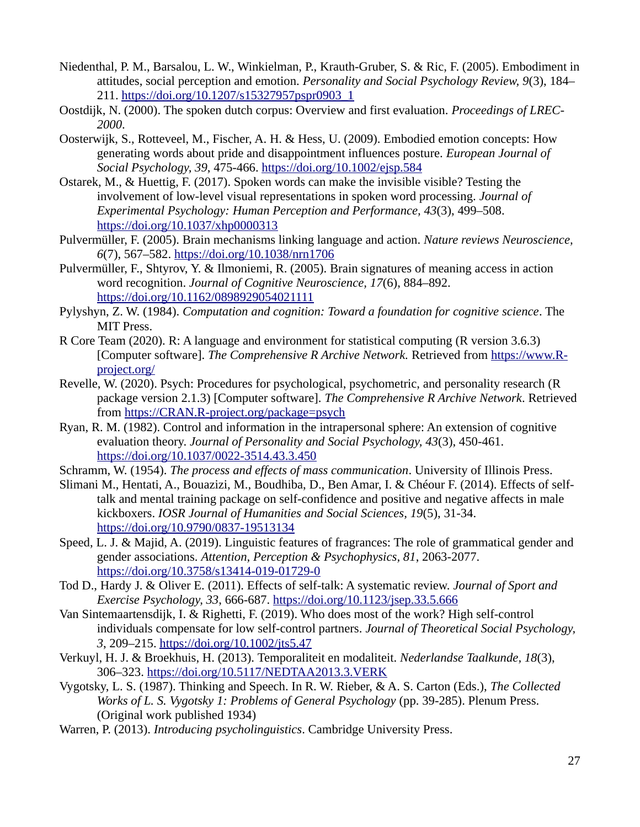- Niedenthal, P. M., Barsalou, L. W., Winkielman, P., Krauth-Gruber, S. & Ric, F. (2005). Embodiment in attitudes, social perception and emotion. *Personality and Social Psychology Review, 9*(3), 184– 211. [https://doi.org/10.1207/s15327957pspr0903\\_1](https://doi.org/10.1207/s15327957pspr0903_1)
- Oostdijk, N. (2000). The spoken dutch corpus: Overview and first evaluation. *Proceedings of LREC-2000*.
- Oosterwijk, S., Rotteveel, M., Fischer, A. H. & Hess, U. (2009). Embodied emotion concepts: How generating words about pride and disappointment influences posture. *European Journal of Social Psychology, 39*, 475-466. [https://doi.org/10.1002/ejsp.584](https://doi.org/10.1102/ejsp.584)
- Ostarek, M., & Huettig, F. (2017). Spoken words can make the invisible visible? Testing the involvement of low-level visual representations in spoken word processing. *Journal of Experimental Psychology: Human Perception and Performance, 43*(3), 499–508. <https://doi.org/10.1037/xhp0000313>
- Pulvermüller, F. (2005). Brain mechanisms linking language and action. *Nature reviews Neuroscience, 6*(7), 567–582. <https://doi.org/10.1038/nrn1706>
- Pulvermüller, F., Shtyrov, Y. & Ilmoniemi, R. (2005). Brain signatures of meaning access in action word recognition. *Journal of Cognitive Neuroscience, 17*(6), 884–892. <https://doi.org/10.1162/0898929054021111>
- Pylyshyn, Z. W. (1984). *Computation and cognition: Toward a foundation for cognitive science*. The MIT Press.
- R Core Team (2020). R: A language and environment for statistical computing (R version 3.6.3) [Computer software]. *The Comprehensive R Archive Network.* Retrieved from [https://www.R](https://www.R-project.org/)[project.org/](https://www.R-project.org/)
- Revelle, W. (2020). Psych: Procedures for psychological, psychometric, and personality research (R package version 2.1.3) [Computer software]. *The Comprehensive R Archive Network*. Retrieved from https://CRAN.R-project.org/package=psych
- Ryan, R. M. (1982). Control and information in the intrapersonal sphere: An extension of cognitive evaluation theory. *Journal of Personality and Social Psychology, 43*(3), 450-461. <https://doi.org/10.1037/0022-3514.43.3.450>
- Schramm, W. (1954). *The process and effects of mass communication*. University of Illinois Press.
- Slimani M., Hentati, A., Bouazizi, M., Boudhiba, D., Ben Amar, I. & Chéour F. (2014). Effects of selftalk and mental training package on self-confidence and positive and negative affects in male kickboxers. *IOSR Journal of Humanities and Social Sciences, 19*(5), 31-34. https://doi.org/10.9790/0837-19513134
- Speed, L. J. & Majid, A. (2019). Linguistic features of fragrances: The role of grammatical gender and gender associations. *Attention, Perception & Psychophysics, 81*, 2063-2077. <https://doi.org/10.3758/s13414-019-01729-0>
- Tod D., Hardy J. & Oliver E. (2011). Effects of self-talk: A systematic review. *Journal of Sport and Exercise Psychology, 33, 666-687. https://doi.org/10.1123/jsep.33.5.666*
- Van Sintemaartensdijk, I. & Righetti, F. (2019). Who does most of the work? High self-control individuals compensate for low self-control partners. *Journal of Theoretical Social Psychology, 3*, 209–215. <https://doi.org/10.1002/jts5.47>
- Verkuyl, H. J. & Broekhuis, H. (2013). Temporaliteit en modaliteit. *Nederlandse Taalkunde, 18*(3), 306–323. <https://doi.org/10.5117/NEDTAA2013.3.VERK>
- Vygotsky, L. S. (1987). Thinking and Speech. In R. W. Rieber, & A. S. Carton (Eds.), *The Collected Works of L. S. Vygotsky 1: Problems of General Psychology* (pp. 39-285). Plenum Press. (Original work published 1934)
- Warren, P. (2013). *Introducing psycholinguistics*. Cambridge University Press.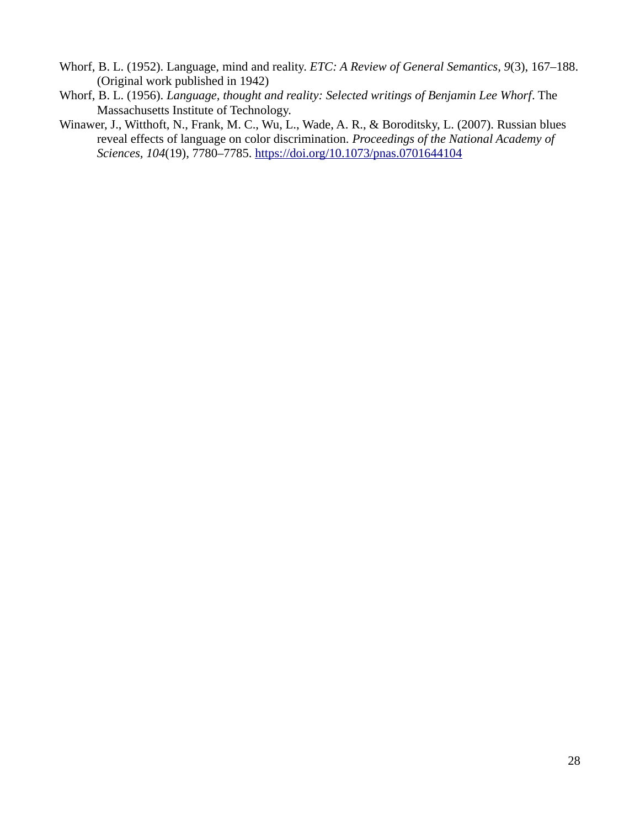- Whorf, B. L. (1952). Language, mind and reality. *ETC: A Review of General Semantics, 9*(3), 167–188. (Original work published in 1942)
- Whorf, B. L. (1956). *Language, thought and reality: Selected writings of Benjamin Lee Whorf*. The Massachusetts Institute of Technology.
- Winawer, J., Witthoft, N., Frank, M. C., Wu, L., Wade, A. R., & Boroditsky, L. (2007). Russian blues reveal effects of language on color discrimination. *Proceedings of the National Academy of Sciences, 104*(19), 7780–7785.<https://doi.org/10.1073/pnas.0701644104>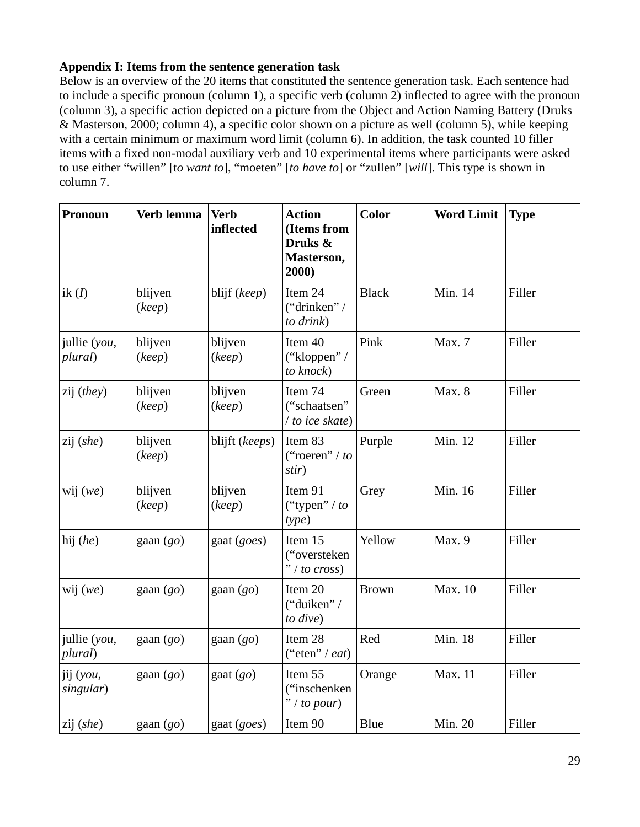### **Appendix I: Items from the sentence generation task**

Below is an overview of the 20 items that constituted the sentence generation task. Each sentence had to include a specific pronoun (column 1), a specific verb (column 2) inflected to agree with the pronoun (column 3), a specific action depicted on a picture from the Object and Action Naming Battery (Druks & Masterson, 2000; column 4), a specific color shown on a picture as well (column 5), while keeping with a certain minimum or maximum word limit (column 6). In addition, the task counted 10 filler items with a fixed non-modal auxiliary verb and 10 experimental items where participants were asked to use either "willen" [t*o want to*], "moeten" [*to have to*] or "zullen" [*will*]. This type is shown in column 7.

| <b>Pronoun</b>          | Verb lemma        | <b>Verb</b><br>inflected | <b>Action</b><br>(Items from<br>Druks &<br>Masterson,<br>2000) | Color        | <b>Word Limit</b> | <b>Type</b> |
|-------------------------|-------------------|--------------------------|----------------------------------------------------------------|--------------|-------------------|-------------|
| ik $(I)$                | blijven<br>(keep) | blijf (keep)             | Item 24<br>("drinken" /<br>to drink)                           | <b>Black</b> | Min. 14           | Filler      |
| jullie (you,<br>plural) | blijven<br>(keep) | blijven<br>(keep)        | Item 40<br>("kloppen" /<br>to knock)                           | Pink         | Max. 7            | Filler      |
| zij (they)              | blijven<br>(keep) | blijven<br>(keep)        | Item 74<br>("schaatsen"<br>/ to ice skate)                     | Green        | Max. 8            | Filler      |
| zij (she)               | blijven<br>(keep) | blijft (keeps)           | Item 83<br>("roeren" / to<br>stir)                             | Purple       | Min. 12           | Filler      |
| wij $(we)$              | blijven<br>(keep) | blijven<br>(keep)        | Item 91<br>("typen" / to<br>type)                              | Grey         | Min. 16           | Filler      |
| hij (he)                | gaan (go)         | gaat (goes)              | Item 15<br>("oversteken<br>" / to cross)                       | Yellow       | Max. 9            | Filler      |
| wij $(we)$              | gaan $(go)$       | gaan $(go)$              | Item 20<br>("duiken" /<br>to dive)                             | <b>Brown</b> | Max. 10           | Filler      |
| jullie (you,<br>plural) | gaan $(go)$       | gaan (go)                | Item 28<br>("eten" / eat)                                      | Red          | Min. 18           | Filler      |
| jij (you,<br>singular)  | $\text{gaan}(go)$ | gaat $(go)$              | Item 55<br>("inschenken<br>$"$ / to pour)                      | Orange       | Max. 11           | Filler      |
| zij (she)               | gaan $(go)$       | gaat (goes)              | Item 90                                                        | <b>Blue</b>  | Min. 20           | Filler      |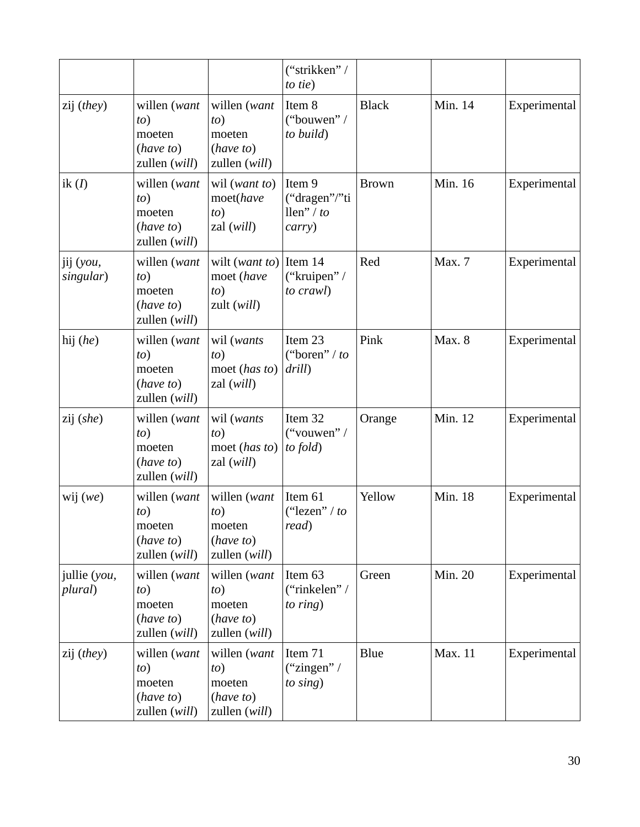|                         |                                                             |                                                             | ("strikken" /<br>to tie)                        |              |         |              |
|-------------------------|-------------------------------------------------------------|-------------------------------------------------------------|-------------------------------------------------|--------------|---------|--------------|
| zij (they)              | willen (want<br>to)<br>moeten<br>(have to)<br>zullen (will) | willen (want<br>to)<br>moeten<br>(have to)<br>zullen (will) | Item 8<br>("bouwen" /<br>to build)              | <b>Black</b> | Min. 14 | Experimental |
| ik $(I)$                | willen (want<br>to)<br>moeten<br>(have to)<br>zullen (will) | wil (want to)<br>moet(have<br>to)<br>zal (will)             | Item 9<br>("dragen"/"ti<br>llen" / to<br>carry) | <b>Brown</b> | Min. 16 | Experimental |
| jij (you,<br>singular)  | willen (want<br>to)<br>moeten<br>(have to)<br>zullen (will) | wilt (want to)<br>moet (have<br>to)<br>zult (will)          | Item 14<br>("kruipen" /<br>to crawl)            | Red          | Max. 7  | Experimental |
| hij (he)                | willen (want<br>to)<br>moeten<br>(have to)<br>zullen (will) | wil (wants<br>to)<br>moet (has to)<br>zal (will)            | Item 23<br>("boren" / to<br>drill)              | Pink         | Max. 8  | Experimental |
| zij (she)               | willen (want<br>to)<br>moeten<br>(have to)<br>zullen (will) | wil (wants<br>to)<br>moet (has to)<br>zal (will)            | Item 32<br>("vouwen" /<br>to fold)              | Orange       | Min. 12 | Experimental |
| wij $(we)$              | willen (want<br>to)<br>moeten<br>(have to)<br>zullen (will) | willen (want<br>to)<br>moeten<br>(have to)<br>zullen (will) | Item 61<br>("lezen" / to<br>read)               | Yellow       | Min. 18 | Experimental |
| jullie (you,<br>plural) | willen (want<br>to)<br>moeten<br>(have to)<br>zullen (will) | willen (want<br>to)<br>moeten<br>(have to)<br>zullen (will) | Item 63<br>("rinkelen" /<br>to $ring)$          | Green        | Min. 20 | Experimental |
| zij (they)              | willen (want<br>to)<br>moeten<br>(have to)<br>zullen (will) | willen (want<br>to)<br>moeten<br>(have to)<br>zullen (will) | Item 71<br>("zingen" /<br>to sing)              | <b>Blue</b>  | Max. 11 | Experimental |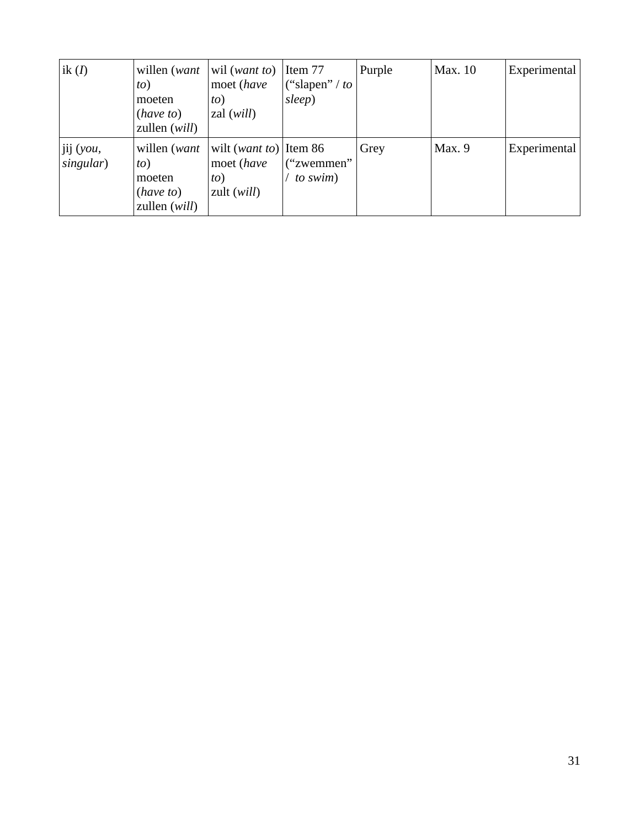| ik $(I)$               | willen ( <i>want</i><br>to)<br>moeten<br>(have to)<br>zullen (will) | wil (want to)<br>moet (have<br>to)<br>zal ( <i>will</i> )           | Item 77<br>("slapen" / $to$<br>sleep) | Purple | Max. 10 | Experimental |
|------------------------|---------------------------------------------------------------------|---------------------------------------------------------------------|---------------------------------------|--------|---------|--------------|
| jij (you,<br>singular) | willen (want<br>to)<br>moeten<br>(have to)<br>zullen (will)         | wilt ( <i>want to</i> ) Item 86<br>moet (have<br>to)<br>zult (will) | ("zwemmen"<br>to swim)                | Grey   | Max. 9  | Experimental |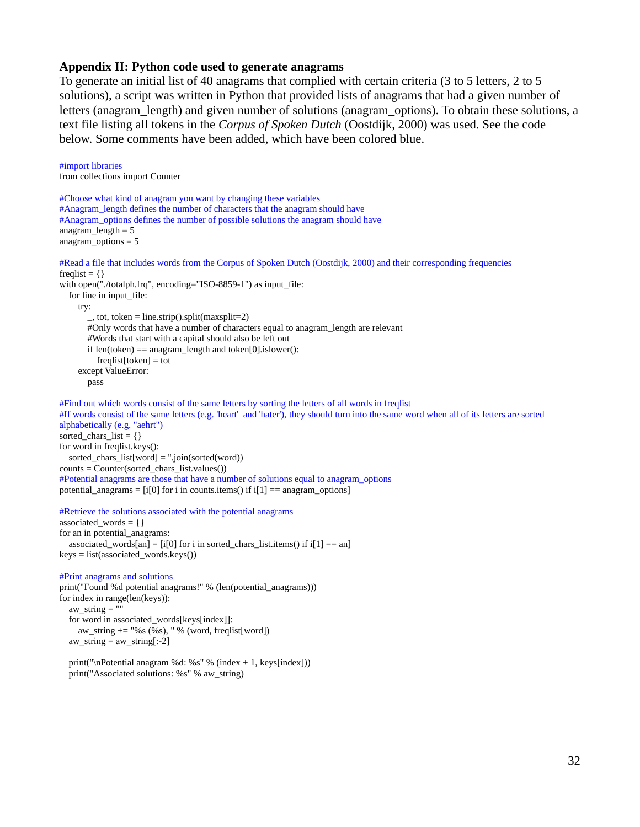#### **Appendix II: Python code used to generate anagrams**

To generate an initial list of 40 anagrams that complied with certain criteria (3 to 5 letters, 2 to 5 solutions), a script was written in Python that provided lists of anagrams that had a given number of letters (anagram\_length) and given number of solutions (anagram\_options). To obtain these solutions, a text file listing all tokens in the *Corpus of Spoken Dutch* (Oostdijk, 2000) was used. See the code below. Some comments have been added, which have been colored blue.

```
#import libraries
from collections import Counter
#Choose what kind of anagram you want by changing these variables
#Anagram_length defines the number of characters that the anagram should have
#Anagram_options defines the number of possible solutions the anagram should have
anagram_length = 5
anagram_options = 5
#Read a file that includes words from the Corpus of Spoken Dutch (Oostdijk, 2000) and their corresponding frequencies
freqlist = \{\}with open("./totalph.frq", encoding="ISO-8859-1") as input file:
  for line in input file:
     try:
        \mu, tot, token = line.strip().split(maxsplit=2)
        #Only words that have a number of characters equal to anagram_length are relevant
        #Words that start with a capital should also be left out
        if len(token) == anagram_length and token[0].islower():
           freqlist[token] = tot
      except ValueError:
        pass
#Find out which words consist of the same letters by sorting the letters of all words in freqlist
#If words consist of the same letters (e.g. 'heart' and 'hater'), they should turn into the same word when all of its letters are sorted 
alphabetically (e.g. "aehrt")
sorted_chars_list = \{\}for word in freqlist.keys():
  sorted chars list(word] = ".join(sorted(word))counts = Counter(sorted_chars_list.values())
#Potential anagrams are those that have a number of solutions equal to anagram_options
potential_anagrams = [i[0] for i in counts.items() if i[1] == anagram_options]
#Retrieve the solutions associated with the potential anagrams
associated_words = \{\}for an in potential_anagrams:
  associated_words[an] = [i[0] for i in sorted_chars_list.items() if i[1] == an]
keys = list(associated_words.keys())
#Print anagrams and solutions
print("Found %d potential anagrams!" % (len(potential_anagrams)))
for index in range(len(keys)):
  aw string = ""
   for word in associated_words[keys[index]]:
```
 aw\_string += "%s (%s), " % (word, freqlist[word]) aw\_string = aw\_string[:-2]

 print("\nPotential anagram %d: %s" % (index + 1, keys[index])) print("Associated solutions: %s" % aw\_string)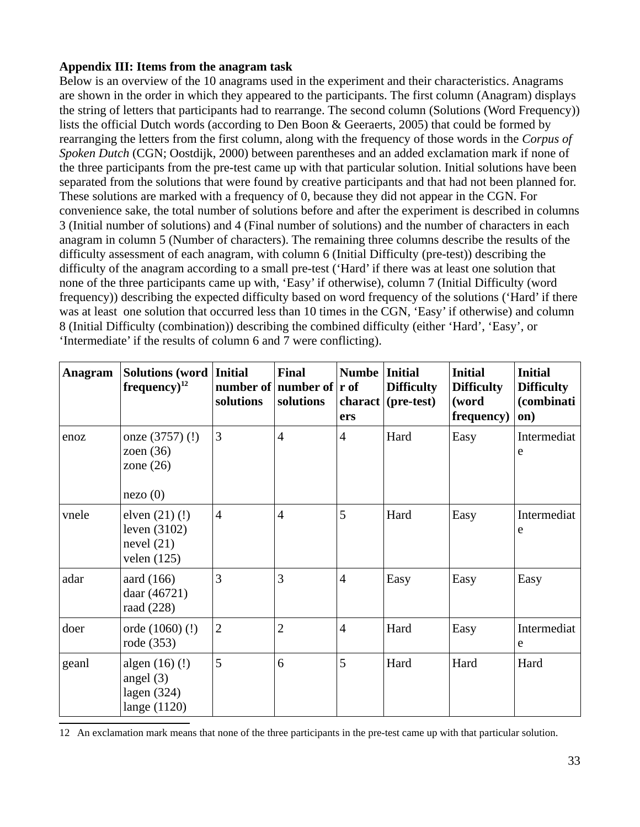### **Appendix III: Items from the anagram task**

Below is an overview of the 10 anagrams used in the experiment and their characteristics. Anagrams are shown in the order in which they appeared to the participants. The first column (Anagram) displays the string of letters that participants had to rearrange. The second column (Solutions (Word Frequency)) lists the official Dutch words (according to Den Boon & Geeraerts, 2005) that could be formed by rearranging the letters from the first column, along with the frequency of those words in the *Corpus of Spoken Dutch* (CGN; Oostdijk, 2000) between parentheses and an added exclamation mark if none of the three participants from the pre-test came up with that particular solution. Initial solutions have been separated from the solutions that were found by creative participants and that had not been planned for. These solutions are marked with a frequency of 0, because they did not appear in the CGN. For convenience sake, the total number of solutions before and after the experiment is described in columns 3 (Initial number of solutions) and 4 (Final number of solutions) and the number of characters in each anagram in column 5 (Number of characters). The remaining three columns describe the results of the difficulty assessment of each anagram, with column 6 (Initial Difficulty (pre-test)) describing the difficulty of the anagram according to a small pre-test ('Hard' if there was at least one solution that none of the three participants came up with, 'Easy' if otherwise), column 7 (Initial Difficulty (word frequency)) describing the expected difficulty based on word frequency of the solutions ('Hard' if there was at least one solution that occurred less than 10 times in the CGN, 'Easy' if otherwise) and column 8 (Initial Difficulty (combination)) describing the combined difficulty (either 'Hard', 'Easy', or 'Intermediate' if the results of column 6 and 7 were conflicting).

| Anagram | Solutions (word<br>$frequency)^{12}$                          | <b>Initial</b><br>solutions | <b>Final</b><br>number of   number of $ $ r of<br>solutions | <b>Numbe</b><br>charact  <br>ers | <b>Initial</b><br><b>Difficulty</b><br>(pre-test) | <b>Initial</b><br><b>Difficulty</b><br>(word<br>frequency) | <b>Initial</b><br><b>Difficulty</b><br>(combinati<br>on) |
|---------|---------------------------------------------------------------|-----------------------------|-------------------------------------------------------------|----------------------------------|---------------------------------------------------|------------------------------------------------------------|----------------------------------------------------------|
| enoz    | onze (3757) (!)<br>zoen $(36)$<br>zone $(26)$<br>nezo(0)      | 3                           | $\overline{4}$                                              | $\overline{4}$                   | Hard                                              | Easy                                                       | Intermediat<br>e                                         |
| vnele   | elven (21) (!)<br>leven (3102)<br>nevel $(21)$<br>velen (125) | $\overline{4}$              | $\overline{4}$                                              | 5                                | Hard                                              | Easy                                                       | Intermediat<br>e                                         |
| adar    | aard (166)<br>daar (46721)<br>raad (228)                      | 3                           | 3                                                           | $\overline{4}$                   | Easy                                              | Easy                                                       | Easy                                                     |
| doer    | orde (1060) (!)<br>rode (353)                                 | $\overline{2}$              | $\overline{2}$                                              | $\overline{4}$                   | Hard                                              | Easy                                                       | Intermediat<br>e                                         |
| geanl   | algen (16) (!)<br>angel $(3)$<br>lagen (324)<br>lange (1120)  | 5                           | 6                                                           | 5                                | Hard                                              | Hard                                                       | Hard                                                     |

<span id="page-35-0"></span>12 An exclamation mark means that none of the three participants in the pre-test came up with that particular solution.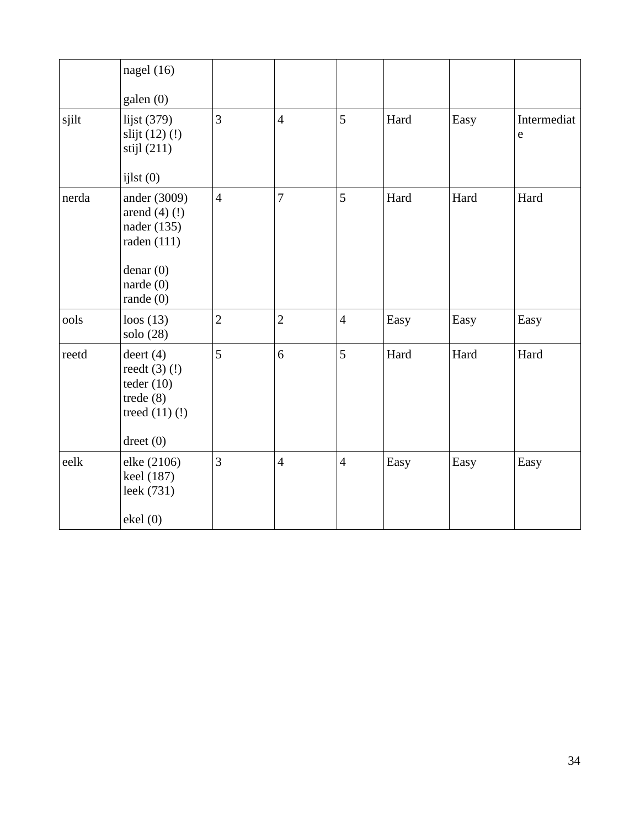|       | nagel $(16)$<br>galen (0)                                                                                 |                |                |                |      |      |                          |
|-------|-----------------------------------------------------------------------------------------------------------|----------------|----------------|----------------|------|------|--------------------------|
| sjilt | lijst (379)<br>slijt (12) (!)<br>stijl (211)<br>$i$ j $lst(0)$                                            | 3              | $\overline{4}$ | 5              | Hard | Easy | Intermediat<br>${\bf e}$ |
| nerda | ander (3009)<br>arend $(4)$ $(!)$<br>nader (135)<br>raden (111)<br>denar(0)<br>narde $(0)$<br>rande $(0)$ | $\overline{4}$ | $\overline{7}$ | 5              | Hard | Hard | Hard                     |
| ools  | loos $(13)$<br>solo (28)                                                                                  | $\overline{2}$ | $\overline{2}$ | $\overline{4}$ | Easy | Easy | Easy                     |
| reetd | deert $(4)$<br>reedt $(3)(!)$<br>teder $(10)$<br>trede $(8)$<br>treed $(11)$ $(!)$<br>$d$ reet $(0)$      | 5              | 6              | 5              | Hard | Hard | Hard                     |
| eelk  | elke (2106)<br>keel (187)<br>leek (731)<br>ekel (0)                                                       | 3              | $\overline{4}$ | $\overline{4}$ | Easy | Easy | Easy                     |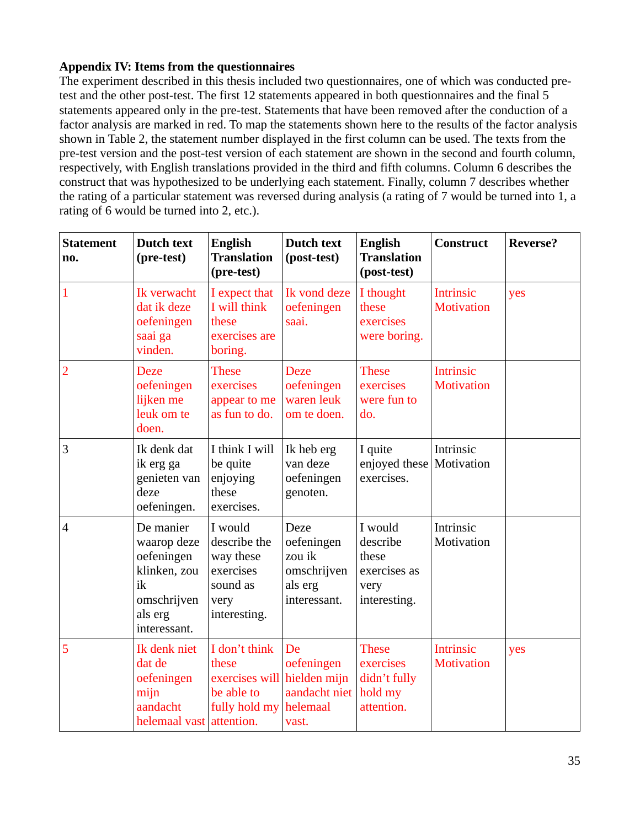# **Appendix IV: Items from the questionnaires**

The experiment described in this thesis included two questionnaires, one of which was conducted pretest and the other post-test. The first 12 statements appeared in both questionnaires and the final 5 statements appeared only in the pre-test. Statements that have been removed after the conduction of a factor analysis are marked in red. To map the statements shown here to the results of the factor analysis shown in Table 2, the statement number displayed in the first column can be used. The texts from the pre-test version and the post-test version of each statement are shown in the second and fourth column, respectively, with English translations provided in the third and fifth columns. Column 6 describes the construct that was hypothesized to be underlying each statement. Finally, column 7 describes whether the rating of a particular statement was reversed during analysis (a rating of 7 would be turned into 1, a rating of 6 would be turned into 2, etc.).

| <b>Statement</b><br>no. | Dutch text<br>(pre-test)                                                                               | <b>English</b><br><b>Translation</b><br>(pre-test)                                    | Dutch text<br>(post-test)                                              | <b>English</b><br><b>Translation</b><br>(post-test)                  | <b>Construct</b>                      | <b>Reverse?</b> |
|-------------------------|--------------------------------------------------------------------------------------------------------|---------------------------------------------------------------------------------------|------------------------------------------------------------------------|----------------------------------------------------------------------|---------------------------------------|-----------------|
| $\mathbf{1}$            | Ik verwacht<br>dat ik deze<br>oefeningen<br>saai ga<br>vinden.                                         | I expect that<br>I will think<br>these<br>exercises are<br>boring.                    | Ik vond deze<br>oefeningen<br>saai.                                    | I thought<br>these<br>exercises<br>were boring.                      | <b>Intrinsic</b><br><b>Motivation</b> | yes             |
| $\overline{2}$          | <b>Deze</b><br>oefeningen<br>lijken me<br>leuk om te<br>doen.                                          | <b>These</b><br>exercises<br>appear to me<br>as fun to do.                            | <b>Deze</b><br>oefeningen<br>waren leuk<br>om te doen.                 | <b>These</b><br>exercises<br>were fun to<br>do.                      | <b>Intrinsic</b><br><b>Motivation</b> |                 |
| 3                       | Ik denk dat<br>ik erg ga<br>genieten van<br>deze<br>oefeningen.                                        | I think I will<br>be quite<br>enjoying<br>these<br>exercises.                         | Ik heb erg<br>van deze<br>oefeningen<br>genoten.                       | I quite<br>enjoyed these<br>exercises.                               | Intrinsic<br>Motivation               |                 |
| $\overline{4}$          | De manier<br>waarop deze<br>oefeningen<br>klinken, zou<br>ik<br>omschrijven<br>als erg<br>interessant. | I would<br>describe the<br>way these<br>exercises<br>sound as<br>very<br>interesting. | Deze<br>oefeningen<br>zou ik<br>omschrijven<br>als erg<br>interessant. | I would<br>describe<br>these<br>exercises as<br>very<br>interesting. | Intrinsic<br>Motivation               |                 |
| 5                       | Ik denk niet<br>dat de<br>oefeningen<br>mijn<br>aandacht<br>helemaal vast attention.                   | I don't think<br>these<br>exercises will<br>be able to<br>fully hold my               | De<br>oefeningen<br>hielden mijn<br>aandacht niet<br>helemaal<br>vast. | <b>These</b><br>exercises<br>didn't fully<br>hold my<br>attention.   | <b>Intrinsic</b><br><b>Motivation</b> | yes             |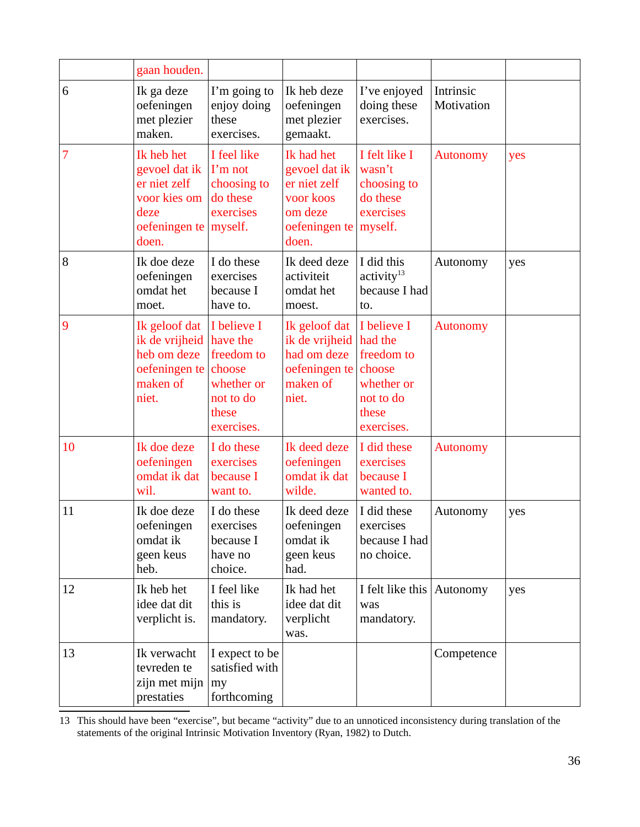|    | gaan houden.                                                                                  |                                                                                                   |                                                                                               |                                                                                                  |                         |     |
|----|-----------------------------------------------------------------------------------------------|---------------------------------------------------------------------------------------------------|-----------------------------------------------------------------------------------------------|--------------------------------------------------------------------------------------------------|-------------------------|-----|
| 6  | Ik ga deze<br>oefeningen<br>met plezier<br>maken.                                             | I'm going to<br>enjoy doing<br>these<br>exercises.                                                | Ik heb deze<br>oefeningen<br>met plezier<br>gemaakt.                                          | I've enjoyed<br>doing these<br>exercises.                                                        | Intrinsic<br>Motivation |     |
| 7  | Ik heb het<br>gevoel dat ik<br>er niet zelf<br>voor kies om<br>deze<br>oefeningen te<br>doen. | I feel like<br>I'm not<br>choosing to<br>do these<br>exercises<br>myself.                         | Ik had het<br>gevoel dat ik<br>er niet zelf<br>voor koos<br>om deze<br>oefeningen te<br>doen. | I felt like I<br>wasn't<br>choosing to<br>do these<br>exercises<br>myself.                       | <b>Autonomy</b>         | yes |
| 8  | Ik doe deze<br>oefeningen<br>omdat het<br>moet.                                               | I do these<br>exercises<br>because I<br>have to.                                                  | Ik deed deze<br>activiteit<br>omdat het<br>moest.                                             | I did this<br>activity <sup>13</sup><br>because I had<br>to.                                     | Autonomy                | yes |
| 9  | Ik geloof dat<br>ik de vrijheid<br>heb om deze<br>oefeningen te<br>maken of<br>niet.          | I believe I<br>have the<br>freedom to<br>choose<br>whether or<br>not to do<br>these<br>exercises. | Ik geloof dat<br>ik de vrijheid<br>had om deze<br>oefeningen te<br>maken of<br>niet.          | I believe I<br>had the<br>freedom to<br>choose<br>whether or<br>not to do<br>these<br>exercises. | <b>Autonomy</b>         |     |
| 10 | Ik doe deze<br>oefeningen<br>omdat ik dat<br>wil.                                             | I do these<br>exercises<br>because I<br>want to.                                                  | Ik deed deze<br>oefeningen<br>omdat ik dat<br>wilde.                                          | I did these<br>exercises<br>because I<br>wanted to.                                              | <b>Autonomy</b>         |     |
| 11 | Ik doe deze<br>oefeningen<br>omdat ik<br>geen keus<br>heb.                                    | I do these<br>exercises<br>because I<br>have no<br>choice.                                        | Ik deed deze<br>oefeningen<br>omdat ik<br>geen keus<br>had.                                   | I did these<br>exercises<br>because I had<br>no choice.                                          | Autonomy                | yes |
| 12 | Ik heb het<br>idee dat dit<br>verplicht is.                                                   | I feel like<br>this is<br>mandatory.                                                              | Ik had het<br>idee dat dit<br>verplicht<br>was.                                               | I felt like this Autonomy<br>was<br>mandatory.                                                   |                         | yes |
| 13 | Ik verwacht<br>tevreden te<br>zijn met mijn<br>prestaties                                     | I expect to be<br>satisfied with<br>my<br>forthcoming                                             |                                                                                               |                                                                                                  | Competence              |     |

<span id="page-38-0"></span>13 This should have been "exercise", but became "activity" due to an unnoticed inconsistency during translation of the statements of the original Intrinsic Motivation Inventory (Ryan, 1982) to Dutch.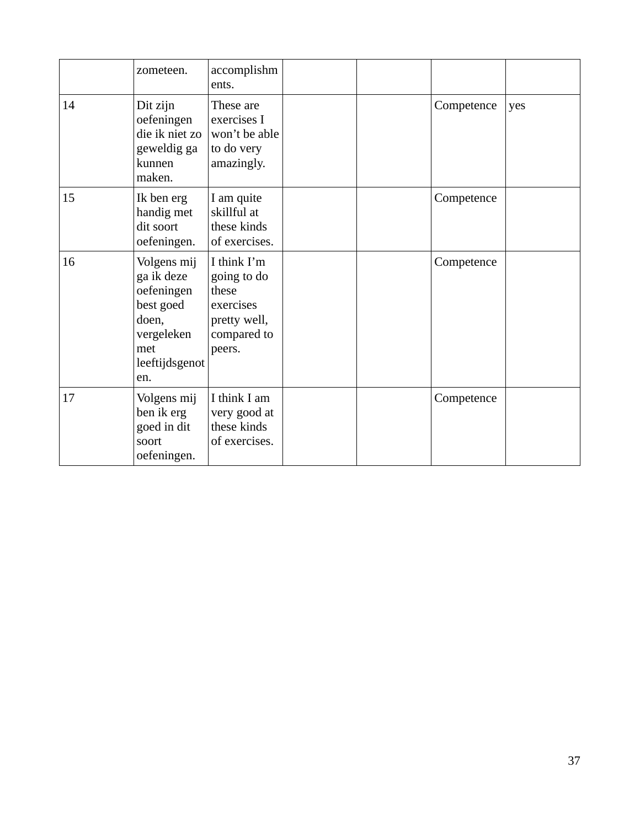|    | zometeen.                                                                                                   | accomplishm<br>ents.                                                                      |  |            |     |
|----|-------------------------------------------------------------------------------------------------------------|-------------------------------------------------------------------------------------------|--|------------|-----|
| 14 | Dit zijn<br>oefeningen<br>die ik niet zo<br>geweldig ga<br>kunnen<br>maken.                                 | These are<br>exercises I<br>won't be able<br>to do very<br>amazingly.                     |  | Competence | yes |
| 15 | Ik ben erg<br>handig met<br>dit soort<br>oefeningen.                                                        | I am quite<br>skillful at<br>these kinds<br>of exercises.                                 |  | Competence |     |
| 16 | Volgens mij<br>ga ik deze<br>oefeningen<br>best goed<br>doen,<br>vergeleken<br>met<br>leeftijdsgenot<br>en. | I think I'm<br>going to do<br>these<br>exercises<br>pretty well,<br>compared to<br>peers. |  | Competence |     |
| 17 | Volgens mij<br>ben ik erg<br>goed in dit<br>soort<br>oefeningen.                                            | I think I am<br>very good at<br>these kinds<br>of exercises.                              |  | Competence |     |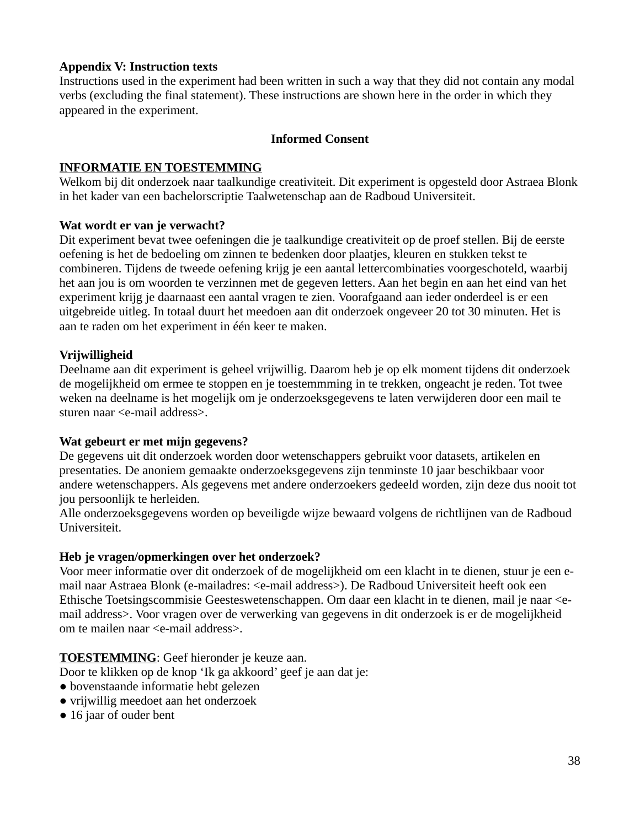### **Appendix V: Instruction texts**

Instructions used in the experiment had been written in such a way that they did not contain any modal verbs (excluding the final statement). These instructions are shown here in the order in which they appeared in the experiment.

### **Informed Consent**

### **INFORMATIE EN TOESTEMMING**

Welkom bij dit onderzoek naar taalkundige creativiteit. Dit experiment is opgesteld door Astraea Blonk in het kader van een bachelorscriptie Taalwetenschap aan de Radboud Universiteit.

### **Wat wordt er van je verwacht?**

Dit experiment bevat twee oefeningen die je taalkundige creativiteit op de proef stellen. Bij de eerste oefening is het de bedoeling om zinnen te bedenken door plaatjes, kleuren en stukken tekst te combineren. Tijdens de tweede oefening krijg je een aantal lettercombinaties voorgeschoteld, waarbij het aan jou is om woorden te verzinnen met de gegeven letters. Aan het begin en aan het eind van het experiment krijg je daarnaast een aantal vragen te zien. Voorafgaand aan ieder onderdeel is er een uitgebreide uitleg. In totaal duurt het meedoen aan dit onderzoek ongeveer 20 tot 30 minuten. Het is aan te raden om het experiment in één keer te maken.

# **Vrijwilligheid**

Deelname aan dit experiment is geheel vrijwillig. Daarom heb je op elk moment tijdens dit onderzoek de mogelijkheid om ermee te stoppen en je toestemmming in te trekken, ongeacht je reden. Tot twee weken na deelname is het mogelijk om je onderzoeksgegevens te laten verwijderen door een mail te sturen naar <e-mail address>.

#### **Wat gebeurt er met mijn gegevens?**

De gegevens uit dit onderzoek worden door wetenschappers gebruikt voor datasets, artikelen en presentaties. De anoniem gemaakte onderzoeksgegevens zijn tenminste 10 jaar beschikbaar voor andere wetenschappers. Als gegevens met andere onderzoekers gedeeld worden, zijn deze dus nooit tot jou persoonlijk te herleiden.

Alle onderzoeksgegevens worden op beveiligde wijze bewaard volgens de richtlijnen van de Radboud Universiteit.

# **Heb je vragen/opmerkingen over het onderzoek?**

Voor meer informatie over dit onderzoek of de mogelijkheid om een klacht in te dienen, stuur je een email naar Astraea Blonk (e-mailadres: <e-mail address>). De Radboud Universiteit heeft ook een Ethische Toetsingscommisie Geesteswetenschappen. Om daar een klacht in te dienen, mail je naar <email address>. Voor vragen over de verwerking van gegevens in dit onderzoek is er de mogelijkheid om te mailen naar <e-mail address>.

# **TOESTEMMING**: Geef hieronder je keuze aan.

Door te klikken op de knop 'Ik ga akkoord' geef je aan dat je:

- bovenstaande informatie hebt gelezen
- vrijwillig meedoet aan het onderzoek
- 16 jaar of ouder bent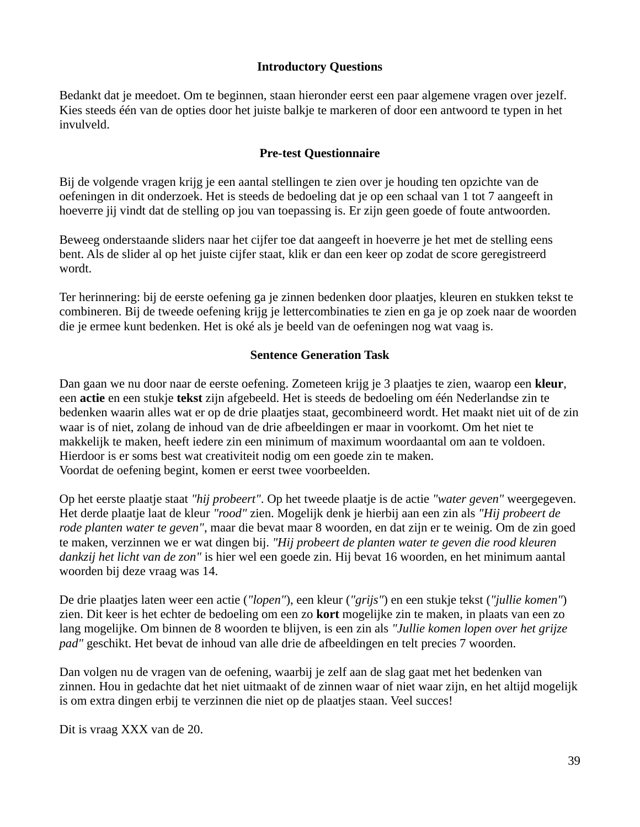### **Introductory Questions**

Bedankt dat je meedoet. Om te beginnen, staan hieronder eerst een paar algemene vragen over jezelf. Kies steeds één van de opties door het juiste balkje te markeren of door een antwoord te typen in het invulveld.

### **Pre-test Questionnaire**

Bij de volgende vragen krijg je een aantal stellingen te zien over je houding ten opzichte van de oefeningen in dit onderzoek. Het is steeds de bedoeling dat je op een schaal van 1 tot 7 aangeeft in hoeverre jij vindt dat de stelling op jou van toepassing is. Er zijn geen goede of foute antwoorden.

Beweeg onderstaande sliders naar het cijfer toe dat aangeeft in hoeverre je het met de stelling eens bent. Als de slider al op het juiste cijfer staat, klik er dan een keer op zodat de score geregistreerd wordt.

Ter herinnering: bij de eerste oefening ga je zinnen bedenken door plaatjes, kleuren en stukken tekst te combineren. Bij de tweede oefening krijg je lettercombinaties te zien en ga je op zoek naar de woorden die je ermee kunt bedenken. Het is oké als je beeld van de oefeningen nog wat vaag is.

### **Sentence Generation Task**

Dan gaan we nu door naar de eerste oefening. Zometeen krijg je 3 plaatjes te zien, waarop een **kleur**, een **actie** en een stukje **tekst** zijn afgebeeld. Het is steeds de bedoeling om één Nederlandse zin te bedenken waarin alles wat er op de drie plaatjes staat, gecombineerd wordt. Het maakt niet uit of de zin waar is of niet, zolang de inhoud van de drie afbeeldingen er maar in voorkomt. Om het niet te makkelijk te maken, heeft iedere zin een minimum of maximum woordaantal om aan te voldoen. Hierdoor is er soms best wat creativiteit nodig om een goede zin te maken. Voordat de oefening begint, komen er eerst twee voorbeelden.

Op het eerste plaatje staat *"hij probeert"*. Op het tweede plaatje is de actie *"water geven"* weergegeven. Het derde plaatje laat de kleur *"rood"* zien. Mogelijk denk je hierbij aan een zin als *"Hij probeert de rode planten water te geven"*, maar die bevat maar 8 woorden, en dat zijn er te weinig. Om de zin goed te maken, verzinnen we er wat dingen bij. *"Hij probeert de planten water te geven die rood kleuren dankzij het licht van de zon"* is hier wel een goede zin. Hij bevat 16 woorden, en het minimum aantal woorden bij deze vraag was 14.

De drie plaatjes laten weer een actie (*"lopen"*), een kleur (*"grijs"*) en een stukje tekst (*"jullie komen"*) zien. Dit keer is het echter de bedoeling om een zo **kort** mogelijke zin te maken, in plaats van een zo lang mogelijke. Om binnen de 8 woorden te blijven, is een zin als *"Jullie komen lopen over het grijze pad"* geschikt. Het bevat de inhoud van alle drie de afbeeldingen en telt precies 7 woorden.

Dan volgen nu de vragen van de oefening, waarbij je zelf aan de slag gaat met het bedenken van zinnen. Hou in gedachte dat het niet uitmaakt of de zinnen waar of niet waar zijn, en het altijd mogelijk is om extra dingen erbij te verzinnen die niet op de plaatjes staan. Veel succes!

Dit is vraag XXX van de 20.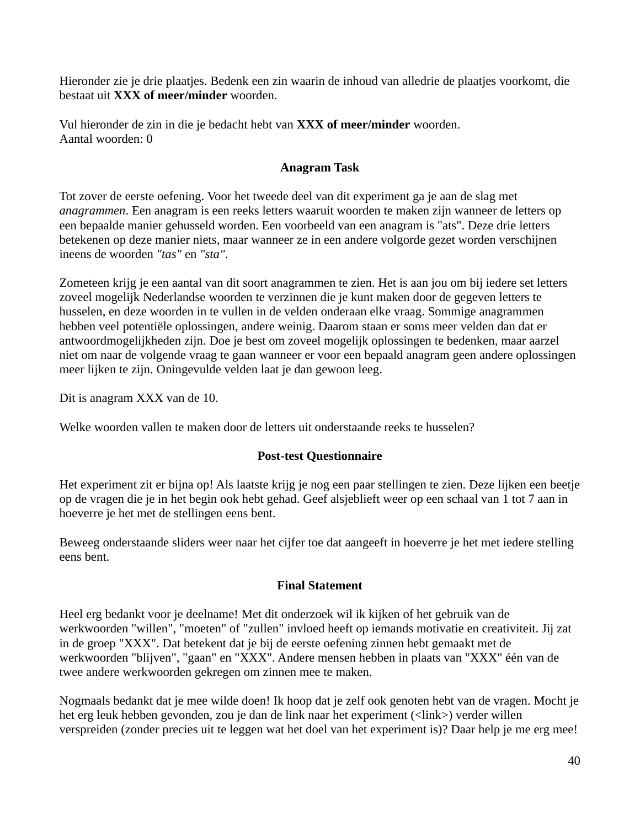Hieronder zie je drie plaatjes. Bedenk een zin waarin de inhoud van alledrie de plaatjes voorkomt, die bestaat uit **XXX of meer/minder** woorden.

Vul hieronder de zin in die je bedacht hebt van **XXX of meer/minder** woorden. Aantal woorden: 0

# **Anagram Task**

Tot zover de eerste oefening. Voor het tweede deel van dit experiment ga je aan de slag met *anagrammen*. Een anagram is een reeks letters waaruit woorden te maken zijn wanneer de letters op een bepaalde manier gehusseld worden. Een voorbeeld van een anagram is "ats". Deze drie letters betekenen op deze manier niets, maar wanneer ze in een andere volgorde gezet worden verschijnen ineens de woorden *"tas"* en *"sta"*.

Zometeen krijg je een aantal van dit soort anagrammen te zien. Het is aan jou om bij iedere set letters zoveel mogelijk Nederlandse woorden te verzinnen die je kunt maken door de gegeven letters te husselen, en deze woorden in te vullen in de velden onderaan elke vraag. Sommige anagrammen hebben veel potentiële oplossingen, andere weinig. Daarom staan er soms meer velden dan dat er antwoordmogelijkheden zijn. Doe je best om zoveel mogelijk oplossingen te bedenken, maar aarzel niet om naar de volgende vraag te gaan wanneer er voor een bepaald anagram geen andere oplossingen meer lijken te zijn. Oningevulde velden laat je dan gewoon leeg.

Dit is anagram XXX van de 10.

Welke woorden vallen te maken door de letters uit onderstaande reeks te husselen?

# **Post-test Questionnaire**

Het experiment zit er bijna op! Als laatste krijg je nog een paar stellingen te zien. Deze lijken een beetje op de vragen die je in het begin ook hebt gehad. Geef alsjeblieft weer op een schaal van 1 tot 7 aan in hoeverre je het met de stellingen eens bent.

Beweeg onderstaande sliders weer naar het cijfer toe dat aangeeft in hoeverre je het met iedere stelling eens bent.

# **Final Statement**

Heel erg bedankt voor je deelname! Met dit onderzoek wil ik kijken of het gebruik van de werkwoorden "willen", "moeten" of "zullen" invloed heeft op iemands motivatie en creativiteit. Jij zat in de groep "XXX". Dat betekent dat je bij de eerste oefening zinnen hebt gemaakt met de werkwoorden "blijven", "gaan" en "XXX". Andere mensen hebben in plaats van "XXX" één van de twee andere werkwoorden gekregen om zinnen mee te maken.

Nogmaals bedankt dat je mee wilde doen! Ik hoop dat je zelf ook genoten hebt van de vragen. Mocht je het erg leuk hebben gevonden, zou je dan de link naar het experiment (<link>) verder willen verspreiden (zonder precies uit te leggen wat het doel van het experiment is)? Daar help je me erg mee!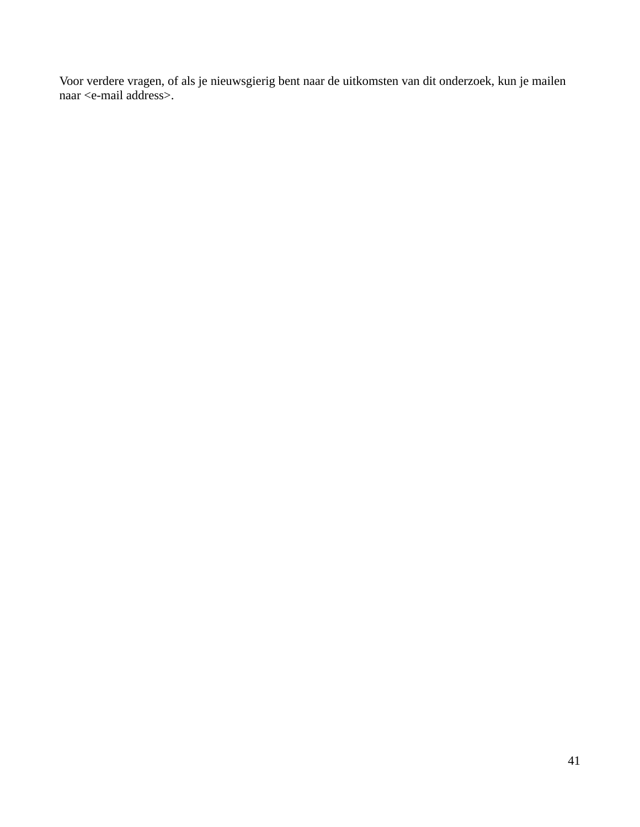Voor verdere vragen, of als je nieuwsgierig bent naar de uitkomsten van dit onderzoek, kun je mailen naar <e-mail address>.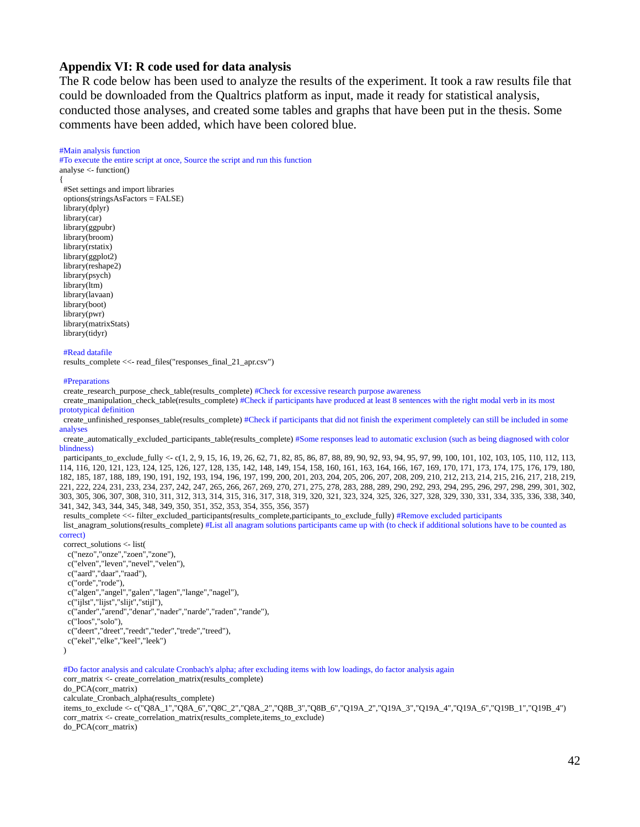#### **Appendix VI: R code used for data analysis**

The R code below has been used to analyze the results of the experiment. It took a raw results file that could be downloaded from the Qualtrics platform as input, made it ready for statistical analysis, conducted those analyses, and created some tables and graphs that have been put in the thesis. Some comments have been added, which have been colored blue.

#### #Main analysis function

#To execute the entire script at once, Source the script and run this function analyse <- function()

{ #Set settings and import libraries options(stringsAsFactors = FALSE) library(dplyr) library(car) library(ggpubr) library(broom) library(rstatix) library(ggplot2) library(reshape2) library(psych) library(ltm) library(lavaan) library(boot) library(pwr) library(matrixStats) library(tidyr)

#### #Read datafile

results\_complete <<- read\_files("responses\_final\_21\_apr.csv")

#### #Preparations

create\_research\_purpose\_check\_table(results\_complete) #Check for excessive research purpose awareness

 create\_manipulation\_check\_table(results\_complete) #Check if participants have produced at least 8 sentences with the right modal verb in its most prototypical definition

 create\_unfinished\_responses\_table(results\_complete) #Check if participants that did not finish the experiment completely can still be included in some analyses

 create\_automatically\_excluded\_participants\_table(results\_complete) #Some responses lead to automatic exclusion (such as being diagnosed with color blindness)

 participants\_to\_exclude\_fully <- c(1, 2, 9, 15, 16, 19, 26, 62, 71, 82, 85, 86, 87, 88, 89, 90, 92, 93, 94, 95, 97, 99, 100, 101, 102, 103, 105, 110, 112, 113, 114, 116, 120, 121, 123, 124, 125, 126, 127, 128, 135, 142, 148, 149, 154, 158, 160, 161, 163, 164, 166, 167, 169, 170, 171, 173, 174, 175, 176, 179, 180, 182, 185, 187, 188, 189, 190, 191, 192, 193, 194, 196, 197, 199, 200, 201, 203, 204, 205, 206, 207, 208, 209, 210, 212, 213, 214, 215, 216, 217, 218, 219, 221, 222, 224, 231, 233, 234, 237, 242, 247, 265, 266, 267, 269, 270, 271, 275, 278, 283, 288, 289, 290, 292, 293, 294, 295, 296, 297, 298, 299, 301, 302, 303, 305, 306, 307, 308, 310, 311, 312, 313, 314, 315, 316, 317, 318, 319, 320, 321, 323, 324, 325, 326, 327, 328, 329, 330, 331, 334, 335, 336, 338, 340, 341, 342, 343, 344, 345, 348, 349, 350, 351, 352, 353, 354, 355, 356, 357)

results\_complete <<- filter\_excluded\_participants(results\_complete,participants\_to\_exclude fully) #Remove excluded participants

 list\_anagram\_solutions(results\_complete) #List all anagram solutions participants came up with (to check if additional solutions have to be counted as correct)

 correct\_solutions <- list( c("nezo","onze","zoen","zone"), c("elven","leven","nevel","velen"), c("aard","daar","raad"), c("orde","rode"), c("algen","angel","galen","lagen","lange","nagel"), c("ijlst","lijst","slijt","stijl"), c("ander","arend","denar","nader","narde","raden","rande"), c("loos","solo"), c("deert","dreet","reedt","teder","trede","treed"), c("ekel","elke","keel","leek")

```
\lambda
```
#Do factor analysis and calculate Cronbach's alpha; after excluding items with low loadings, do factor analysis again

 corr\_matrix <- create\_correlation\_matrix(results\_complete) do\_PCA(corr\_matrix) calculate\_Cronbach\_alpha(results\_complete) items\_to\_exclude <- c("Q8A\_1","Q8A\_6","Q8C\_2","Q8A\_2","Q8B\_3","Q8B\_6","Q19A\_2","Q19A\_3","Q19A\_4","Q19A\_6","Q19B\_1","Q19B\_4") corr\_matrix <- create\_correlation\_matrix(results\_complete,items\_to\_exclude) do\_PCA(corr\_matrix)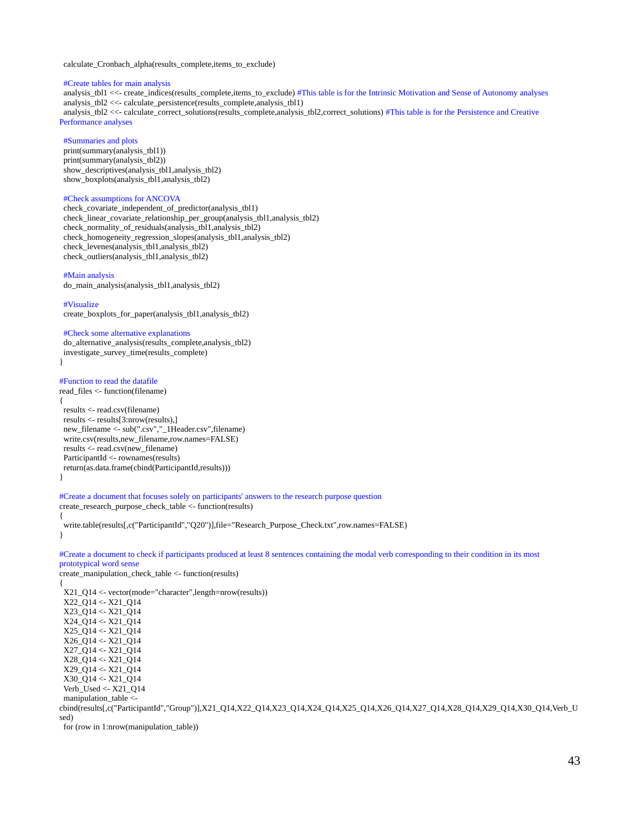calculate\_Cronbach\_alpha(results\_complete,items\_to\_exclude)

#### #Create tables for main analysis

 analysis\_tbl1 <<- create\_indices(results\_complete,items\_to\_exclude) #This table is for the Intrinsic Motivation and Sense of Autonomy analyses analysis\_tbl2 <<- calculate\_persistence(results\_complete,analysis\_tbl1) analysis\_tbl2 <<- calculate\_correct\_solutions(results\_complete,analysis\_tbl2,correct\_solutions) #This table is for the Persistence and Creative Performance analyses

#### #Summaries and plots

 print(summary(analysis\_tbl1)) print(summary(analysis\_tbl2)) show\_descriptives(analysis\_tbl1,analysis\_tbl2) show\_boxplots(analysis\_tbl1,analysis\_tbl2)

#### #Check assumptions for ANCOVA

 check\_covariate\_independent\_of\_predictor(analysis\_tbl1) check\_linear\_covariate\_relationship\_per\_group(analysis\_tbl1,analysis\_tbl2) check\_normality\_of\_residuals(analysis\_tbl1,analysis\_tbl2) check\_homogeneity\_regression\_slopes(analysis\_tbl1,analysis\_tbl2) check\_levenes(analysis\_tbl1,analysis\_tbl2) check\_outliers(analysis\_tbl1,analysis\_tbl2)

#### #Main analysis

do\_main\_analysis(analysis\_tbl1,analysis\_tbl2)

#### #Visualize

}

{

create\_boxplots\_for\_paper(analysis\_tbl1,analysis\_tbl2)

#### #Check some alternative explanations

 do\_alternative\_analysis(results\_complete,analysis\_tbl2) investigate\_survey\_time(results\_complete) }

#### #Function to read the datafile

read\_files <- function(filename) { results <- read.csv(filename) results <- results[3:nrow(results),] new\_filename <- sub(".csv","\_1Header.csv",filename) write.csv(results,new\_filename,row.names=FALSE) results <- read.csv(new\_filename) ParticipantId <- rownames(results) return(as.data.frame(cbind(ParticipantId,results)))

#Create a document that focuses solely on participants' answers to the research purpose question create\_research\_purpose\_check\_table <- function(results)

 write.table(results[,c("ParticipantId","Q20")],file="Research\_Purpose\_Check.txt",row.names=FALSE) }

#Create a document to check if participants produced at least 8 sentences containing the modal verb corresponding to their condition in its most prototypical word sense

create\_manipulation\_check\_table <- function(results) {

 X21\_Q14 <- vector(mode="character",length=nrow(results)) X22\_Q14 <- X21\_Q14 X23\_Q14 <- X21\_Q14 X24\_Q14 <- X21\_Q14 X25\_Q14 <- X21\_Q14 X26\_Q14 <- X21\_Q14 X27\_Q14 <- X21\_Q14 X28\_Q14 <- X21\_Q14 X29\_Q14 <- X21\_Q14 X30\_Q14 <- X21\_Q14 Verb\_Used <- X21\_Q14 manipulation\_table < cbind(results[,c("ParticipantId","Group")],X21\_Q14,X22\_Q14,X23\_Q14,X24\_Q14,X25\_Q14,X26\_Q14,X27\_Q14,X28\_Q14,X29\_Q14,X30\_Q14,Verb\_U sed)

for (row in 1:nrow(manipulation\_table))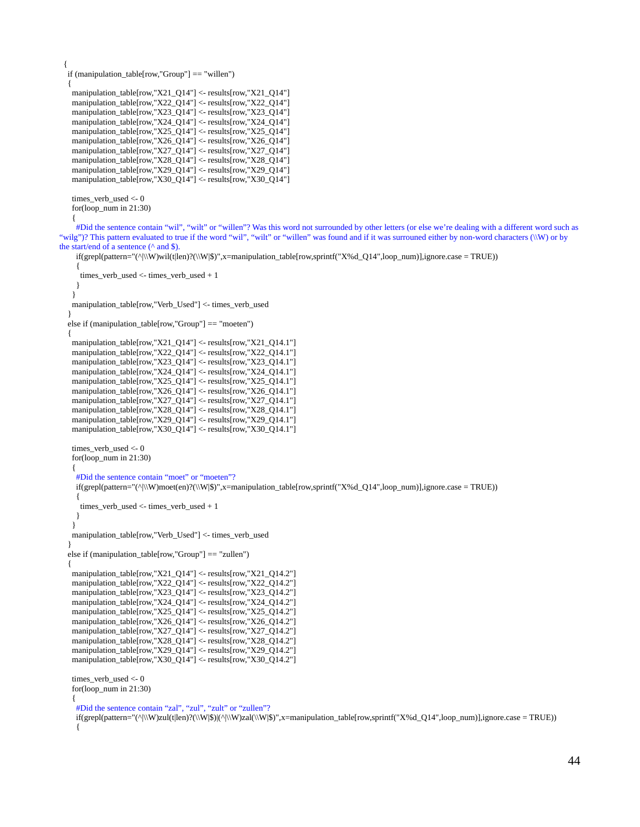```
 if (manipulation_table[row,"Group"] == "willen")
 {
 manipulation_table[row,"X21_Q14"] <- results[row,"X21_Q14"]
 manipulation_table[row,"X22_Q14"] <- results[row,"X22_Q14"]
 manipulation_table[row,"X23_Q14"] <- results[row,"X23_Q14"]
 manipulation_table[row,"X24_Q14"] <- results[row,"X24_Q14"]
 manipulation_table[row,"X25_Q14"] <- results[row,"X25_Q14"]
 manipulation_table[row,"X26_Q14"] <- results[row,"X26_Q14"]
  manipulation_table[row,"X27_Q14"] <- results[row,"X27_Q14"]
  manipulation_table[row,"X28_Q14"] <- results[row,"X28_Q14"]
  manipulation_table[row,"X29_Q14"] <- results[row,"X29_Q14"]
 manipulation_table[row,"X30_Q14"] <- results[row,"X30_Q14"]
```

```
times verb used \leq 0
 for(loop_num in 21:30)
```
 $\overline{\phantom{a}}$ 

{

#Did the sentence contain "wil", "wilt" or "willen"? Was this word not surrounded by other letters (or else we're dealing with a different word such as "wilg")? This pattern evaluated to true if the word "wil", "wilt" or "willen" was found and if it was surrouned either by non-word characters (\\W) or by the start/end of a sentence ( $\land$  and \$).

if(grepl(pattern="(^|\\W)wil(t|len)?(\\W|\$)",x=manipulation\_table[row,sprintf("X%d\_Q14",loop\_num)],ignore.case = TRUE))

```
 {
      times_verb_used <- times_verb_used + 1
     }
    }
   manipulation_table[row,"Verb_Used"] <- times_verb_used
 }
   else if (manipulation_table[row,"Group"] == "moeten")
   {
   manipulation_table[row,"X21_Q14"] <- results[row,"X21_Q14.1"]
   manipulation_table[row,"X22_Q14"] <- results[row,"X22_Q14.1"]
   manipulation_table[row,"X23_Q14"] <- results[row,"X23_Q14.1"]
    manipulation_table[row,"X24_Q14"] <- results[row,"X24_Q14.1"]
    manipulation_table[row,"X25_Q14"] <- results[row,"X25_Q14.1"]
    manipulation_table[row,"X26_Q14"] <- results[row,"X26_Q14.1"]
   manipulation_table[row,"X27_Q14"] <- results[row,"X27_Q14.1"]
    manipulation_table[row,"X28_Q14"] <- results[row,"X28_Q14.1"]
    manipulation_table[row,"X29_Q14"] <- results[row,"X29_Q14.1"]
    manipulation_table[row,"X30_Q14"] <- results[row,"X30_Q14.1"]
    times_verb_used <- 0
    for(loop_num in 21:30)
    {
    #Did the sentence contain "moet" or "moeten"?
     if(grepl(pattern="(^|\\W)moet(en)?(\\W|$)",x=manipulation_table[row,sprintf("X%d_Q14",loop_num)],ignore.case = TRUE))
     {
      times_verb_used <- times_verb_used + 1
     }
    }
   manipulation_table[row,"Verb_Used"] <- times_verb_used
 }
   else if (manipulation_table[row,"Group"] == "zullen")
   {
   manipulation_table[row,"X21_Q14"] <- results[row,"X21_Q14.2"]
   manipulation_table[row,"X22_Q14"] <- results[row,"X22_Q14.2"]
   manipulation_table[row,"X23_Q14"] <- results[row,"X23_Q14.2"]
    manipulation_table[row,"X24_Q14"] <- results[row,"X24_Q14.2"]
    manipulation_table[row,"X25_Q14"] <- results[row,"X25_Q14.2"]
   manipulation_table[row,"X26_Q14"] <- results[row,"X26_Q14.2"]
    manipulation_table[row,"X27_Q14"] <- results[row,"X27_Q14.2"]
    manipulation_table[row,"X28_Q14"] <- results[row,"X28_Q14.2"]
    manipulation_table[row,"X29_Q14"] <- results[row,"X29_Q14.2"]
    manipulation_table[row,"X30_Q14"] <- results[row,"X30_Q14.2"]
    times_verb_used <- 0
    for(loop_num in 21:30)
\{
```
#Did the sentence contain "zal", "zul", "zult" or "zullen"?

if(grepl(pattern="(^|\\W)zul(t|len)?(\\W|\$)|(^|\\W)zal(\\W|\$)",x=manipulation\_table[row,sprintf("X%d\_Q14",loop\_num)],ignore.case = TRUE)) {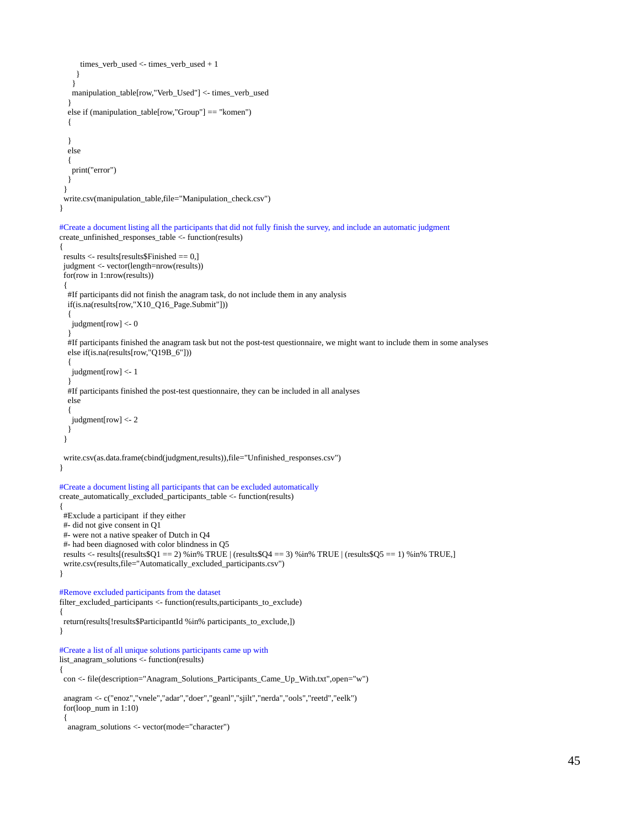```
 times_verb_used <- times_verb_used + 1
     }
     }
    manipulation_table[row,"Verb_Used"] <- times_verb_used
   }
   else if (manipulation_table[row,"Group"] == "komen")
   {
   }
   else
   {
    print("error")
   }
  }
  write.csv(manipulation_table,file="Manipulation_check.csv")
}
#Create a document listing all the participants that did not fully finish the survey, and include an automatic judgment
create_unfinished_responses_table <- function(results)
{
 results <- results[results$Finished == 0,]
 judgment <- vector(length=nrow(results))
  for(row in 1:nrow(results))
 {
   #If participants did not finish the anagram task, do not include them in any analysis
   if(is.na(results[row,"X10_Q16_Page.Submit"]))
   {
    judgment[row] <- 0
 }
   #If participants finished the anagram task but not the post-test questionnaire, we might want to include them in some analyses
   else if(is.na(results[row,"Q19B_6"]))
\{ judgment[row] <- 1
 }
   #If participants finished the post-test questionnaire, they can be included in all analyses
   else
   {
    judgment[row] <- 2
   }
  }
  write.csv(as.data.frame(cbind(judgment,results)),file="Unfinished_responses.csv")
}
#Create a document listing all participants that can be excluded automatically
create_automatically_excluded_participants_table <- function(results)
{
 #Exclude a participant if they either
 #- did not give consent in Q1
  #- were not a native speaker of Dutch in Q4
  #- had been diagnosed with color blindness in Q5
 results <- results[(results$Q1 == 2) %in% TRUE | (results$Q4 == 3) %in% TRUE | (results$Q5 == 1) %in% TRUE,]
 write.csv(results,file="Automatically_excluded_participants.csv")
}
#Remove excluded participants from the dataset
filter_excluded_participants <- function(results,participants_to_exclude)
{
 return(results[!results$ParticipantId %in% participants_to_exclude,])
}
#Create a list of all unique solutions participants came up with
list_anagram_solutions <- function(results)
{
 con <- file(description="Anagram_Solutions_Participants_Came_Up_With.txt",open="w")
  anagram <- c("enoz","vnele","adar","doer","geanl","sjilt","nerda","ools","reetd","eelk")
  for(loop_num in 1:10)
  {
   anagram_solutions <- vector(mode="character")
```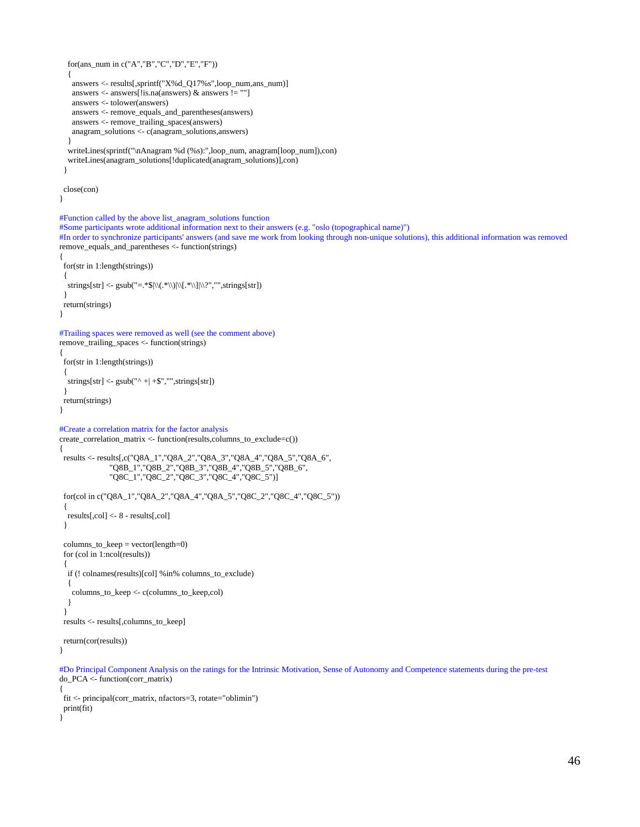```
 for(ans_num in c("A","B","C","D","E","F"))
   {
    answers <- results[,sprintf("X%d_Q17%s",loop_num,ans_num)]
    answers <- answers[!is.na(answers) & answers != ""]
    answers <- tolower(answers)
    answers <- remove_equals_and_parentheses(answers)
    answers <- remove_trailing_spaces(answers)
    anagram_solutions <- c(anagram_solutions,answers)
   }
   writeLines(sprintf("\nAnagram %d (%s):",loop_num, anagram[loop_num]),con)
   writeLines(anagram_solutions[!duplicated(anagram_solutions)],con)
  }
 close(con)
}
#Function called by the above list_anagram_solutions function
#Some participants wrote additional information next to their answers (e.g. "oslo (topographical name)")
#In order to synchronize participants' answers (and save me work from looking through non-unique solutions), this additional information was removed
remove_equals_and_parentheses <- function(strings)
  for(str in 1:length(strings))
  {
  \text{strings}[\text{str}] \leq \text{gsub}("=.*\$| \setminus (.* \setminus) | \setminus [.* \setminus)] | \setminus ?", \text{strings}[\text{str}]) }
 return(strings)
}
#Trailing spaces were removed as well (see the comment above)
remove_trailing_spaces <- function(strings)
{
  for(str in 1:length(strings))
  {
  strings[str] <- \text{gsub}("^{\wedge} + | + \text{\$}", \text{''}, \text{strings}[\text{str}]) }
 return(strings)
}
#Create a correlation matrix for the factor analysis
create_correlation_matrix <- function(results,columns_to_exclude=c())
{
 results <- results[,c("Q8A_1","Q8A_2","Q8A_3","Q8A_4","Q8A_5","Q8A_6",
                "Q8B_1","Q8B_2","Q8B_3","Q8B_4","Q8B_5","Q8B_6",
                "Q8C_1","Q8C_2","Q8C_3","Q8C_4","Q8C_5")]
  for(col in c("Q8A_1","Q8A_2","Q8A_4","Q8A_5","Q8C_2","Q8C_4","Q8C_5"))
  {
   results[,col] <- 8 - results[,col]
  }
  columns_to_keep = vector(length=0)
  for (col in 1:ncol(results))
  {
   if (! colnames(results)[col] %in% columns_to_exclude)
   {
    columns_to_keep <- c(columns_to_keep,col)
   }
  }
 results <- results[,columns_to_keep]
 return(cor(results))
}
#Do Principal Component Analysis on the ratings for the Intrinsic Motivation, Sense of Autonomy and Competence statements during the pre-test
do_PCA <- function(corr_matrix)
{
```

```
 fit <- principal(corr_matrix, nfactors=3, rotate="oblimin")
 print(fit)
}
```
{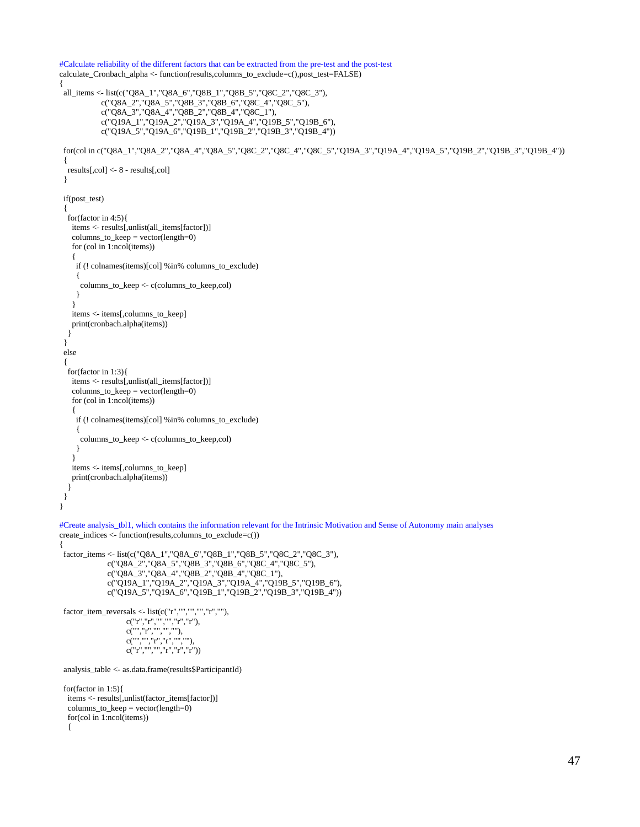```
#Calculate reliability of the different factors that can be extracted from the pre-test and the post-test
calculate_Cronbach_alpha <- function(results,columns_to_exclude=c(),post_test=FALSE)
{
 all_items <- list(c("Q8A_1","Q8A_6","Q8B_1","Q8B_5","Q8C_2","Q8C_3"),
            c("Q8A_2","Q8A_5","Q8B_3","Q8B_6","Q8C_4","Q8C_5"),
            c("Q8A_3","Q8A_4","Q8B_2","Q8B_4","Q8C_1"),
 c("Q19A_1","Q19A_2","Q19A_3","Q19A_4","Q19B_5","Q19B_6"),
 c("Q19A_5","Q19A_6","Q19B_1","Q19B_2","Q19B_3","Q19B_4"))
  for(col in c("Q8A_1","Q8A_2","Q8A_4","Q8A_5","Q8C_2","Q8C_4","Q8C_5","Q19A_3","Q19A_4","Q19A_5","Q19B_2","Q19B_3","Q19B_4"))
  {
   results[,col] <- 8 - results[,col]
  }
  if(post_test)
  {
   for(factor in 4:5){
    items <- results[,unlist(all_items[factor])]
    columns_to_keep = vector(length=0)
    for (col in 1:ncol(items))
    {
     if (! colnames(items)[col] %in% columns_to_exclude)
     {
      columns_to_keep <- c(columns_to_keep,col)
     }
    }
    items <- items[,columns_to_keep]
    print(cronbach.alpha(items))
   }
  }
  else
  {
   for(factor in 1:3){
    items <- results[,unlist(all_items[factor])]
    columns_to_keep = vector(length=0)
    for (col in 1:ncol(items))
    {
     if (! colnames(items)[col] %in% columns_to_exclude)
     {
      columns_to_keep <- c(columns_to_keep,col)
     }
    }
    items <- items[,columns_to_keep]
   print(cronbach.alpha(items))
   }
 }
}
#Create analysis_tbl1, which contains the information relevant for the Intrinsic Motivation and Sense of Autonomy main analyses
create_indices <- function(results,columns_to_exclude=c())
{
  factor_items <- list(c("Q8A_1","Q8A_6","Q8B_1","Q8B_5","Q8C_2","Q8C_3"),
              c("Q8A_2","Q8A_5","Q8B_3","Q8B_6","Q8C_4","Q8C_5"),
              c("Q8A_3","Q8A_4","Q8B_2","Q8B_4","Q8C_1"),
 c("Q19A_1","Q19A_2","Q19A_3","Q19A_4","Q19B_5","Q19B_6"),
 c("Q19A_5","Q19A_6","Q19B_1","Q19B_2","Q19B_3","Q19B_4"))
factor_item_reversals <- list(c("r", "", "", "r", ""),
 c("r","r","","","r","r"),
C("", "r", "", "", "", "c("", "", "r", "r", "''", "''", "''),
c("r", "", "", "r", "r", "r") analysis_table <- as.data.frame(results$ParticipantId)
  for(factor in 1:5){
  items <- results[,unlist(factor_items[factor])]
   columns_to_keep = vector(length=0)
   for(col in 1:ncol(items))
   {
```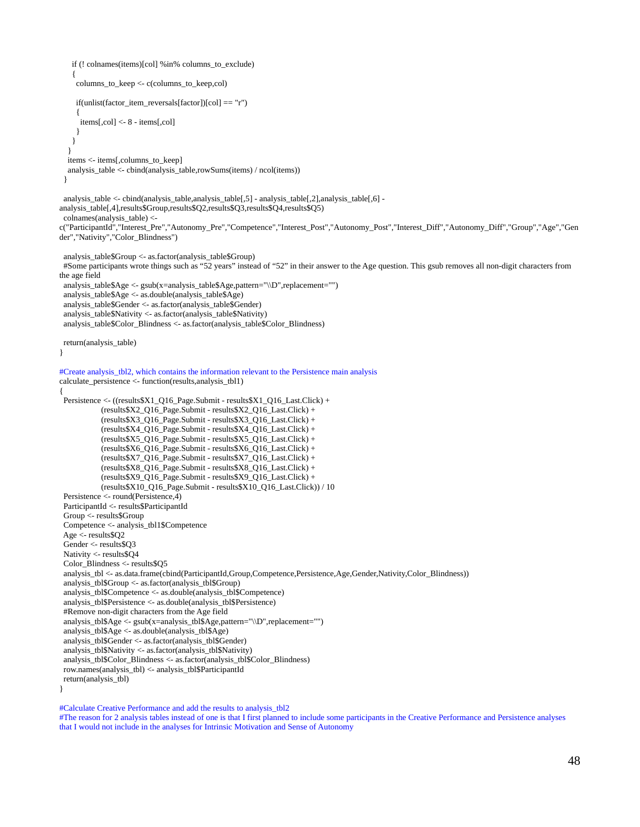```
 if (! colnames(items)[col] %in% columns_to_exclude)
    {
     columns_to_keep <- c(columns_to_keep,col)
     if(unlist(factor_item_reversals[factor])[col] == "r")
 {
      items[,col] <- 8 - items[,col]
     }
    }
 }
   items <- items[,columns_to_keep]
   analysis_table <- cbind(analysis_table,rowSums(items) / ncol(items))
  }
analysis_table <- cbind(analysis_table,analysis_table[,5] - analysis_table[,2],analysis_table[,6] -
analysis_table[,4],results$Group,results$Q2,results$Q3,results$Q4,results$Q5)
 colnames(analysis_table) <- 
c("ParticipantId","Interest_Pre","Autonomy_Pre","Competence","Interest_Post","Autonomy_Post","Interest_Diff","Autonomy_Diff","Group","Age","Gen
der","Nativity","Color_Blindness")
 analysis_table$Group <- as.factor(analysis_table$Group)
 #Some participants wrote things such as "52 years" instead of "52" in their answer to the Age question. This gsub removes all non-digit characters from 
the age field
 analysis_table$Age <- gsub(x=analysis_table$Age,pattern="\\D",replacement="")
  analysis_table$Age <- as.double(analysis_table$Age)
  analysis_table$Gender <- as.factor(analysis_table$Gender)
  analysis_table$Nativity <- as.factor(analysis_table$Nativity)
 analysis_table$Color_Blindness <- as.factor(analysis_table$Color_Blindness)
 return(analysis_table)
}
#Create analysis_tbl2, which contains the information relevant to the Persistence main analysis
calculate_persistence <- function(results,analysis_tbl1)
{
Persistence <- ((results$X1_Q16_Page.Submit - results$X1_Q16_Last.Click) +
             (results$X2_Q16_Page.Submit - results$X2_Q16_Last.Click) + 
             (results$X3_Q16_Page.Submit - results$X3_Q16_Last.Click) + 
             (results$X4_Q16_Page.Submit - results$X4_Q16_Last.Click) + 
             (results$X5_Q16_Page.Submit - results$X5_Q16_Last.Click) + 
             (results$X6_Q16_Page.Submit - results$X6_Q16_Last.Click) + 
             (results$X7_Q16_Page.Submit - results$X7_Q16_Last.Click) + 
             (results$X8_Q16_Page.Submit - results$X8_Q16_Last.Click) + 
             (results$X9_Q16_Page.Submit - results$X9_Q16_Last.Click) + 
             (results$X10_Q16_Page.Submit - results$X10_Q16_Last.Click)) / 10
  Persistence <- round(Persistence,4)
  ParticipantId <- results$ParticipantId
  Group <- results$Group
  Competence <- analysis_tbl1$Competence
  Age <- results$Q2
  Gender <- results$Q3
  Nativity <- results$Q4
  Color_Blindness <- results$Q5
  analysis_tbl <- as.data.frame(cbind(ParticipantId,Group,Competence,Persistence,Age,Gender,Nativity,Color_Blindness))
  analysis_tbl$Group <- as.factor(analysis_tbl$Group)
  analysis_tbl$Competence <- as.double(analysis_tbl$Competence)
  analysis_tbl$Persistence <- as.double(analysis_tbl$Persistence)
  #Remove non-digit characters from the Age field
 analysis_tbl$Age <- gsub(x=analysis_tbl$Age,pattern="\\D",replacement="")
  analysis_tbl$Age <- as.double(analysis_tbl$Age)
  analysis_tbl$Gender <- as.factor(analysis_tbl$Gender)
  analysis_tbl$Nativity <- as.factor(analysis_tbl$Nativity)
  analysis_tbl$Color_Blindness <- as.factor(analysis_tbl$Color_Blindness)
  row.names(analysis_tbl) <- analysis_tbl$ParticipantId
 return(analysis_tbl)
}
```
#Calculate Creative Performance and add the results to analysis\_tbl2

#The reason for 2 analysis tables instead of one is that I first planned to include some participants in the Creative Performance and Persistence analyses that I would not include in the analyses for Intrinsic Motivation and Sense of Autonomy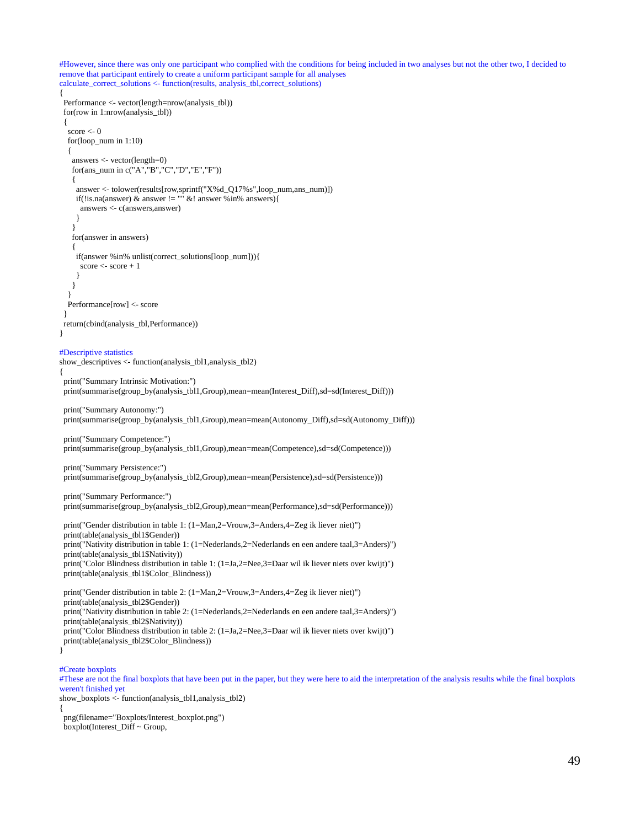#However, since there was only one participant who complied with the conditions for being included in two analyses but not the other two, I decided to remove that participant entirely to create a uniform participant sample for all analyses calculate\_correct\_solutions <- function(results, analysis\_tbl,correct\_solutions) { Performance <- vector(length=nrow(analysis\_tbl)) for(row in 1:nrow(analysis\_tbl)) { score  $\leq$  0 for(loop\_num in 1:10) { answers <- vector(length=0) for(ans\_num in c("A","B","C","D","E","F")) { answer <- tolower(results[row,sprintf("X%d\_Q17%s",loop\_num,ans\_num)]) if(!is.na(answer) & answer !=  $\frac{1}{10}$  &! answer %in% answers){ answers <- c(answers,answer) } } for(answer in answers)  $\{$  if(answer %in% unlist(correct\_solutions[loop\_num])){ score  $\le$ -score  $+1$  } } } Performance[row] <- score } return(cbind(analysis\_tbl,Performance)) } #Descriptive statistics show\_descriptives <- function(analysis\_tbl1,analysis\_tbl2) { print("Summary Intrinsic Motivation:") print(summarise(group\_by(analysis\_tbl1,Group),mean=mean(Interest\_Diff),sd=sd(Interest\_Diff))) print("Summary Autonomy:") print(summarise(group\_by(analysis\_tbl1,Group),mean=mean(Autonomy\_Diff),sd=sd(Autonomy\_Diff))) print("Summary Competence:") print(summarise(group\_by(analysis\_tbl1,Group),mean=mean(Competence),sd=sd(Competence))) print("Summary Persistence:") print(summarise(group\_by(analysis\_tbl2,Group),mean=mean(Persistence),sd=sd(Persistence))) print("Summary Performance:") print(summarise(group\_by(analysis\_tbl2,Group),mean=mean(Performance),sd=sd(Performance))) print("Gender distribution in table 1: (1=Man,2=Vrouw,3=Anders,4=Zeg ik liever niet)") print(table(analysis\_tbl1\$Gender)) print("Nativity distribution in table 1: (1=Nederlands,2=Nederlands en een andere taal,3=Anders)") print(table(analysis\_tbl1\$Nativity)) print("Color Blindness distribution in table 1: (1=Ja,2=Nee,3=Daar wil ik liever niets over kwijt)") print(table(analysis\_tbl1\$Color\_Blindness)) print("Gender distribution in table 2: (1=Man,2=Vrouw,3=Anders,4=Zeg ik liever niet)") print(table(analysis\_tbl2\$Gender)) print("Nativity distribution in table 2: (1=Nederlands,2=Nederlands en een andere taal,3=Anders)") print(table(analysis\_tbl2\$Nativity)) print("Color Blindness distribution in table 2: (1=Ja,2=Nee,3=Daar wil ik liever niets over kwijt)") print(table(analysis\_tbl2\$Color\_Blindness)) } #Create boxplots #These are not the final boxplots that have been put in the paper, but they were here to aid the interpretation of the analysis results while the final boxplots weren't finished yet

show\_boxplots <- function(analysis\_tbl1,analysis\_tbl2) {

 png(filename="Boxplots/Interest\_boxplot.png") boxplot(Interest\_Diff ~ Group,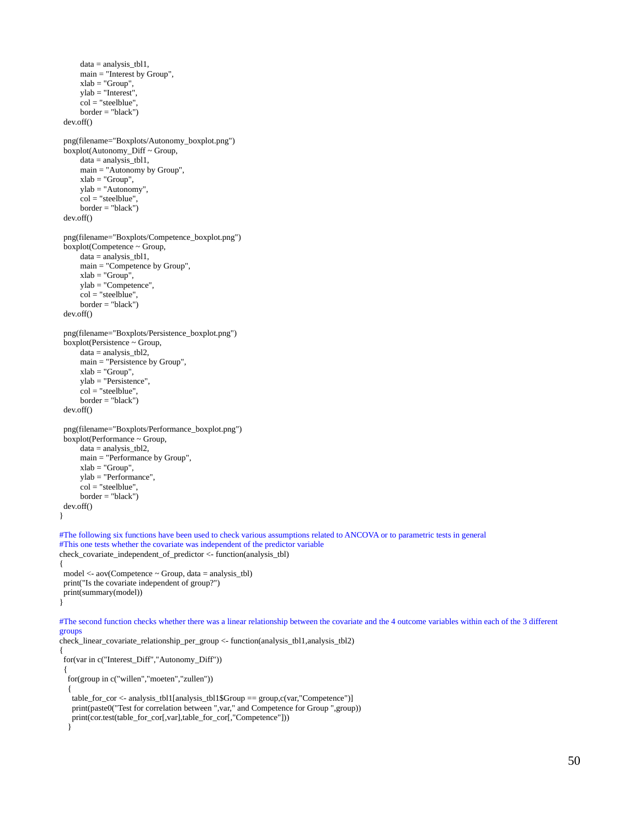```
 data = analysis_tbl1,
       main = "Interest by Group",
      xlab = "Group",
     ylab = "Interest",
     col = "steelblue", border = "black")
  dev.off()
  png(filename="Boxplots/Autonomy_boxplot.png")
  boxplot(Autonomy_Diff ~ Group,
       data = analysis_tbl1,
      main = "Autonomy by Group",
      xlab = "Group",
      ylab = "Autonomy",
       col = "steelblue",
      border = "black")
  dev.off()
  png(filename="Boxplots/Competence_boxplot.png")
  boxplot(Competence ~ Group,
      data = analysis_tbl1,
      main = "Competence by Group",
      xlab = "Group",
      ylab = "Competence",
      col = "steelblue",
      border = "black")
  dev.off()
  png(filename="Boxplots/Persistence_boxplot.png")
  boxplot(Persistence ~ Group,
      data = analysis_tbl2,
      main = "Persistence by Group",
       xlab = "Group",
      ylab = "Persistence",
       col = "steelblue",
      border = "black")
  dev.off()
  png(filename="Boxplots/Performance_boxplot.png")
 boxplot(Performance ~ Group, data = analysis_tbl2,
      main = "Performance by Group",
      xlab = "Group",
      ylab = "Performance",
      col = "steelblue",
      border = "black")
 dev.off()
}
#The following six functions have been used to check various assumptions related to ANCOVA or to parametric tests in general
#This one tests whether the covariate was independent of the predictor variable
check_covariate_independent_of_predictor <- function(analysis_tbl)
{
 model <- aov(Competence ~ Group, data = analysis_tbl)
 print("Is the covariate independent of group?")
 print(summary(model))
}
#The second function checks whether there was a linear relationship between the covariate and the 4 outcome variables within each of the 3 different 
groups
check_linear_covariate_relationship_per_group <- function(analysis_tbl1,analysis_tbl2)
{
  for(var in c("Interest_Diff","Autonomy_Diff"))
  {
   for(group in c("willen","moeten","zullen"))
   {
   table_for_cor <- analysis_tbl1[analysis_tbl1$Group == \gammagroup,c(var,"Competence")]
    print(paste0("Test for correlation between ",var," and Competence for Group ",group))
    print(cor.test(table_for_cor[,var],table_for_cor[,"Competence"]))
   }
```
50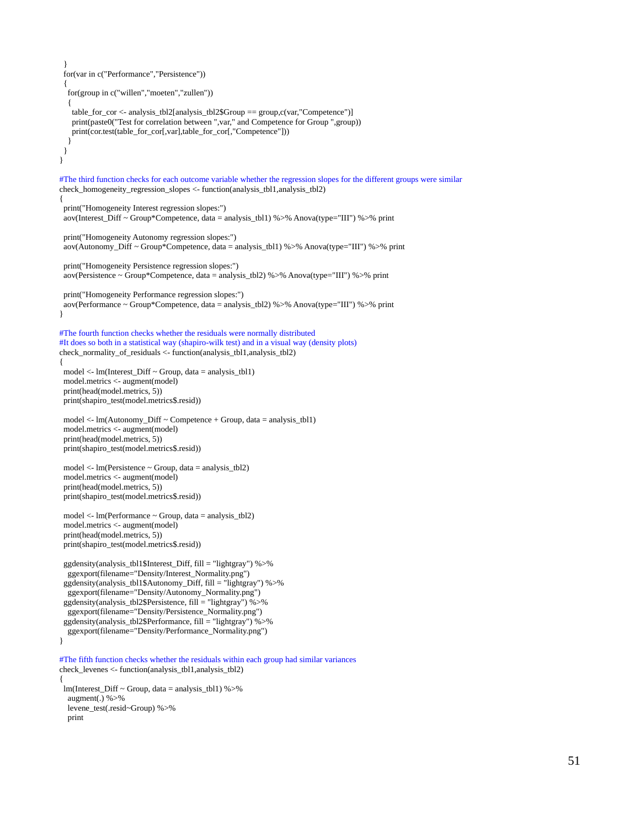```
 }
  for(var in c("Performance","Persistence"))
  {
   for(group in c("willen","moeten","zullen"))
   {
    table_for_cor <- analysis_tbl2[analysis_tbl2$Group == group,c(var,"Competence")]
    print(paste0("Test for correlation between ",var," and Competence for Group ",group))
    print(cor.test(table_for_cor[,var],table_for_cor[,"Competence"]))
   }
  }
}
#The third function checks for each outcome variable whether the regression slopes for the different groups were similar
check_homogeneity_regression_slopes <- function(analysis_tbl1,analysis_tbl2)
{
 print("Homogeneity Interest regression slopes:")
 aov(Interest_Diff ~ Group*Competence, data = analysis_tbl1) %>% Anova(type="III") %>% print
  print("Homogeneity Autonomy regression slopes:")
 aov(Autonomy_Diff ~ Group*Competence, data = analysis_tbl1) %>% Anova(type="III") %>% print
 print("Homogeneity Persistence regression slopes:")
  aov(Persistence ~ Group*Competence, data = analysis_tbl2) %>% Anova(type="III") %>% print
 print("Homogeneity Performance regression slopes:")
aov(Performance ~ Group*Competence, data = analysis_tbl2) %>% Anova(type="III") %>% print
}
#The fourth function checks whether the residuals were normally distributed
#It does so both in a statistical way (shapiro-wilk test) and in a visual way (density plots)
check_normality_of_residuals <- function(analysis_tbl1,analysis_tbl2)
{
 model <- lm(Interest_Diff ~ Group, data = analysis_tbl1)
 model.metrics <- augment(model)
  print(head(model.metrics, 5))
 print(shapiro_test(model.metrics$.resid))
 model \leq- lm(Autonomy_Diff \sim Competence + Group, data = analysis_tbl1)
  model.metrics <- augment(model)
 print(head(model.metrics, 5))
  print(shapiro_test(model.metrics$.resid))
 model <- lm(Persistence ~ Group, data = analysis_tbl2)
 model.metrics <- augment(model)
 print(head(model.metrics, 5))
 print(shapiro_test(model.metrics$.resid))
 model <- lm(Performance ~ Group, data = analysis_tbl2)
 model.metrics <- augment(model)
  print(head(model.metrics, 5))
  print(shapiro_test(model.metrics$.resid))
  ggdensity(analysis_tbl1$Interest_Diff, fill = "lightgray") %>%
   ggexport(filename="Density/Interest_Normality.png")
  ggdensity(analysis_tbl1$Autonomy_Diff, fill = "lightgray") %>%
   ggexport(filename="Density/Autonomy_Normality.png")
  ggdensity(analysis_tbl2$Persistence, fill = "lightgray") %>%
   ggexport(filename="Density/Persistence_Normality.png")
  ggdensity(analysis_tbl2$Performance, fill = "lightgray") %>%
   ggexport(filename="Density/Performance_Normality.png")
}
#The fifth function checks whether the residuals within each group had similar variances
check_levenes <- function(analysis_tbl1,analysis_tbl2)
{
  lm(Interest_Diff ~ Group, data = analysis_tbl1) %>%
   augment(.) %>%
   levene_test(.resid~Group) %>%
   print
```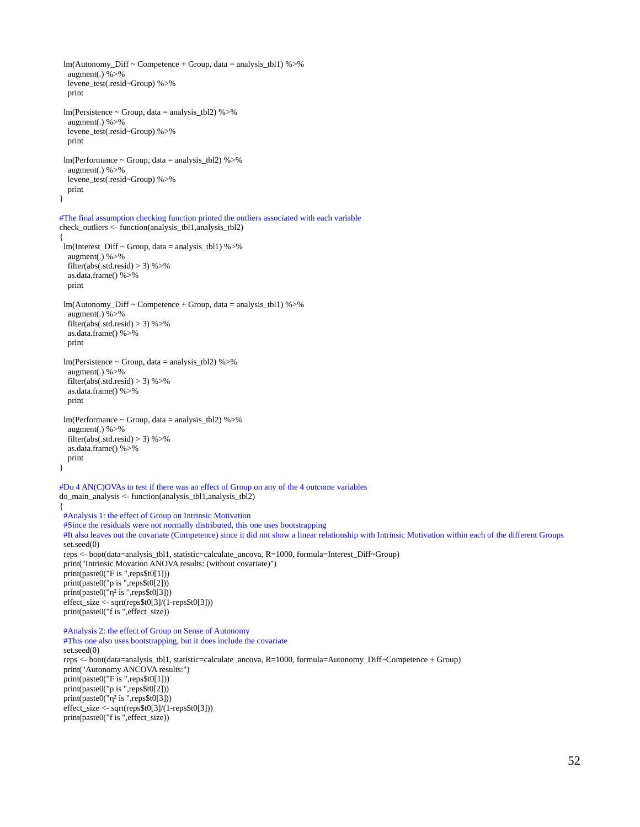```
 lm(Autonomy_Diff ~ Competence + Group, data = analysis_tbl1) %>%
   augment(.) %>%
   levene_test(.resid~Group) %>%
   print
  lm(Persistence ~ Group, data = analysis_tbl2) %>%
   augment(.) %>%
   levene_test(.resid~Group) %>%
   print
 lm(Performance ~ Group, data = analysis tbl2) %>%
   augment(.) %>%
   levene_test(.resid~Group) %>%
   print
}
#The final assumption checking function printed the outliers associated with each variable
check_outliers <- function(analysis_tbl1,analysis_tbl2)
{
 lm(Interest_Diff ~ Group, data = analysis_tbl1) %>%
   augment(.) %>% 
   filter(abs(.std.resid) > 3) %>%
   as.data.frame() %>%
   print
  lm(Autonomy_Diff ~ Competence + Group, data = analysis_tbl1) %>%
   augment(.) %>% 
  filter(abs(.std.resid) > 3) %>%
   as.data.frame() %>%
   print
  lm(Persistence ~ Group, data = analysis_tbl2) %>%
   augment(.) %>% 
  filter(abs(.std.resid) > 3) %>%
   as.data.frame() %>%
   print
 lm(Performance ~ Group, data = analysis tbl2) %>%
   augment(.) %>% 
  filter(abs(.std.resid) > 3) %>%
   as.data.frame() %>%
   print
}
#Do 4 AN(C)OVAs to test if there was an effect of Group on any of the 4 outcome variables
do_main_analysis <- function(analysis_tbl1,analysis_tbl2)
{
  #Analysis 1: the effect of Group on Intrinsic Motivation
  #Since the residuals were not normally distributed, this one uses bootstrapping
  #It also leaves out the covariate (Competence) since it did not show a linear relationship with Intrinsic Motivation within each of the different Groups
  set.seed(0)
 reps <- boot(data=analysis_tbl1, statistic=calculate_ancova, R=1000, formula=Interest_Diff~Group)
  print("Intrinsic Movation ANOVA results: (without covariate)")
  print(paste0("F is ",reps$t0[1]))
  print(paste0("p is ",reps$t0[2]))
print(pasteO("η² is ",reps$t0[3])) effect_size <- sqrt(reps$t0[3]/(1-reps$t0[3]))
 print(paste0("f is ",effect_size))
  #Analysis 2: the effect of Group on Sense of Autonomy
  #This one also uses bootstrapping, but it does include the covariate
  set.seed(0)
 reps <- boot(data=analysis_tbl1, statistic=calculate_ancova, R=1000, formula=Autonomy_Diff~Competence + Group)
 print("Autonomy ANCOVA results:")
  print(paste0("F is ",reps$t0[1]))
 print(paste0("p is ",reps$t0[2]))
print(paste0("η<sup>2</sup> is ",reps$t0[3]))
  effect_size <- sqrt(reps$t0[3]/(1-reps$t0[3]))
 print(paste0("f is ",effect_size))
```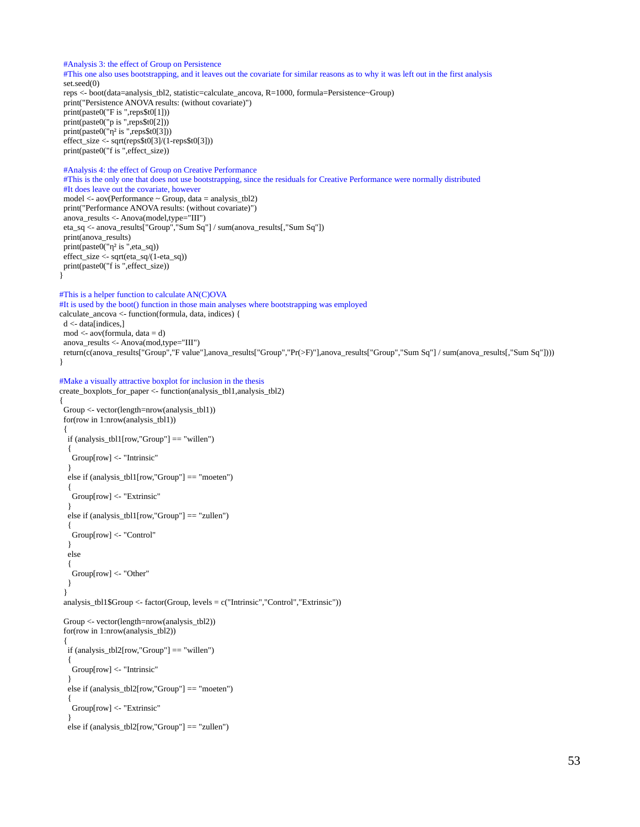```
 #Analysis 3: the effect of Group on Persistence
  #This one also uses bootstrapping, and it leaves out the covariate for similar reasons as to why it was left out in the first analysis
  set.seed(0)
 reps <- boot(data=analysis_tbl2, statistic=calculate_ancova, R=1000, formula=Persistence~Group)
 print("Persistence ANOVA results: (without covariate)")
  print(paste0("F is ",reps$t0[1]))
  print(paste0("p is ",reps$t0[2]))
  print(paste0("η² is ",reps$t0[3]))
 effect_size <- sqrt(reps$t0[3]/(1-reps$t0[3]))
 print(paste0("f is ",effect_size))
  #Analysis 4: the effect of Group on Creative Performance
  #This is the only one that does not use bootstrapping, since the residuals for Creative Performance were normally distributed
  #It does leave out the covariate, however
  model <- aov(Performance ~ Group, data = analysis_tbl2)
 print("Performance ANOVA results: (without covariate)")
 anova_results <- Anova(model,type="III")
  eta_sq <- anova_results["Group","Sum Sq"] / sum(anova_results[,"Sum Sq"])
  print(anova_results)
  print(paste0("η² is ",eta_sq))
 effect_size <- sqrt(eta_sq/(1-eta_sq))
 print(paste0("f is ",effect_size))
#This is a helper function to calculate AN(C)OVA
#It is used by the boot() function in those main analyses where bootstrapping was employed
calculate_ancova <- function(formula, data, indices) {
 d <- data[indices,]
 mod <- aov(formula, data = d)
 anova_results <- Anova(mod,type="III")
 return(c(anova_results["Group","F value"],anova_results["Group","Pr(>F)"],anova_results["Group","Sum Sq"] / sum(anova_results[,"Sum Sq"])))
} 
#Make a visually attractive boxplot for inclusion in the thesis
create_boxplots_for_paper <- function(analysis_tbl1,analysis_tbl2)
  Group <- vector(length=nrow(analysis_tbl1))
  for(row in 1:nrow(analysis_tbl1))
 {
   if (analysis_tbl1[row,"Group"] == "willen")
   {
    Group[row] <- "Intrinsic"
   }
   else if (analysis_tbl1[row,"Group"] == "moeten")
   {
    Group[row] <- "Extrinsic"
   }
   else if (analysis_tbl1[row,"Group"] == "zullen")
   {
    Group[row] <- "Control"
   }
   else
   {
    Group[row] <- "Other"
   }
  }
  analysis_tbl1$Group <- factor(Group, levels = c("Intrinsic","Control","Extrinsic"))
  Group <- vector(length=nrow(analysis_tbl2))
  for(row in 1:nrow(analysis_tbl2))
 {
   if (analysis_tbl2[row,"Group"] == "willen")
   {
     Group[row] <- "Intrinsic"
   }
   else if (analysis_tbl2[row,"Group"] == "moeten")
 {
    Group[row] <- "Extrinsic"
 }
   else if (analysis_tbl2[row,"Group"] == "zullen")
```
}

{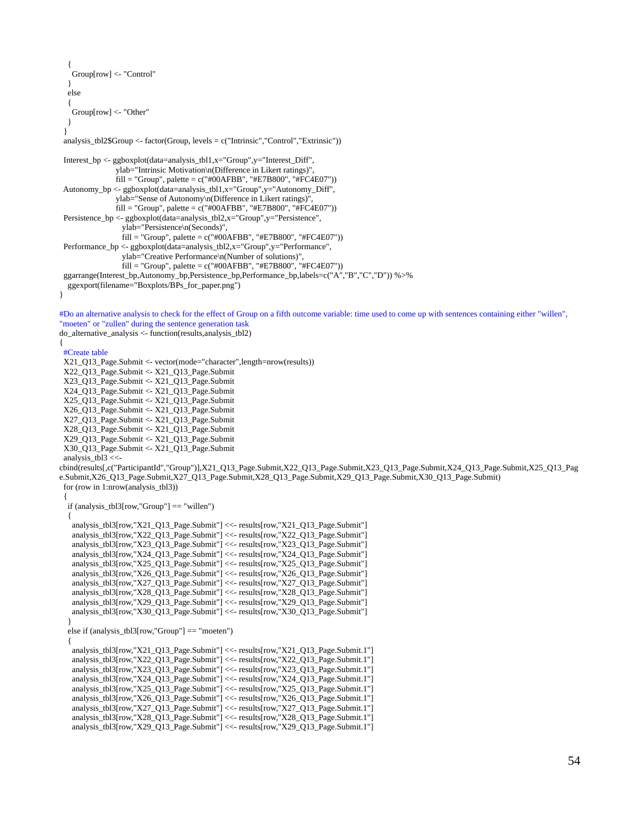```
 {
    Group[row] <- "Control"
   }
   else
 {
    Group[row] <- "Other"
   }
  }
  analysis_tbl2$Group <- factor(Group, levels = c("Intrinsic","Control","Extrinsic"))
Interest bp \leq-ggboxplot(data=analysis~tb11,x="Group",y="Interest~Diff", ylab="Intrinsic Motivation\n(Difference in Likert ratings)",
               fill = "Group", palette = c("#00AFBB", "#E7B800", "#FC4E07") Autonomy_bp <- ggboxplot(data=analysis_tbl1,x="Group",y="Autonomy_Diff",
                ylab="Sense of Autonomy\n(Difference in Likert ratings)",
               fill = "Group", palette = c("#00AFBB", "#E7B800", "#FC4E07") Persistence_bp <- ggboxplot(data=analysis_tbl2,x="Group",y="Persistence",
                  ylab="Persistence\n(Seconds)",
                  fill = "Group", palette = c("#00AFBB", "#E7B800", "#FC4E07"))
  Performance_bp <- ggboxplot(data=analysis_tbl2,x="Group",y="Performance",
                  ylab="Creative Performance\n(Number of solutions)",
                  fill = "Group", palette = c("#00AFBB", "#E7B800", "#FC4E07"))
  ggarrange(Interest_bp,Autonomy_bp,Persistence_bp,Performance_bp,labels=c("A","B","C","D")) %>%
  ggexport(filename="Boxplots/BPs_for_paper.png")
#Do an alternative analysis to check for the effect of Group on a fifth outcome variable: time used to come up with sentences containing either "willen", 
"moeten" or "zullen" during the sentence generation task
do_alternative_analysis <- function(results,analysis_tbl2)
 #Create table
 X21_Q13_Page.Submit <- vector(mode="character",length=nrow(results))
  X22_Q13_Page.Submit <- X21_Q13_Page.Submit
  X23_Q13_Page.Submit <- X21_Q13_Page.Submit
  X24_Q13_Page.Submit <- X21_Q13_Page.Submit
 X25_Q13_Page.Submit <- X21_Q13_Page.Submit
  X26_Q13_Page.Submit <- X21_Q13_Page.Submit
  X27_Q13_Page.Submit <- X21_Q13_Page.Submit
  X28_Q13_Page.Submit <- X21_Q13_Page.Submit
  X29_Q13_Page.Submit <- X21_Q13_Page.Submit
  X30_Q13_Page.Submit <- X21_Q13_Page.Submit
analysis_tbl3 <<-
cbind(results[,c("ParticipantId","Group")],X21_Q13_Page.Submit,X22_Q13_Page.Submit,X23_Q13_Page.Submit,X24_Q13_Page.Submit,X25_Q13_Pag
e.Submit,X26_Q13_Page.Submit,X27_Q13_Page.Submit,X28_Q13_Page.Submit,X29_Q13_Page.Submit,X30_Q13_Page.Submit)
 for (row in 1:nrow(analysis_tbl3))
 {
   if (analysis_tbl3[row,"Group"] == "willen")
   {
    analysis_tbl3[row,"X21_Q13_Page.Submit"] <<- results[row,"X21_Q13_Page.Submit"]
    analysis_tbl3[row,"X22_Q13_Page.Submit"] <<- results[row,"X22_Q13_Page.Submit"]
    analysis_tbl3[row,"X23_Q13_Page.Submit"] <<- results[row,"X23_Q13_Page.Submit"]
    analysis_tbl3[row,"X24_Q13_Page.Submit"] <<- results[row,"X24_Q13_Page.Submit"]
    analysis_tbl3[row,"X25_Q13_Page.Submit"] <<- results[row,"X25_Q13_Page.Submit"]
    analysis_tbl3[row,"X26_Q13_Page.Submit"] <<- results[row,"X26_Q13_Page.Submit"]
    analysis_tbl3[row,"X27_Q13_Page.Submit"] <<- results[row,"X27_Q13_Page.Submit"]
    analysis_tbl3[row,"X28_Q13_Page.Submit"] <<- results[row,"X28_Q13_Page.Submit"]
    analysis_tbl3[row,"X29_Q13_Page.Submit"] <<- results[row,"X29_Q13_Page.Submit"]
    analysis_tbl3[row,"X30_Q13_Page.Submit"] <<- results[row,"X30_Q13_Page.Submit"]
 }
   else if (analysis_tbl3[row,"Group"] == "moeten")
   {
    analysis_tbl3[row,"X21_Q13_Page.Submit"] <<- results[row,"X21_Q13_Page.Submit.1"]
    analysis_tbl3[row,"X22_Q13_Page.Submit"] <<- results[row,"X22_Q13_Page.Submit.1"]
    analysis_tbl3[row,"X23_Q13_Page.Submit"] <<- results[row,"X23_Q13_Page.Submit.1"]
    analysis_tbl3[row,"X24_Q13_Page.Submit"] <<- results[row,"X24_Q13_Page.Submit.1"]
    analysis_tbl3[row,"X25_Q13_Page.Submit"] <<- results[row,"X25_Q13_Page.Submit.1"]
    analysis_tbl3[row,"X26_Q13_Page.Submit"] <<- results[row,"X26_Q13_Page.Submit.1"]
    analysis_tbl3[row,"X27_Q13_Page.Submit"] <<- results[row,"X27_Q13_Page.Submit.1"]
    analysis_tbl3[row,"X28_Q13_Page.Submit"] <<- results[row,"X28_Q13_Page.Submit.1"]
    analysis_tbl3[row,"X29_Q13_Page.Submit"] <<- results[row,"X29_Q13_Page.Submit.1"]
```
}

{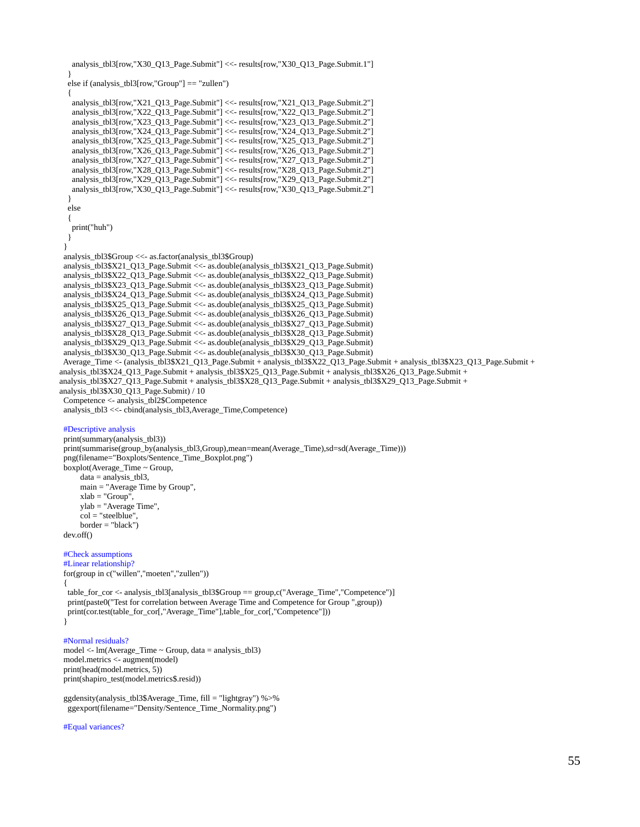```
 analysis_tbl3[row,"X30_Q13_Page.Submit"] <<- results[row,"X30_Q13_Page.Submit.1"]
 }
   else if (analysis_tbl3[row,"Group"] == "zullen")
   {
    analysis_tbl3[row,"X21_Q13_Page.Submit"] <<- results[row,"X21_Q13_Page.Submit.2"]
    analysis_tbl3[row,"X22_Q13_Page.Submit"] <<- results[row,"X22_Q13_Page.Submit.2"]
    analysis_tbl3[row,"X23_Q13_Page.Submit"] <<- results[row,"X23_Q13_Page.Submit.2"]
    analysis_tbl3[row,"X24_Q13_Page.Submit"] <<- results[row,"X24_Q13_Page.Submit.2"]
    analysis_tbl3[row,"X25_Q13_Page.Submit"] <<- results[row,"X25_Q13_Page.Submit.2"]
    analysis_tbl3[row,"X26_Q13_Page.Submit"] <<- results[row,"X26_Q13_Page.Submit.2"]
    analysis_tbl3[row,"X27_Q13_Page.Submit"] <<- results[row,"X27_Q13_Page.Submit.2"]
    analysis_tbl3[row,"X28_Q13_Page.Submit"] <<- results[row,"X28_Q13_Page.Submit.2"]
    analysis_tbl3[row,"X29_Q13_Page.Submit"] <<- results[row,"X29_Q13_Page.Submit.2"]
    analysis_tbl3[row,"X30_Q13_Page.Submit"] <<- results[row,"X30_Q13_Page.Submit.2"]
   }
   else
   {
    print("huh")
   }
 }
 analysis_tbl3$Group <<- as.factor(analysis_tbl3$Group)
 analysis_tbl3$X21_Q13_Page.Submit <<- as.double(analysis_tbl3$X21_Q13_Page.Submit)
  analysis_tbl3$X22_Q13_Page.Submit <<- as.double(analysis_tbl3$X22_Q13_Page.Submit)
 analysis_tbl3$X23_Q13_Page.Submit <<- as.double(analysis_tbl3$X23_Q13_Page.Submit)
 analysis_tbl3$X24_Q13_Page.Submit <<- as.double(analysis_tbl3$X24_Q13_Page.Submit)
 analysis_tbl3$X25_Q13_Page.Submit <<- as.double(analysis_tbl3$X25_Q13_Page.Submit)
  analysis_tbl3$X26_Q13_Page.Submit <<- as.double(analysis_tbl3$X26_Q13_Page.Submit)
 analysis_tbl3$X27_Q13_Page.Submit <<- as.double(analysis_tbl3$X27_Q13_Page.Submit)
 analysis_tbl3$X28_Q13_Page.Submit <<- as.double(analysis_tbl3$X28_Q13_Page.Submit)
  analysis_tbl3$X29_Q13_Page.Submit <<- as.double(analysis_tbl3$X29_Q13_Page.Submit)
  analysis_tbl3$X30_Q13_Page.Submit <<- as.double(analysis_tbl3$X30_Q13_Page.Submit)
 Average_Time <- (analysis_tbl3$X21_Q13_Page.Submit + analysis_tbl3$X22_Q13_Page.Submit + analysis_tbl3$X23_Q13_Page.Submit + 
analysis_tbl3$X24_Q13_Page.Submit + analysis_tbl3$X25_Q13_Page.Submit + analysis_tbl3$X26_Q13_Page.Submit + 
analysis_tbl3$X27_Q13_Page.Submit + analysis_tbl3$X28_Q13_Page.Submit + analysis_tbl3$X29_Q13_Page.Submit + 
analysis_tbl3$X30_Q13_Page.Submit) / 10
 Competence <- analysis_tbl2$Competence
 analysis_tbl3 <<- cbind(analysis_tbl3,Average_Time,Competence)
  #Descriptive analysis
 print(summary(analysis_tbl3))
print(summarise(group_by(analysis_tbl3,Group),mean=mean(Average_Time),sd=sd(Average_Time)))
  png(filename="Boxplots/Sentence_Time_Boxplot.png")
 boxplot(Average_Time \sim Group, data = analysis_tbl3,
      main = "Average Time by Group",
      xlab = "Group",
      ylab = "Average Time",
      col = "steelblue",
      border = "black")
 dev.off()
  #Check assumptions
  #Linear relationship?
  for(group in c("willen","moeten","zullen"))
 {
  table_for_cor <- analysis_tbl3[analysis_tbl3$Group == group,c("Average_Time","Competence")]
  print(paste0("Test for correlation between Average Time and Competence for Group ",group))
  print(cor.test(table_for_cor[,"Average_Time"],table_for_cor[,"Competence"]))
  }
  #Normal residuals?
 model <- lm(Average_Time ~ Group, data = analysis_tbl3)
 model.metrics <- augment(model)
```
 print(head(model.metrics, 5)) print(shapiro\_test(model.metrics\$.resid))

 ggdensity(analysis\_tbl3\$Average\_Time, fill = "lightgray") %>% ggexport(filename="Density/Sentence\_Time\_Normality.png")

#Equal variances?